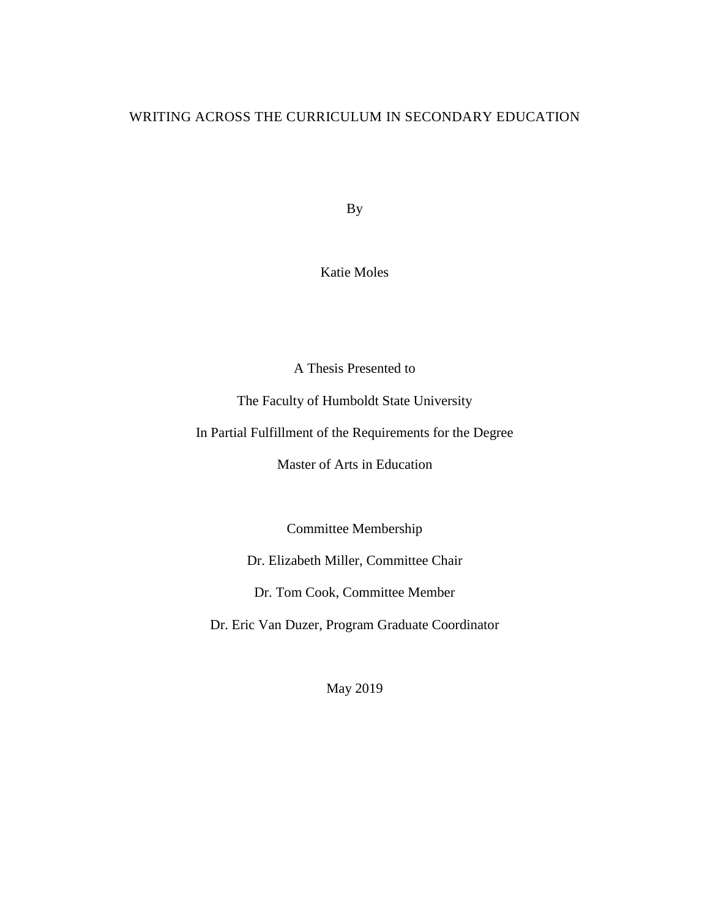# WRITING ACROSS THE CURRICULUM IN SECONDARY EDUCATION

By

Katie Moles

A Thesis Presented to

The Faculty of Humboldt State University

In Partial Fulfillment of the Requirements for the Degree

Master of Arts in Education

Committee Membership

Dr. Elizabeth Miller, Committee Chair

Dr. Tom Cook, Committee Member

Dr. Eric Van Duzer, Program Graduate Coordinator

May 2019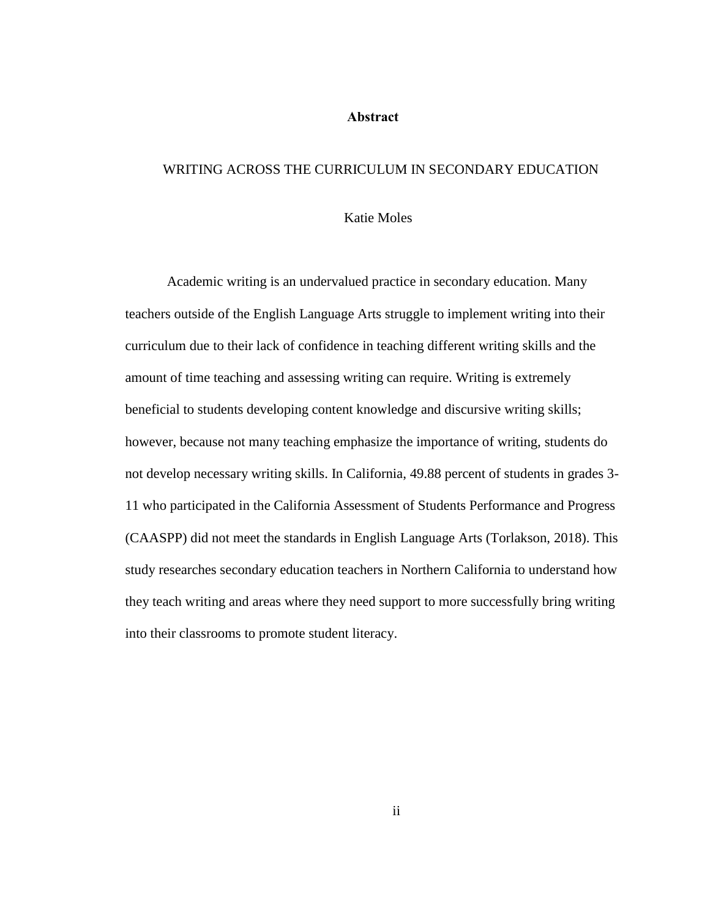#### **Abstract**

#### <span id="page-1-0"></span>WRITING ACROSS THE CURRICULUM IN SECONDARY EDUCATION

# Katie Moles

Academic writing is an undervalued practice in secondary education. Many teachers outside of the English Language Arts struggle to implement writing into their curriculum due to their lack of confidence in teaching different writing skills and the amount of time teaching and assessing writing can require. Writing is extremely beneficial to students developing content knowledge and discursive writing skills; however, because not many teaching emphasize the importance of writing, students do not develop necessary writing skills. In California, 49.88 percent of students in grades 3- 11 who participated in the California Assessment of Students Performance and Progress (CAASPP) did not meet the standards in English Language Arts (Torlakson, 2018). This study researches secondary education teachers in Northern California to understand how they teach writing and areas where they need support to more successfully bring writing into their classrooms to promote student literacy.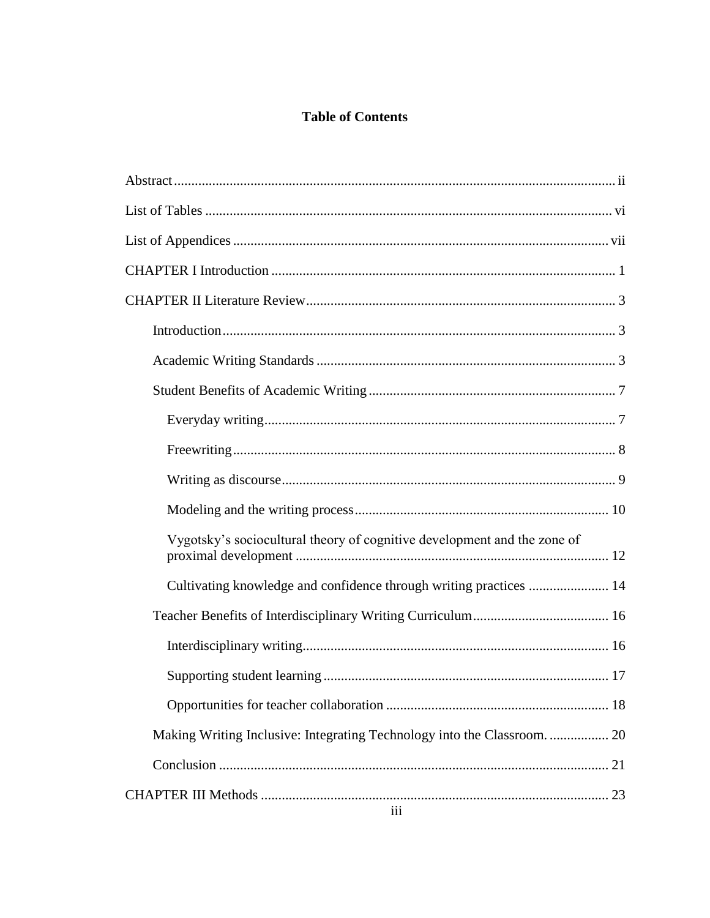# **Table of Contents**

| Vygotsky's sociocultural theory of cognitive development and the zone of |
|--------------------------------------------------------------------------|
| Cultivating knowledge and confidence through writing practices  14       |
|                                                                          |
|                                                                          |
|                                                                          |
|                                                                          |
|                                                                          |
|                                                                          |
| 111                                                                      |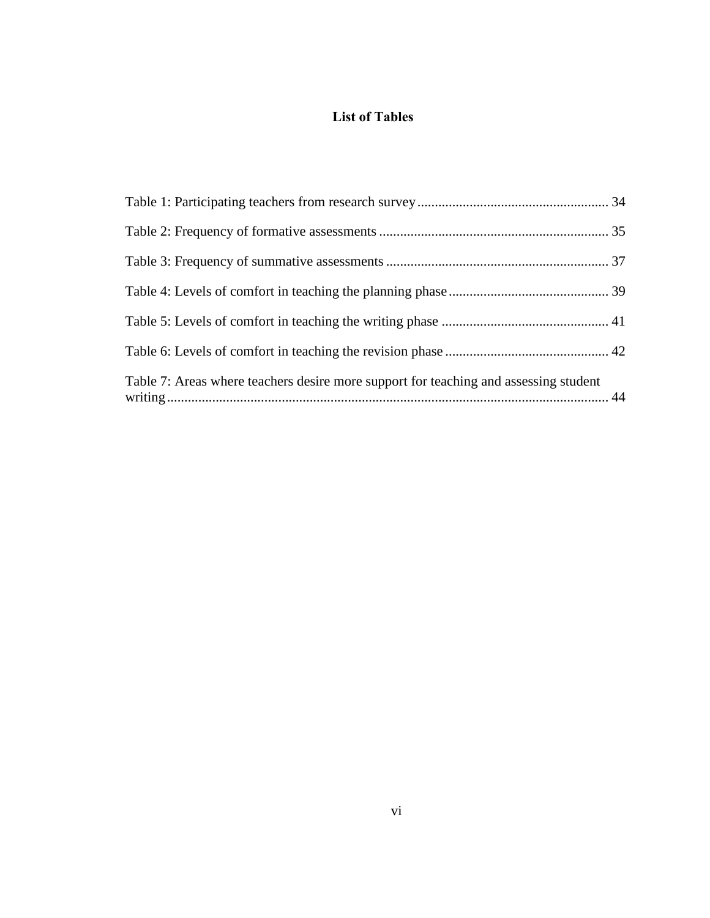# **List of Tables**

<span id="page-5-0"></span>

| Table 7: Areas where teachers desire more support for teaching and assessing student |  |
|--------------------------------------------------------------------------------------|--|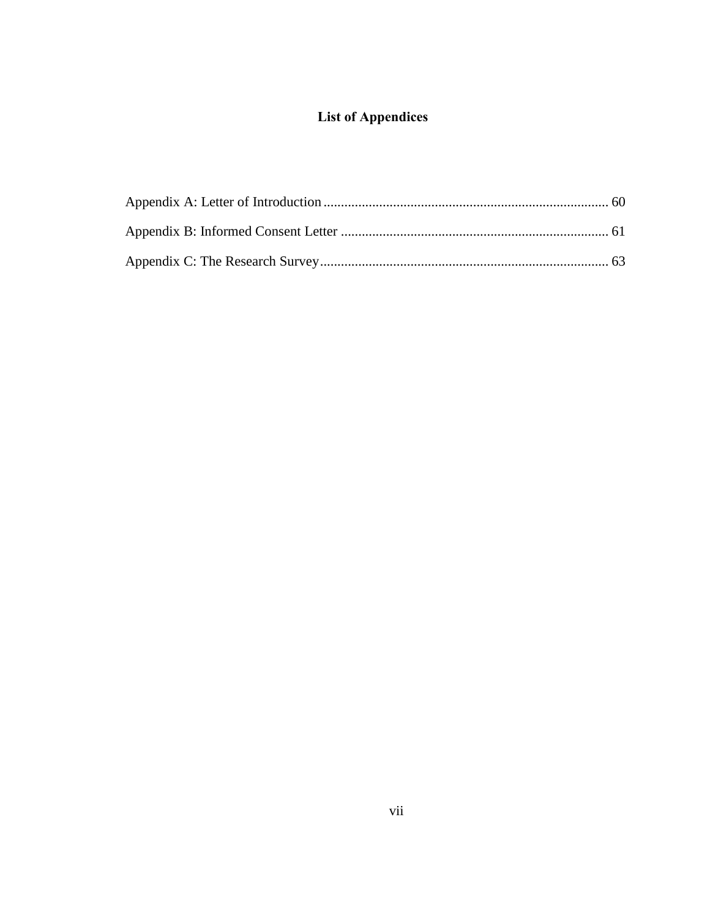# **List of Appendices**

<span id="page-6-0"></span>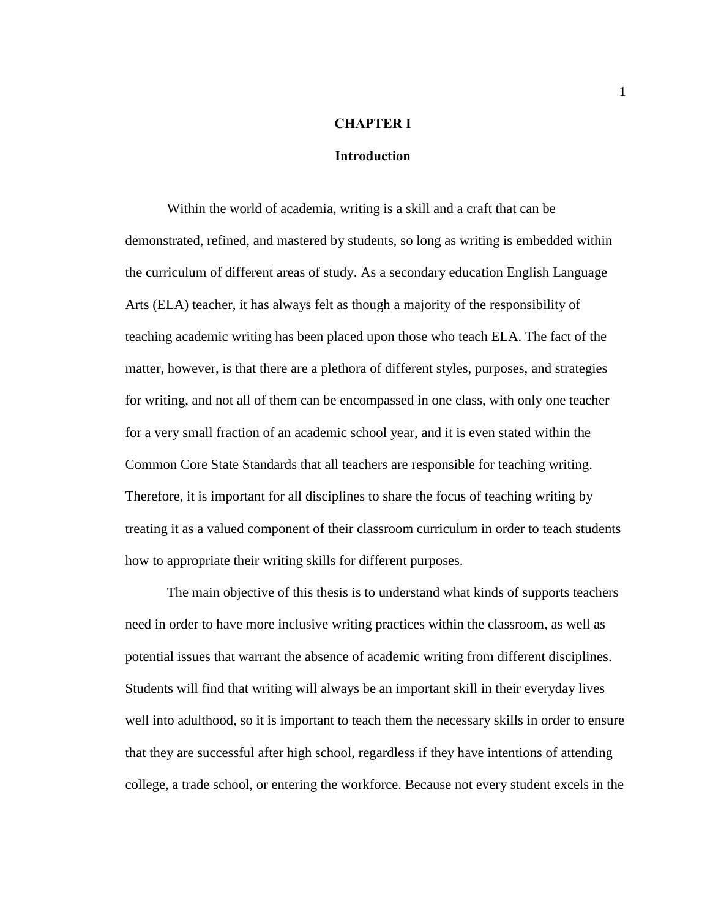# **CHAPTER I**

# **Introduction**

<span id="page-7-0"></span>Within the world of academia, writing is a skill and a craft that can be demonstrated, refined, and mastered by students, so long as writing is embedded within the curriculum of different areas of study. As a secondary education English Language Arts (ELA) teacher, it has always felt as though a majority of the responsibility of teaching academic writing has been placed upon those who teach ELA. The fact of the matter, however, is that there are a plethora of different styles, purposes, and strategies for writing, and not all of them can be encompassed in one class, with only one teacher for a very small fraction of an academic school year, and it is even stated within the Common Core State Standards that all teachers are responsible for teaching writing. Therefore, it is important for all disciplines to share the focus of teaching writing by treating it as a valued component of their classroom curriculum in order to teach students how to appropriate their writing skills for different purposes.

The main objective of this thesis is to understand what kinds of supports teachers need in order to have more inclusive writing practices within the classroom, as well as potential issues that warrant the absence of academic writing from different disciplines. Students will find that writing will always be an important skill in their everyday lives well into adulthood, so it is important to teach them the necessary skills in order to ensure that they are successful after high school, regardless if they have intentions of attending college, a trade school, or entering the workforce. Because not every student excels in the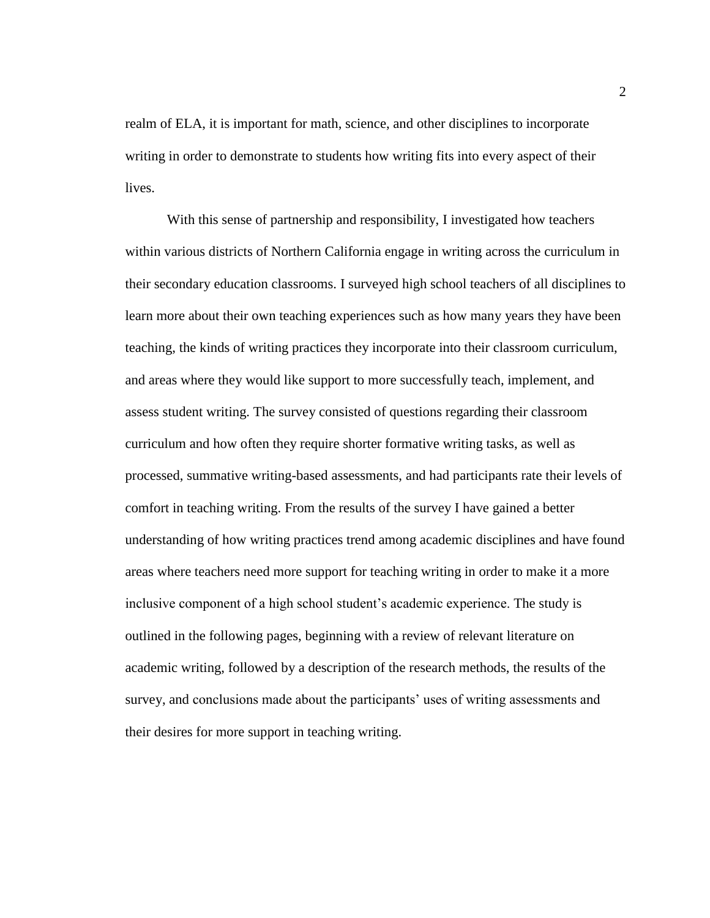realm of ELA, it is important for math, science, and other disciplines to incorporate writing in order to demonstrate to students how writing fits into every aspect of their lives.

With this sense of partnership and responsibility, I investigated how teachers within various districts of Northern California engage in writing across the curriculum in their secondary education classrooms. I surveyed high school teachers of all disciplines to learn more about their own teaching experiences such as how many years they have been teaching, the kinds of writing practices they incorporate into their classroom curriculum, and areas where they would like support to more successfully teach, implement, and assess student writing. The survey consisted of questions regarding their classroom curriculum and how often they require shorter formative writing tasks, as well as processed, summative writing-based assessments, and had participants rate their levels of comfort in teaching writing. From the results of the survey I have gained a better understanding of how writing practices trend among academic disciplines and have found areas where teachers need more support for teaching writing in order to make it a more inclusive component of a high school student's academic experience. The study is outlined in the following pages, beginning with a review of relevant literature on academic writing, followed by a description of the research methods, the results of the survey, and conclusions made about the participants' uses of writing assessments and their desires for more support in teaching writing.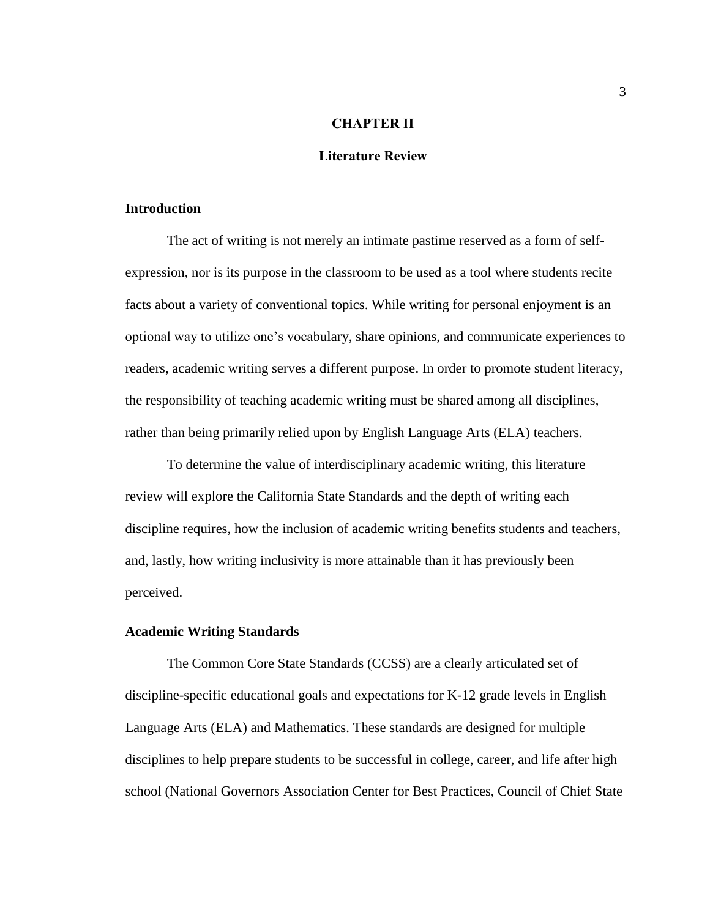# **CHAPTER II**

#### **Literature Review**

#### <span id="page-9-1"></span><span id="page-9-0"></span>**Introduction**

The act of writing is not merely an intimate pastime reserved as a form of selfexpression, nor is its purpose in the classroom to be used as a tool where students recite facts about a variety of conventional topics. While writing for personal enjoyment is an optional way to utilize one's vocabulary, share opinions, and communicate experiences to readers, academic writing serves a different purpose. In order to promote student literacy, the responsibility of teaching academic writing must be shared among all disciplines, rather than being primarily relied upon by English Language Arts (ELA) teachers.

To determine the value of interdisciplinary academic writing, this literature review will explore the California State Standards and the depth of writing each discipline requires, how the inclusion of academic writing benefits students and teachers, and, lastly, how writing inclusivity is more attainable than it has previously been perceived.

#### <span id="page-9-2"></span>**Academic Writing Standards**

The Common Core State Standards (CCSS) are a clearly articulated set of discipline-specific educational goals and expectations for K-12 grade levels in English Language Arts (ELA) and Mathematics. These standards are designed for multiple disciplines to help prepare students to be successful in college, career, and life after high school (National Governors Association Center for Best Practices, Council of Chief State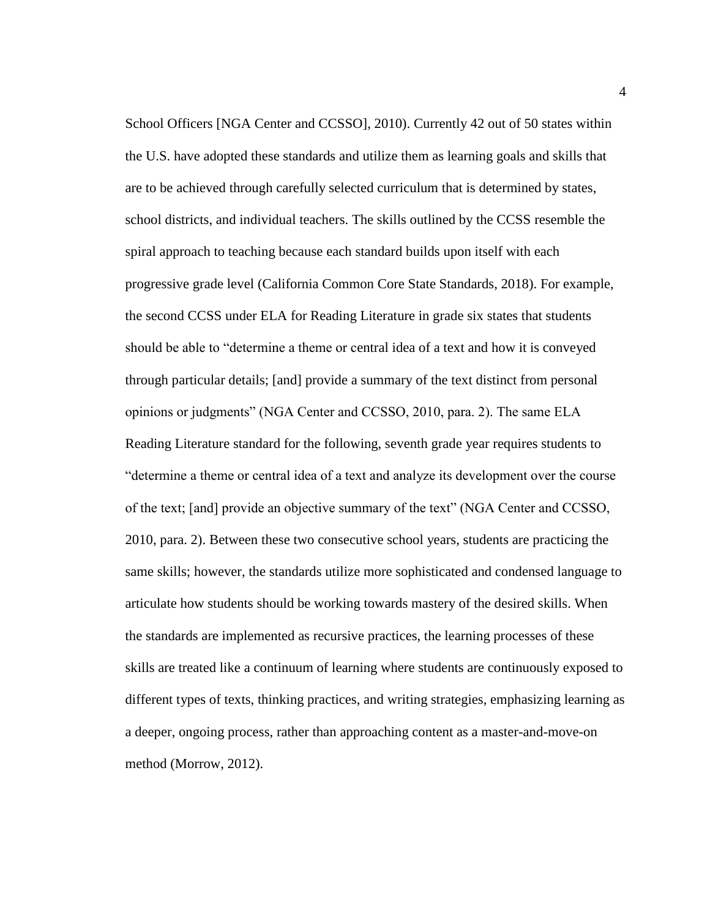School Officers [NGA Center and CCSSO], 2010). Currently 42 out of 50 states within the U.S. have adopted these standards and utilize them as learning goals and skills that are to be achieved through carefully selected curriculum that is determined by states, school districts, and individual teachers. The skills outlined by the CCSS resemble the spiral approach to teaching because each standard builds upon itself with each progressive grade level (California Common Core State Standards, 2018). For example, the second CCSS under ELA for Reading Literature in grade six states that students should be able to "determine a theme or central idea of a text and how it is conveyed through particular details; [and] provide a summary of the text distinct from personal opinions or judgments" (NGA Center and CCSSO, 2010, para. 2). The same ELA Reading Literature standard for the following, seventh grade year requires students to "determine a theme or central idea of a text and analyze its development over the course of the text; [and] provide an objective summary of the text" (NGA Center and CCSSO, 2010, para. 2). Between these two consecutive school years, students are practicing the same skills; however, the standards utilize more sophisticated and condensed language to articulate how students should be working towards mastery of the desired skills. When the standards are implemented as recursive practices, the learning processes of these skills are treated like a continuum of learning where students are continuously exposed to different types of texts, thinking practices, and writing strategies, emphasizing learning as a deeper, ongoing process, rather than approaching content as a master-and-move-on method (Morrow, 2012).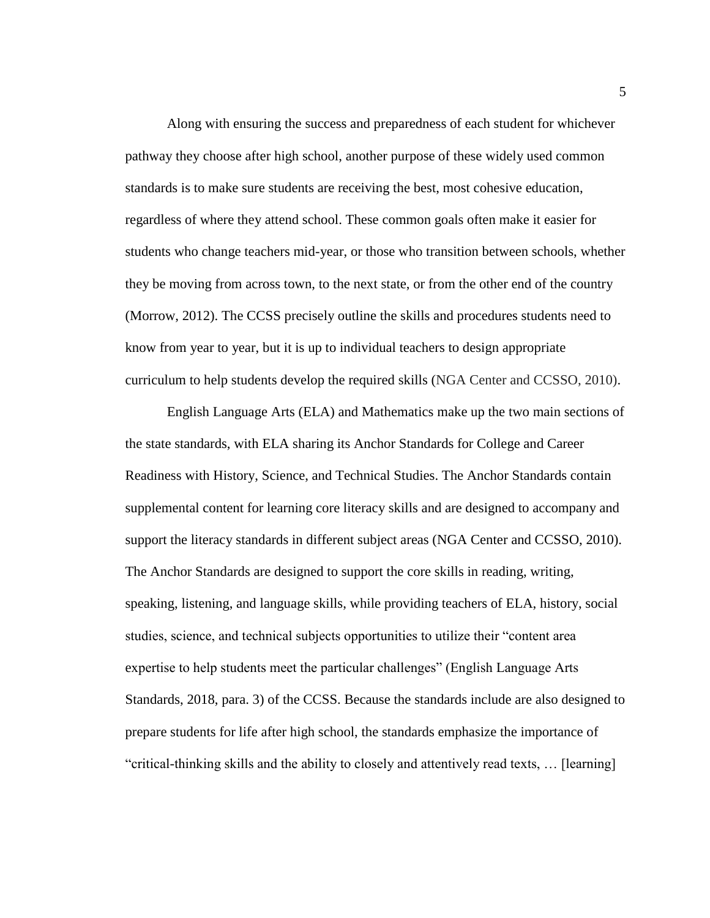Along with ensuring the success and preparedness of each student for whichever pathway they choose after high school, another purpose of these widely used common standards is to make sure students are receiving the best, most cohesive education, regardless of where they attend school. These common goals often make it easier for students who change teachers mid-year, or those who transition between schools, whether they be moving from across town, to the next state, or from the other end of the country (Morrow, 2012). The CCSS precisely outline the skills and procedures students need to know from year to year, but it is up to individual teachers to design appropriate curriculum to help students develop the required skills (NGA Center and CCSSO, 2010).

English Language Arts (ELA) and Mathematics make up the two main sections of the state standards, with ELA sharing its Anchor Standards for College and Career Readiness with History, Science, and Technical Studies. The Anchor Standards contain supplemental content for learning core literacy skills and are designed to accompany and support the literacy standards in different subject areas (NGA Center and CCSSO, 2010). The Anchor Standards are designed to support the core skills in reading, writing, speaking, listening, and language skills, while providing teachers of ELA, history, social studies, science, and technical subjects opportunities to utilize their "content area expertise to help students meet the particular challenges" (English Language Arts Standards, 2018, para. 3) of the CCSS. Because the standards include are also designed to prepare students for life after high school, the standards emphasize the importance of "critical-thinking skills and the ability to closely and attentively read texts, … [learning]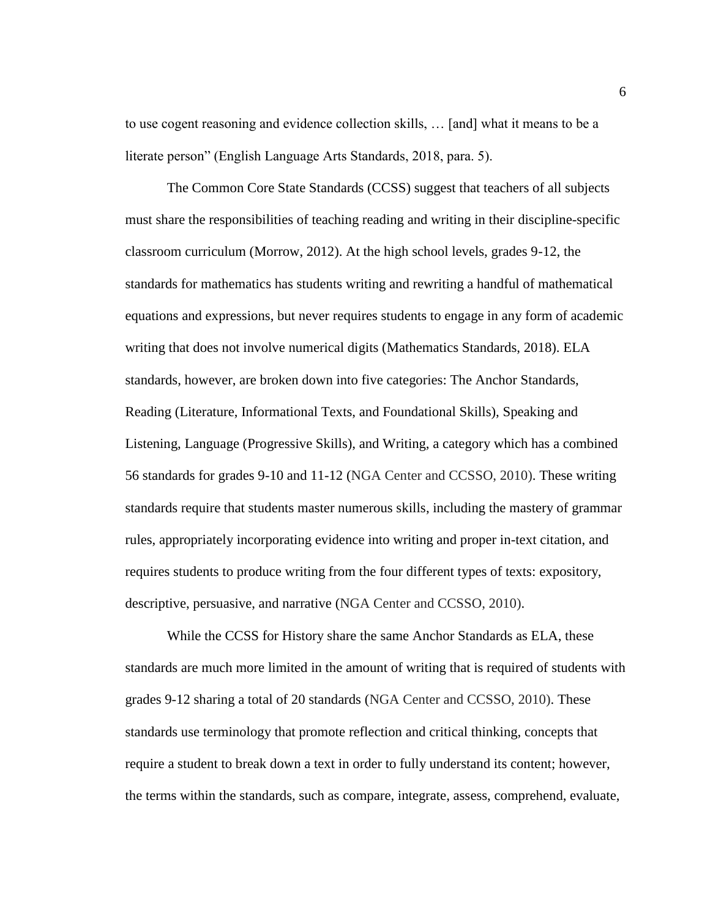to use cogent reasoning and evidence collection skills, … [and] what it means to be a literate person" (English Language Arts Standards, 2018, para. 5).

The Common Core State Standards (CCSS) suggest that teachers of all subjects must share the responsibilities of teaching reading and writing in their discipline-specific classroom curriculum (Morrow, 2012). At the high school levels, grades 9-12, the standards for mathematics has students writing and rewriting a handful of mathematical equations and expressions, but never requires students to engage in any form of academic writing that does not involve numerical digits (Mathematics Standards, 2018). ELA standards, however, are broken down into five categories: The Anchor Standards, Reading (Literature, Informational Texts, and Foundational Skills), Speaking and Listening, Language (Progressive Skills), and Writing, a category which has a combined 56 standards for grades 9-10 and 11-12 (NGA Center and CCSSO, 2010). These writing standards require that students master numerous skills, including the mastery of grammar rules, appropriately incorporating evidence into writing and proper in-text citation, and requires students to produce writing from the four different types of texts: expository, descriptive, persuasive, and narrative (NGA Center and CCSSO, 2010).

While the CCSS for History share the same Anchor Standards as ELA, these standards are much more limited in the amount of writing that is required of students with grades 9-12 sharing a total of 20 standards (NGA Center and CCSSO, 2010). These standards use terminology that promote reflection and critical thinking, concepts that require a student to break down a text in order to fully understand its content; however, the terms within the standards, such as compare, integrate, assess, comprehend, evaluate,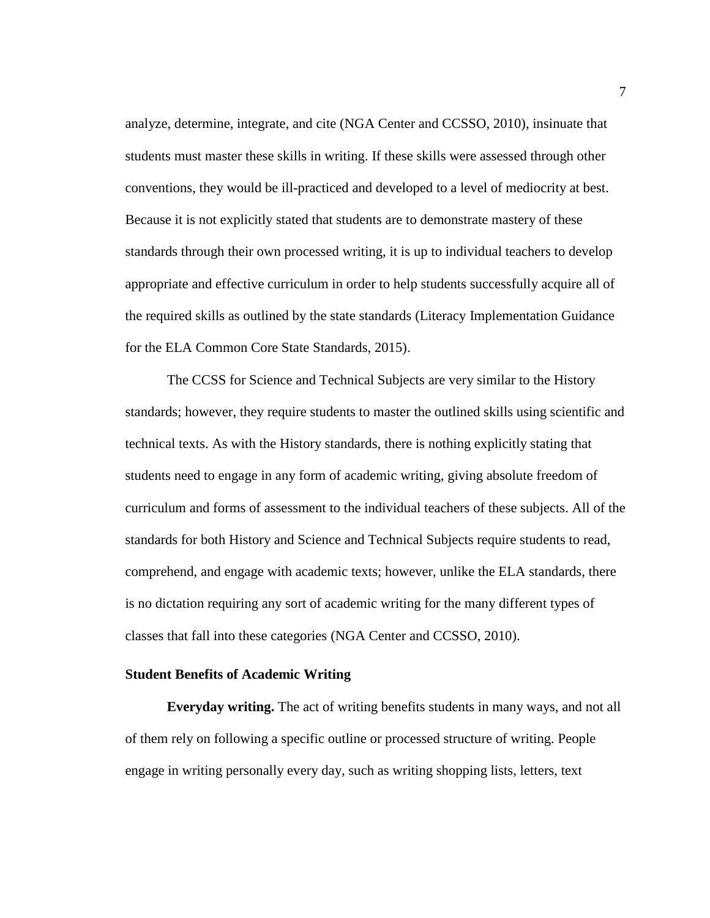analyze, determine, integrate, and cite (NGA Center and CCSSO, 2010), insinuate that students must master these skills in writing. If these skills were assessed through other conventions, they would be ill-practiced and developed to a level of mediocrity at best. Because it is not explicitly stated that students are to demonstrate mastery of these standards through their own processed writing, it is up to individual teachers to develop appropriate and effective curriculum in order to help students successfully acquire all of the required skills as outlined by the state standards (Literacy Implementation Guidance for the ELA Common Core State Standards, 2015).

The CCSS for Science and Technical Subjects are very similar to the History standards; however, they require students to master the outlined skills using scientific and technical texts. As with the History standards, there is nothing explicitly stating that students need to engage in any form of academic writing, giving absolute freedom of curriculum and forms of assessment to the individual teachers of these subjects. All of the standards for both History and Science and Technical Subjects require students to read, comprehend, and engage with academic texts; however, unlike the ELA standards, there is no dictation requiring any sort of academic writing for the many different types of classes that fall into these categories (NGA Center and CCSSO, 2010).

# <span id="page-13-0"></span>**Student Benefits of Academic Writing**

<span id="page-13-1"></span>**Everyday writing.** The act of writing benefits students in many ways, and not all of them rely on following a specific outline or processed structure of writing. People engage in writing personally every day, such as writing shopping lists, letters, text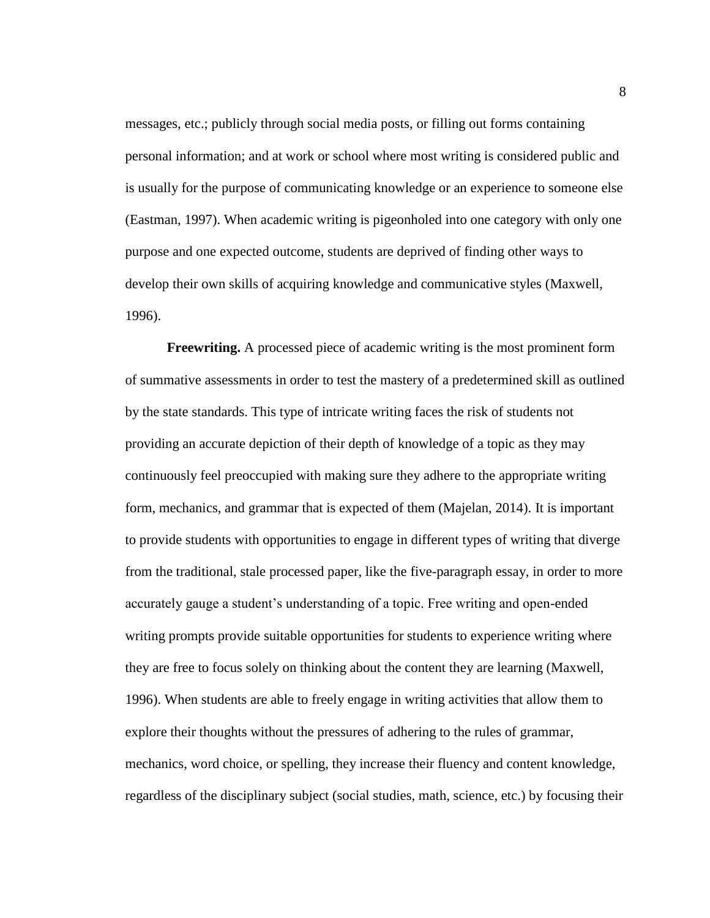messages, etc.; publicly through social media posts, or filling out forms containing personal information; and at work or school where most writing is considered public and is usually for the purpose of communicating knowledge or an experience to someone else (Eastman, 1997). When academic writing is pigeonholed into one category with only one purpose and one expected outcome, students are deprived of finding other ways to develop their own skills of acquiring knowledge and communicative styles (Maxwell, 1996).

<span id="page-14-0"></span>**Freewriting.** A processed piece of academic writing is the most prominent form of summative assessments in order to test the mastery of a predetermined skill as outlined by the state standards. This type of intricate writing faces the risk of students not providing an accurate depiction of their depth of knowledge of a topic as they may continuously feel preoccupied with making sure they adhere to the appropriate writing form, mechanics, and grammar that is expected of them (Majelan, 2014). It is important to provide students with opportunities to engage in different types of writing that diverge from the traditional, stale processed paper, like the five-paragraph essay, in order to more accurately gauge a student's understanding of a topic. Free writing and open-ended writing prompts provide suitable opportunities for students to experience writing where they are free to focus solely on thinking about the content they are learning (Maxwell, 1996). When students are able to freely engage in writing activities that allow them to explore their thoughts without the pressures of adhering to the rules of grammar, mechanics, word choice, or spelling, they increase their fluency and content knowledge, regardless of the disciplinary subject (social studies, math, science, etc.) by focusing their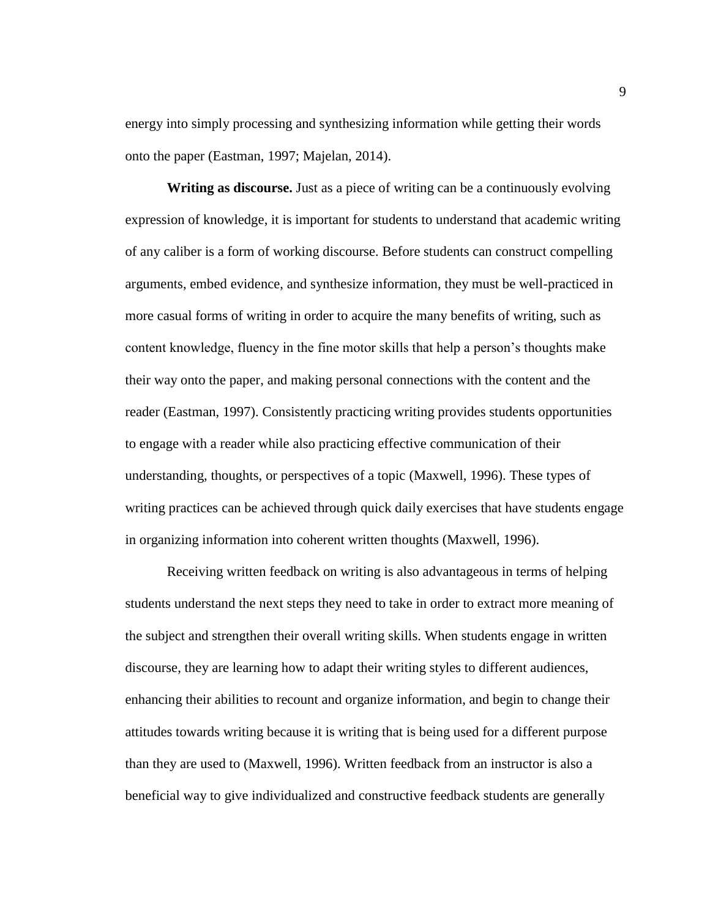energy into simply processing and synthesizing information while getting their words onto the paper (Eastman, 1997; Majelan, 2014).

<span id="page-15-0"></span>**Writing as discourse.** Just as a piece of writing can be a continuously evolving expression of knowledge, it is important for students to understand that academic writing of any caliber is a form of working discourse. Before students can construct compelling arguments, embed evidence, and synthesize information, they must be well-practiced in more casual forms of writing in order to acquire the many benefits of writing, such as content knowledge, fluency in the fine motor skills that help a person's thoughts make their way onto the paper, and making personal connections with the content and the reader (Eastman, 1997). Consistently practicing writing provides students opportunities to engage with a reader while also practicing effective communication of their understanding, thoughts, or perspectives of a topic (Maxwell, 1996). These types of writing practices can be achieved through quick daily exercises that have students engage in organizing information into coherent written thoughts (Maxwell, 1996).

Receiving written feedback on writing is also advantageous in terms of helping students understand the next steps they need to take in order to extract more meaning of the subject and strengthen their overall writing skills. When students engage in written discourse, they are learning how to adapt their writing styles to different audiences, enhancing their abilities to recount and organize information, and begin to change their attitudes towards writing because it is writing that is being used for a different purpose than they are used to (Maxwell, 1996). Written feedback from an instructor is also a beneficial way to give individualized and constructive feedback students are generally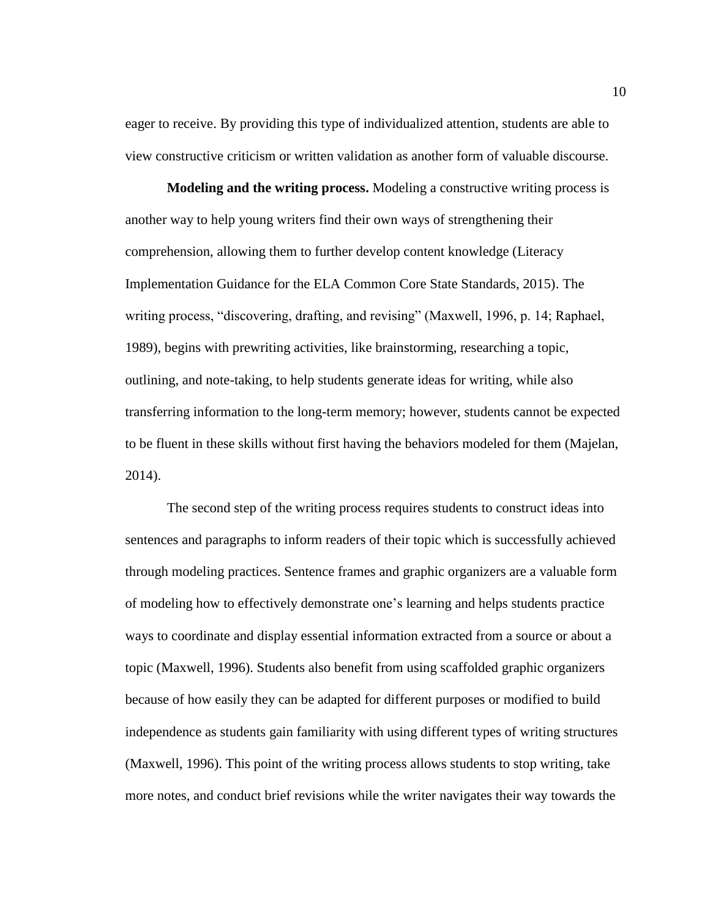eager to receive. By providing this type of individualized attention, students are able to view constructive criticism or written validation as another form of valuable discourse.

<span id="page-16-0"></span>**Modeling and the writing process.** Modeling a constructive writing process is another way to help young writers find their own ways of strengthening their comprehension, allowing them to further develop content knowledge (Literacy Implementation Guidance for the ELA Common Core State Standards, 2015). The writing process, "discovering, drafting, and revising" (Maxwell, 1996, p. 14; Raphael, 1989), begins with prewriting activities, like brainstorming, researching a topic, outlining, and note-taking, to help students generate ideas for writing, while also transferring information to the long-term memory; however, students cannot be expected to be fluent in these skills without first having the behaviors modeled for them (Majelan, 2014).

The second step of the writing process requires students to construct ideas into sentences and paragraphs to inform readers of their topic which is successfully achieved through modeling practices. Sentence frames and graphic organizers are a valuable form of modeling how to effectively demonstrate one's learning and helps students practice ways to coordinate and display essential information extracted from a source or about a topic (Maxwell, 1996). Students also benefit from using scaffolded graphic organizers because of how easily they can be adapted for different purposes or modified to build independence as students gain familiarity with using different types of writing structures (Maxwell, 1996). This point of the writing process allows students to stop writing, take more notes, and conduct brief revisions while the writer navigates their way towards the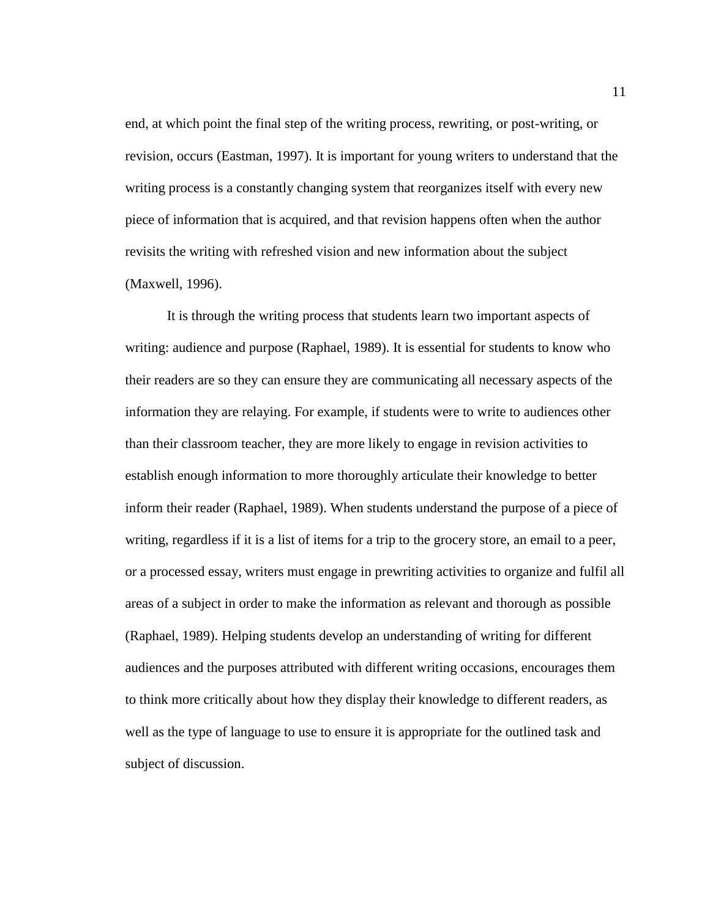end, at which point the final step of the writing process, rewriting, or post-writing, or revision, occurs (Eastman, 1997). It is important for young writers to understand that the writing process is a constantly changing system that reorganizes itself with every new piece of information that is acquired, and that revision happens often when the author revisits the writing with refreshed vision and new information about the subject (Maxwell, 1996).

It is through the writing process that students learn two important aspects of writing: audience and purpose (Raphael, 1989). It is essential for students to know who their readers are so they can ensure they are communicating all necessary aspects of the information they are relaying. For example, if students were to write to audiences other than their classroom teacher, they are more likely to engage in revision activities to establish enough information to more thoroughly articulate their knowledge to better inform their reader (Raphael, 1989). When students understand the purpose of a piece of writing, regardless if it is a list of items for a trip to the grocery store, an email to a peer, or a processed essay, writers must engage in prewriting activities to organize and fulfil all areas of a subject in order to make the information as relevant and thorough as possible (Raphael, 1989). Helping students develop an understanding of writing for different audiences and the purposes attributed with different writing occasions, encourages them to think more critically about how they display their knowledge to different readers, as well as the type of language to use to ensure it is appropriate for the outlined task and subject of discussion.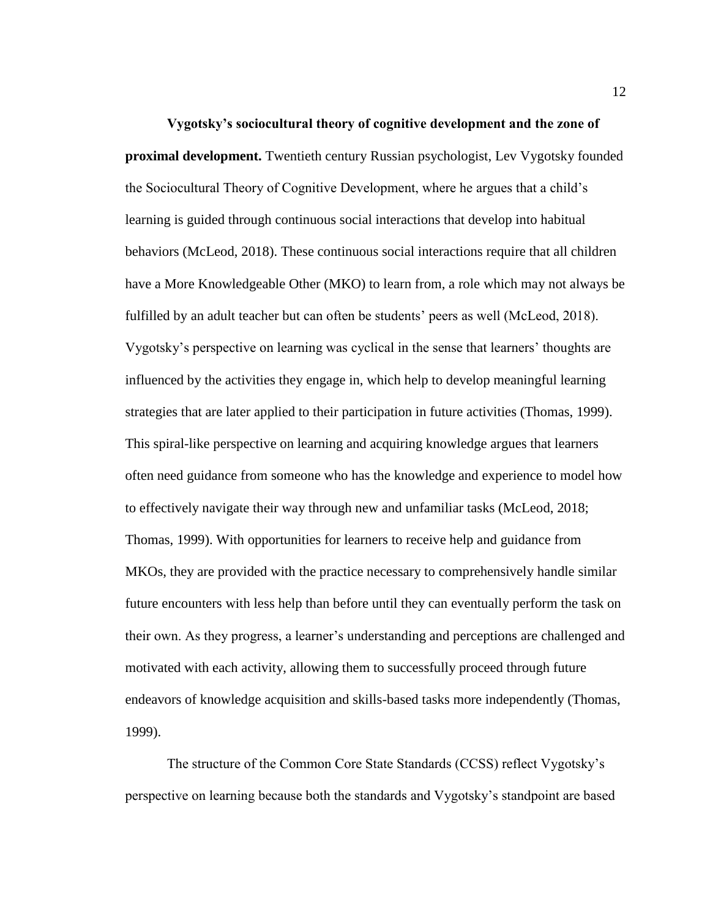<span id="page-18-0"></span>**Vygotsky's sociocultural theory of cognitive development and the zone of proximal development.** Twentieth century Russian psychologist, Lev Vygotsky founded the Sociocultural Theory of Cognitive Development, where he argues that a child's learning is guided through continuous social interactions that develop into habitual behaviors (McLeod, 2018). These continuous social interactions require that all children have a More Knowledgeable Other (MKO) to learn from, a role which may not always be fulfilled by an adult teacher but can often be students' peers as well (McLeod, 2018). Vygotsky's perspective on learning was cyclical in the sense that learners' thoughts are influenced by the activities they engage in, which help to develop meaningful learning strategies that are later applied to their participation in future activities (Thomas, 1999). This spiral-like perspective on learning and acquiring knowledge argues that learners often need guidance from someone who has the knowledge and experience to model how to effectively navigate their way through new and unfamiliar tasks (McLeod, 2018; Thomas, 1999). With opportunities for learners to receive help and guidance from MKOs, they are provided with the practice necessary to comprehensively handle similar future encounters with less help than before until they can eventually perform the task on their own. As they progress, a learner's understanding and perceptions are challenged and motivated with each activity, allowing them to successfully proceed through future endeavors of knowledge acquisition and skills-based tasks more independently (Thomas, 1999).

The structure of the Common Core State Standards (CCSS) reflect Vygotsky's perspective on learning because both the standards and Vygotsky's standpoint are based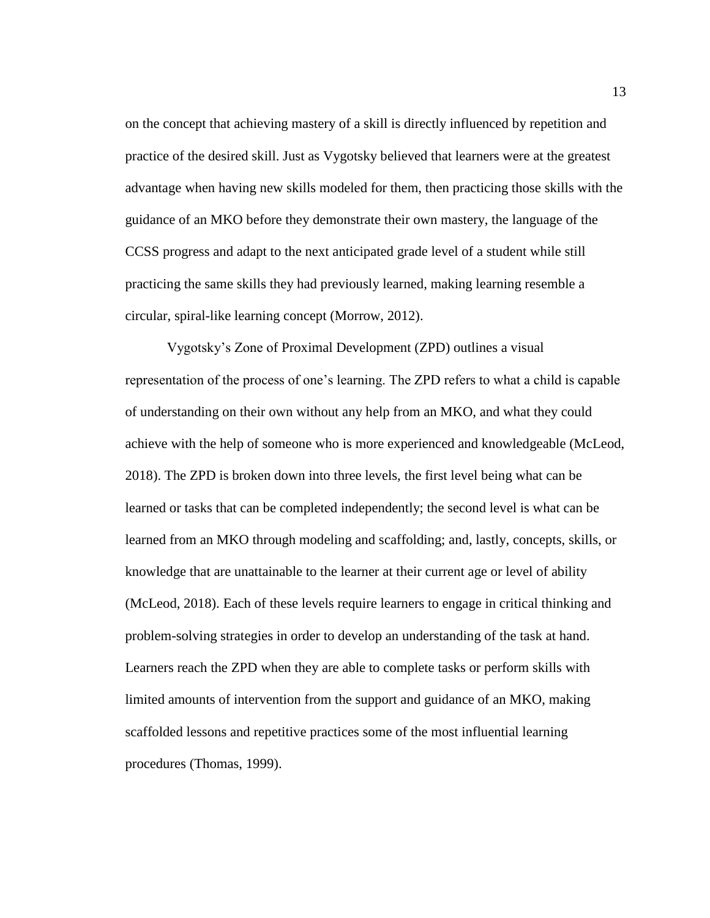on the concept that achieving mastery of a skill is directly influenced by repetition and practice of the desired skill. Just as Vygotsky believed that learners were at the greatest advantage when having new skills modeled for them, then practicing those skills with the guidance of an MKO before they demonstrate their own mastery, the language of the CCSS progress and adapt to the next anticipated grade level of a student while still practicing the same skills they had previously learned, making learning resemble a circular, spiral-like learning concept (Morrow, 2012).

Vygotsky's Zone of Proximal Development (ZPD) outlines a visual representation of the process of one's learning. The ZPD refers to what a child is capable of understanding on their own without any help from an MKO, and what they could achieve with the help of someone who is more experienced and knowledgeable (McLeod, 2018). The ZPD is broken down into three levels, the first level being what can be learned or tasks that can be completed independently; the second level is what can be learned from an MKO through modeling and scaffolding; and, lastly, concepts, skills, or knowledge that are unattainable to the learner at their current age or level of ability (McLeod, 2018). Each of these levels require learners to engage in critical thinking and problem-solving strategies in order to develop an understanding of the task at hand. Learners reach the ZPD when they are able to complete tasks or perform skills with limited amounts of intervention from the support and guidance of an MKO, making scaffolded lessons and repetitive practices some of the most influential learning procedures (Thomas, 1999).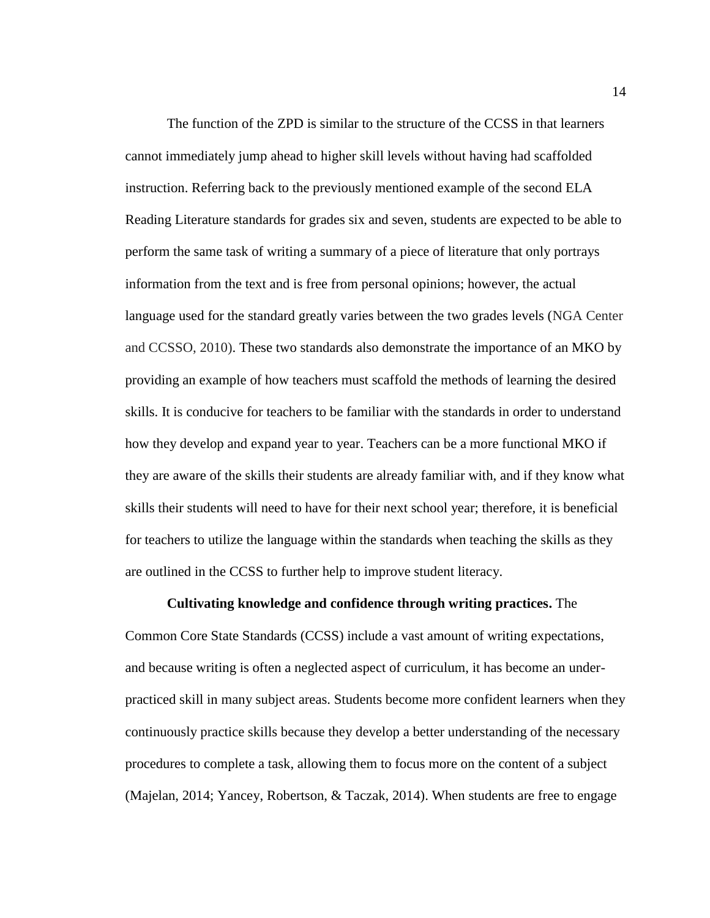The function of the ZPD is similar to the structure of the CCSS in that learners cannot immediately jump ahead to higher skill levels without having had scaffolded instruction. Referring back to the previously mentioned example of the second ELA Reading Literature standards for grades six and seven, students are expected to be able to perform the same task of writing a summary of a piece of literature that only portrays information from the text and is free from personal opinions; however, the actual language used for the standard greatly varies between the two grades levels (NGA Center and CCSSO, 2010). These two standards also demonstrate the importance of an MKO by providing an example of how teachers must scaffold the methods of learning the desired skills. It is conducive for teachers to be familiar with the standards in order to understand how they develop and expand year to year. Teachers can be a more functional MKO if they are aware of the skills their students are already familiar with, and if they know what skills their students will need to have for their next school year; therefore, it is beneficial for teachers to utilize the language within the standards when teaching the skills as they are outlined in the CCSS to further help to improve student literacy.

# **Cultivating knowledge and confidence through writing practices.** The

<span id="page-20-0"></span>Common Core State Standards (CCSS) include a vast amount of writing expectations, and because writing is often a neglected aspect of curriculum, it has become an underpracticed skill in many subject areas. Students become more confident learners when they continuously practice skills because they develop a better understanding of the necessary procedures to complete a task, allowing them to focus more on the content of a subject (Majelan, 2014; Yancey, Robertson, & Taczak, 2014). When students are free to engage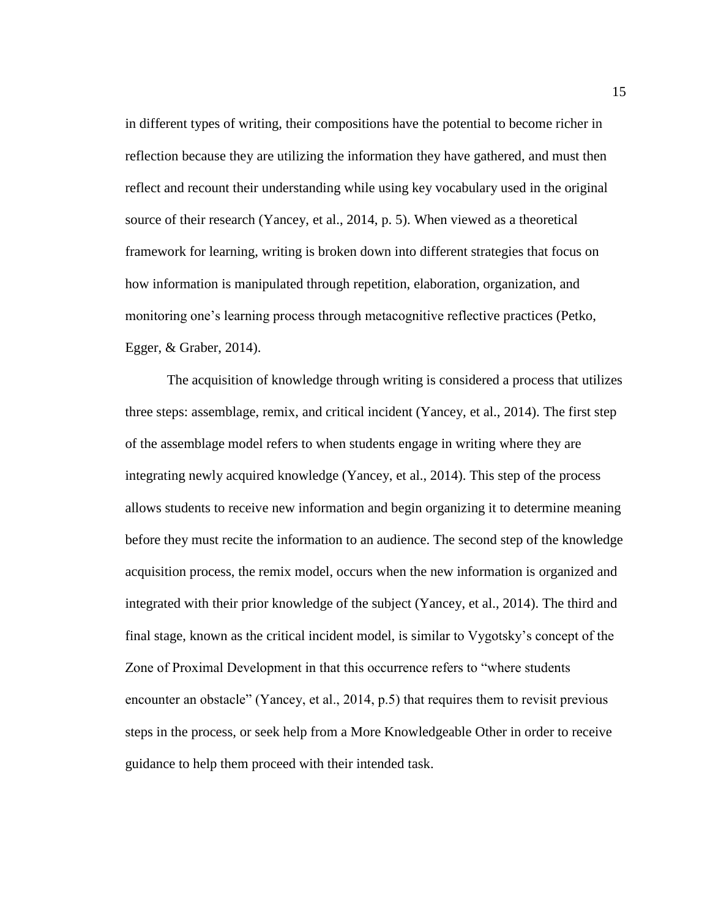in different types of writing, their compositions have the potential to become richer in reflection because they are utilizing the information they have gathered, and must then reflect and recount their understanding while using key vocabulary used in the original source of their research (Yancey, et al., 2014, p. 5). When viewed as a theoretical framework for learning, writing is broken down into different strategies that focus on how information is manipulated through repetition, elaboration, organization, and monitoring one's learning process through metacognitive reflective practices (Petko, Egger, & Graber, 2014).

The acquisition of knowledge through writing is considered a process that utilizes three steps: assemblage, remix, and critical incident (Yancey, et al., 2014). The first step of the assemblage model refers to when students engage in writing where they are integrating newly acquired knowledge (Yancey, et al., 2014). This step of the process allows students to receive new information and begin organizing it to determine meaning before they must recite the information to an audience. The second step of the knowledge acquisition process, the remix model, occurs when the new information is organized and integrated with their prior knowledge of the subject (Yancey, et al., 2014). The third and final stage, known as the critical incident model, is similar to Vygotsky's concept of the Zone of Proximal Development in that this occurrence refers to "where students encounter an obstacle" (Yancey, et al., 2014, p.5) that requires them to revisit previous steps in the process, or seek help from a More Knowledgeable Other in order to receive guidance to help them proceed with their intended task.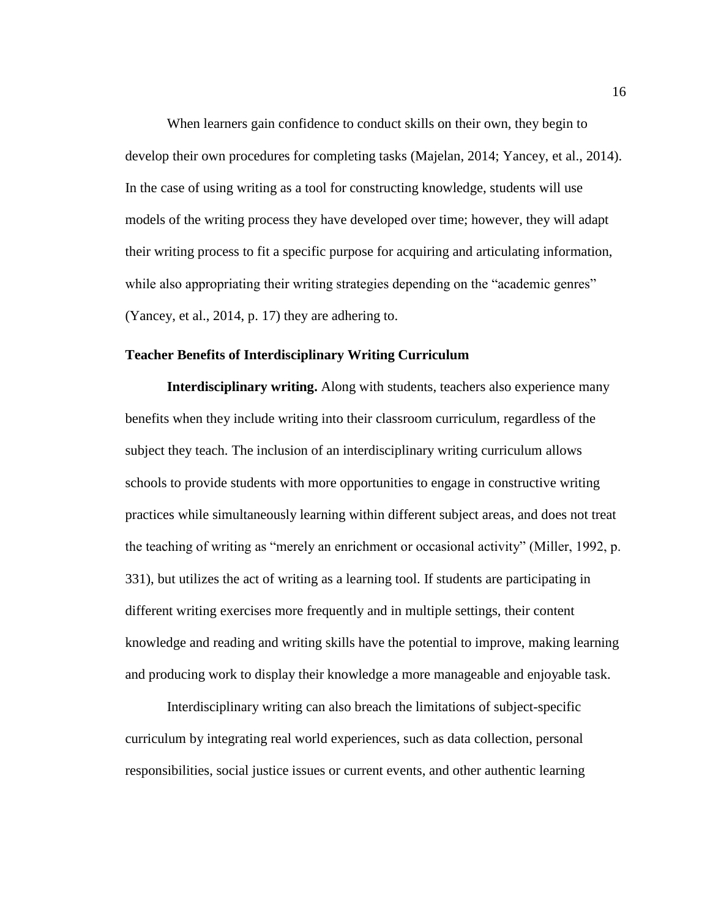When learners gain confidence to conduct skills on their own, they begin to develop their own procedures for completing tasks (Majelan, 2014; Yancey, et al., 2014). In the case of using writing as a tool for constructing knowledge, students will use models of the writing process they have developed over time; however, they will adapt their writing process to fit a specific purpose for acquiring and articulating information, while also appropriating their writing strategies depending on the "academic genres" (Yancey, et al., 2014, p. 17) they are adhering to.

#### <span id="page-22-0"></span>**Teacher Benefits of Interdisciplinary Writing Curriculum**

<span id="page-22-1"></span>**Interdisciplinary writing.** Along with students, teachers also experience many benefits when they include writing into their classroom curriculum, regardless of the subject they teach. The inclusion of an interdisciplinary writing curriculum allows schools to provide students with more opportunities to engage in constructive writing practices while simultaneously learning within different subject areas, and does not treat the teaching of writing as "merely an enrichment or occasional activity" (Miller, 1992, p. 331), but utilizes the act of writing as a learning tool. If students are participating in different writing exercises more frequently and in multiple settings, their content knowledge and reading and writing skills have the potential to improve, making learning and producing work to display their knowledge a more manageable and enjoyable task.

Interdisciplinary writing can also breach the limitations of subject-specific curriculum by integrating real world experiences, such as data collection, personal responsibilities, social justice issues or current events, and other authentic learning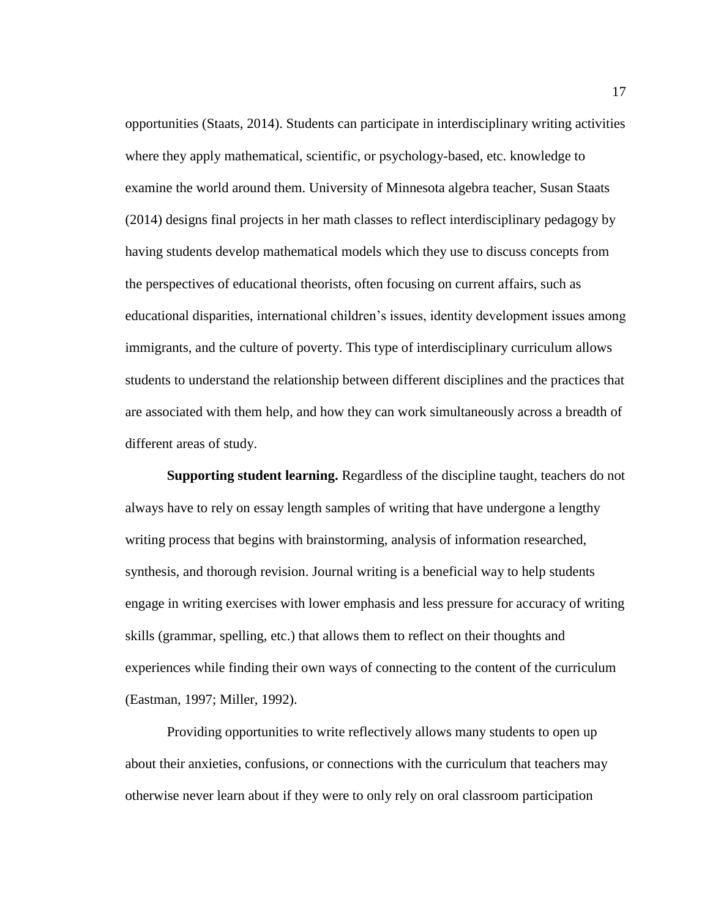opportunities (Staats, 2014). Students can participate in interdisciplinary writing activities where they apply mathematical, scientific, or psychology-based, etc. knowledge to examine the world around them. University of Minnesota algebra teacher, Susan Staats (2014) designs final projects in her math classes to reflect interdisciplinary pedagogy by having students develop mathematical models which they use to discuss concepts from the perspectives of educational theorists, often focusing on current affairs, such as educational disparities, international children's issues, identity development issues among immigrants, and the culture of poverty. This type of interdisciplinary curriculum allows students to understand the relationship between different disciplines and the practices that are associated with them help, and how they can work simultaneously across a breadth of different areas of study.

<span id="page-23-0"></span>**Supporting student learning.** Regardless of the discipline taught, teachers do not always have to rely on essay length samples of writing that have undergone a lengthy writing process that begins with brainstorming, analysis of information researched, synthesis, and thorough revision. Journal writing is a beneficial way to help students engage in writing exercises with lower emphasis and less pressure for accuracy of writing skills (grammar, spelling, etc.) that allows them to reflect on their thoughts and experiences while finding their own ways of connecting to the content of the curriculum (Eastman, 1997; Miller, 1992).

Providing opportunities to write reflectively allows many students to open up about their anxieties, confusions, or connections with the curriculum that teachers may otherwise never learn about if they were to only rely on oral classroom participation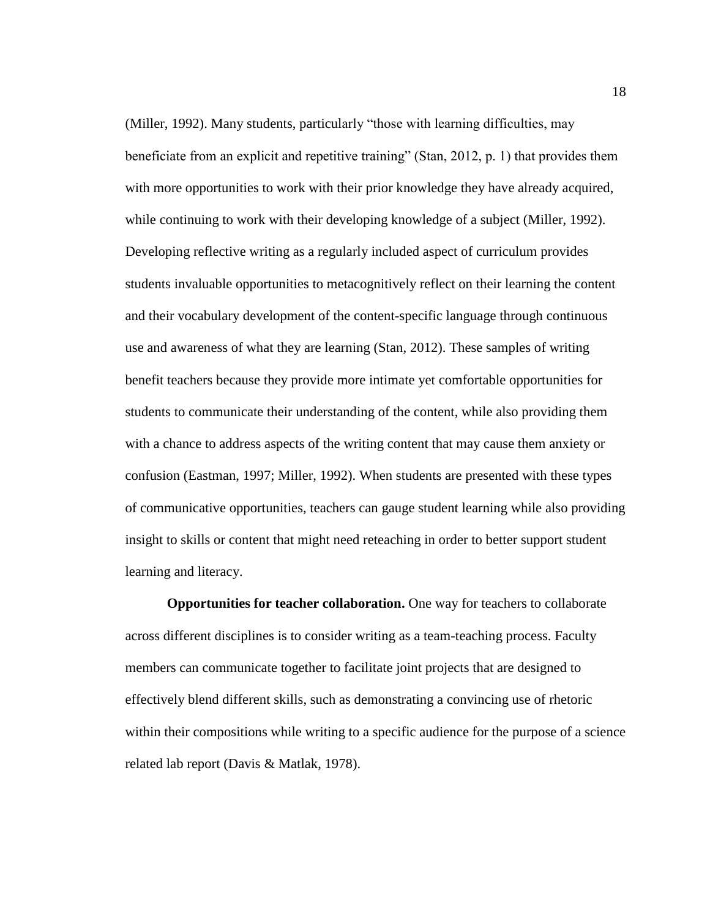(Miller, 1992). Many students, particularly "those with learning difficulties, may beneficiate from an explicit and repetitive training" (Stan, 2012, p. 1) that provides them with more opportunities to work with their prior knowledge they have already acquired, while continuing to work with their developing knowledge of a subject (Miller, 1992). Developing reflective writing as a regularly included aspect of curriculum provides students invaluable opportunities to metacognitively reflect on their learning the content and their vocabulary development of the content-specific language through continuous use and awareness of what they are learning (Stan, 2012). These samples of writing benefit teachers because they provide more intimate yet comfortable opportunities for students to communicate their understanding of the content, while also providing them with a chance to address aspects of the writing content that may cause them anxiety or confusion (Eastman, 1997; Miller, 1992). When students are presented with these types of communicative opportunities, teachers can gauge student learning while also providing insight to skills or content that might need reteaching in order to better support student learning and literacy.

<span id="page-24-0"></span>**Opportunities for teacher collaboration.** One way for teachers to collaborate across different disciplines is to consider writing as a team-teaching process. Faculty members can communicate together to facilitate joint projects that are designed to effectively blend different skills, such as demonstrating a convincing use of rhetoric within their compositions while writing to a specific audience for the purpose of a science related lab report (Davis & Matlak, 1978).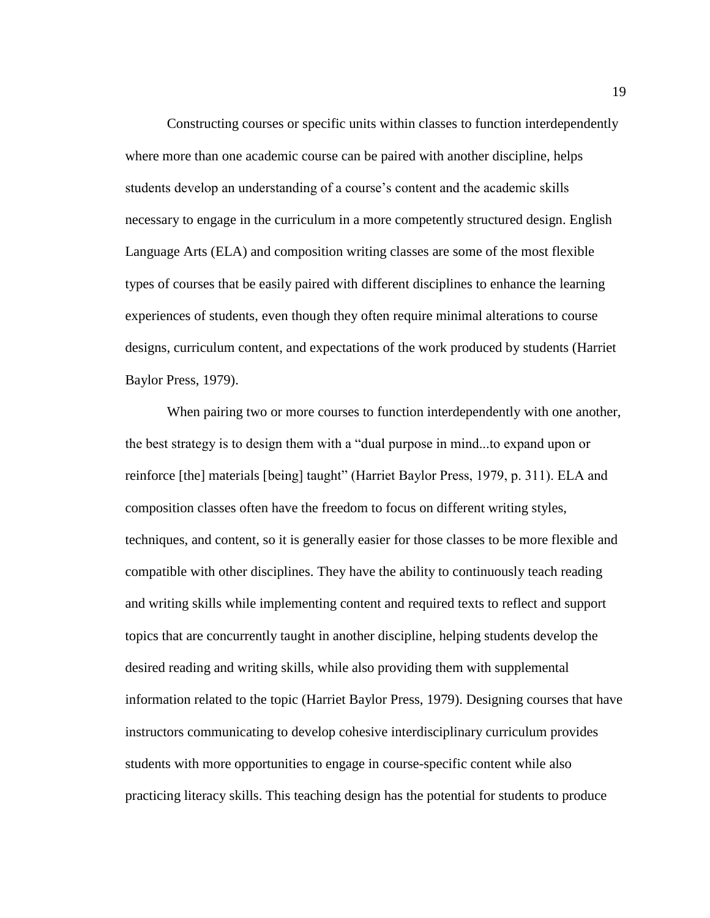Constructing courses or specific units within classes to function interdependently where more than one academic course can be paired with another discipline, helps students develop an understanding of a course's content and the academic skills necessary to engage in the curriculum in a more competently structured design. English Language Arts (ELA) and composition writing classes are some of the most flexible types of courses that be easily paired with different disciplines to enhance the learning experiences of students, even though they often require minimal alterations to course designs, curriculum content, and expectations of the work produced by students (Harriet Baylor Press, 1979).

When pairing two or more courses to function interdependently with one another, the best strategy is to design them with a "dual purpose in mind...to expand upon or reinforce [the] materials [being] taught" (Harriet Baylor Press, 1979, p. 311). ELA and composition classes often have the freedom to focus on different writing styles, techniques, and content, so it is generally easier for those classes to be more flexible and compatible with other disciplines. They have the ability to continuously teach reading and writing skills while implementing content and required texts to reflect and support topics that are concurrently taught in another discipline, helping students develop the desired reading and writing skills, while also providing them with supplemental information related to the topic (Harriet Baylor Press, 1979). Designing courses that have instructors communicating to develop cohesive interdisciplinary curriculum provides students with more opportunities to engage in course-specific content while also practicing literacy skills. This teaching design has the potential for students to produce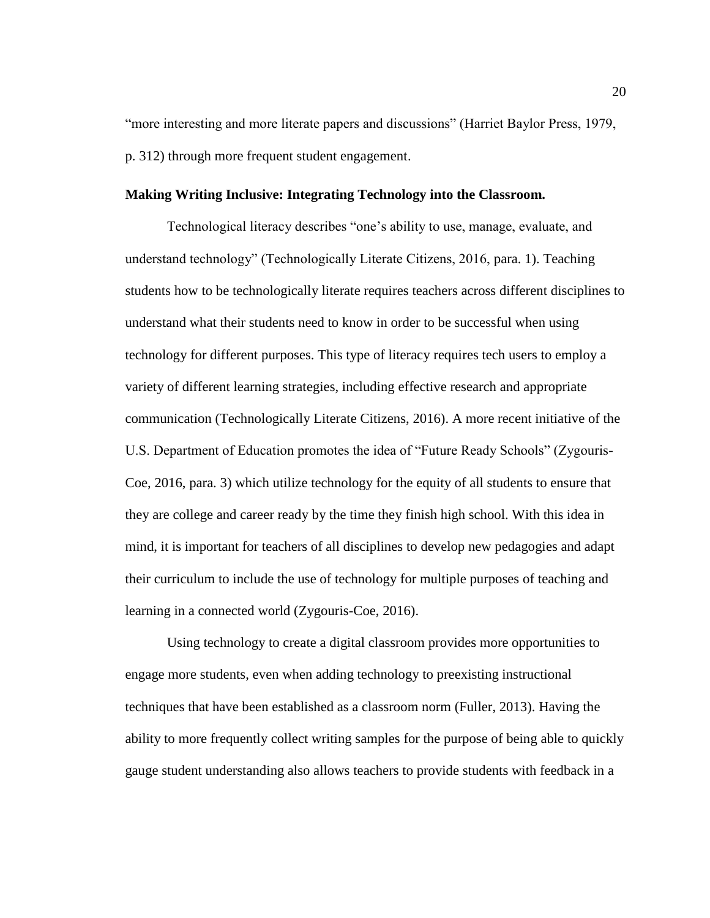"more interesting and more literate papers and discussions" (Harriet Baylor Press, 1979, p. 312) through more frequent student engagement.

#### <span id="page-26-0"></span>**Making Writing Inclusive: Integrating Technology into the Classroom.**

Technological literacy describes "one's ability to use, manage, evaluate, and understand technology" (Technologically Literate Citizens, 2016, para. 1). Teaching students how to be technologically literate requires teachers across different disciplines to understand what their students need to know in order to be successful when using technology for different purposes. This type of literacy requires tech users to employ a variety of different learning strategies, including effective research and appropriate communication (Technologically Literate Citizens, 2016). A more recent initiative of the U.S. Department of Education promotes the idea of "Future Ready Schools" (Zygouris-Coe, 2016, para. 3) which utilize technology for the equity of all students to ensure that they are college and career ready by the time they finish high school. With this idea in mind, it is important for teachers of all disciplines to develop new pedagogies and adapt their curriculum to include the use of technology for multiple purposes of teaching and learning in a connected world (Zygouris-Coe, 2016).

Using technology to create a digital classroom provides more opportunities to engage more students, even when adding technology to preexisting instructional techniques that have been established as a classroom norm (Fuller, 2013). Having the ability to more frequently collect writing samples for the purpose of being able to quickly gauge student understanding also allows teachers to provide students with feedback in a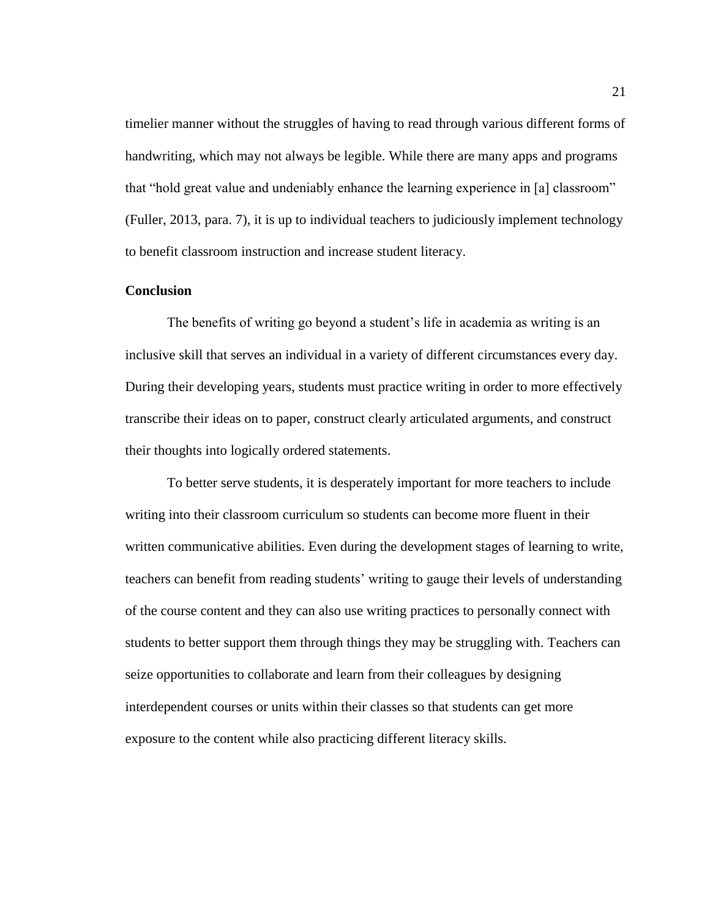timelier manner without the struggles of having to read through various different forms of handwriting, which may not always be legible. While there are many apps and programs that "hold great value and undeniably enhance the learning experience in [a] classroom" (Fuller, 2013, para. 7), it is up to individual teachers to judiciously implement technology to benefit classroom instruction and increase student literacy.

#### <span id="page-27-0"></span>**Conclusion**

The benefits of writing go beyond a student's life in academia as writing is an inclusive skill that serves an individual in a variety of different circumstances every day. During their developing years, students must practice writing in order to more effectively transcribe their ideas on to paper, construct clearly articulated arguments, and construct their thoughts into logically ordered statements.

To better serve students, it is desperately important for more teachers to include writing into their classroom curriculum so students can become more fluent in their written communicative abilities. Even during the development stages of learning to write, teachers can benefit from reading students' writing to gauge their levels of understanding of the course content and they can also use writing practices to personally connect with students to better support them through things they may be struggling with. Teachers can seize opportunities to collaborate and learn from their colleagues by designing interdependent courses or units within their classes so that students can get more exposure to the content while also practicing different literacy skills.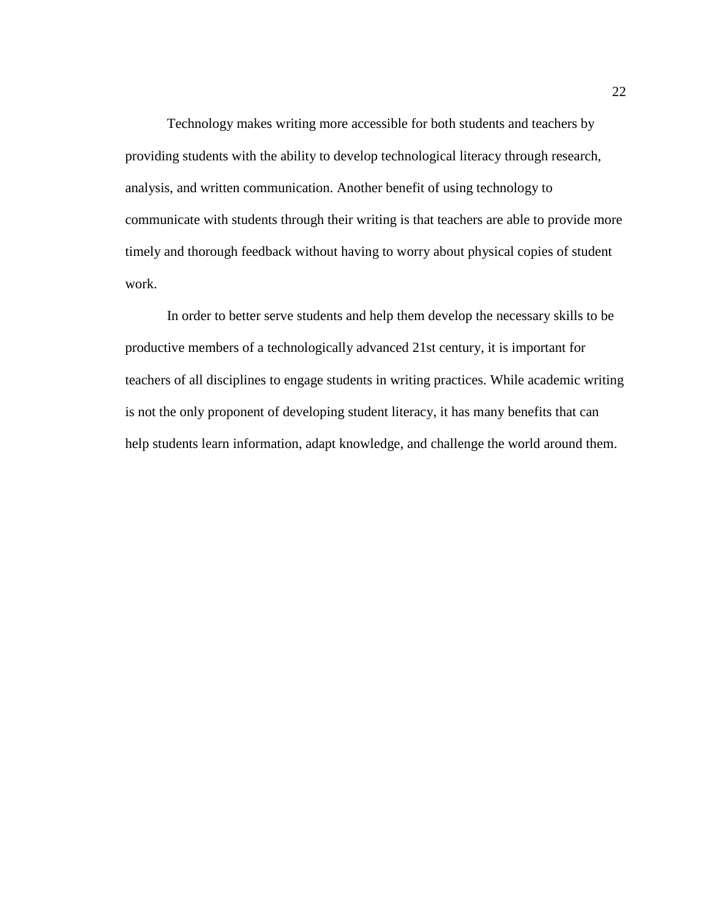Technology makes writing more accessible for both students and teachers by providing students with the ability to develop technological literacy through research, analysis, and written communication. Another benefit of using technology to communicate with students through their writing is that teachers are able to provide more timely and thorough feedback without having to worry about physical copies of student work.

In order to better serve students and help them develop the necessary skills to be productive members of a technologically advanced 21st century, it is important for teachers of all disciplines to engage students in writing practices. While academic writing is not the only proponent of developing student literacy, it has many benefits that can help students learn information, adapt knowledge, and challenge the world around them.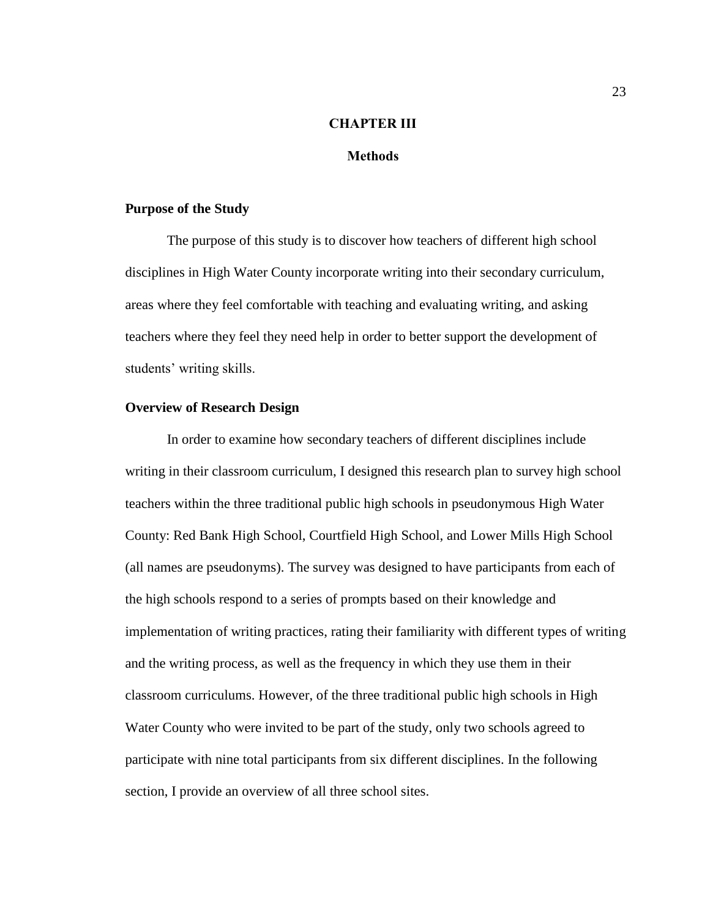# **CHAPTER III**

# **Methods**

#### <span id="page-29-1"></span><span id="page-29-0"></span>**Purpose of the Study**

The purpose of this study is to discover how teachers of different high school disciplines in High Water County incorporate writing into their secondary curriculum, areas where they feel comfortable with teaching and evaluating writing, and asking teachers where they feel they need help in order to better support the development of students' writing skills.

# <span id="page-29-2"></span>**Overview of Research Design**

In order to examine how secondary teachers of different disciplines include writing in their classroom curriculum, I designed this research plan to survey high school teachers within the three traditional public high schools in pseudonymous High Water County: Red Bank High School, Courtfield High School, and Lower Mills High School (all names are pseudonyms). The survey was designed to have participants from each of the high schools respond to a series of prompts based on their knowledge and implementation of writing practices, rating their familiarity with different types of writing and the writing process, as well as the frequency in which they use them in their classroom curriculums. However, of the three traditional public high schools in High Water County who were invited to be part of the study, only two schools agreed to participate with nine total participants from six different disciplines. In the following section, I provide an overview of all three school sites.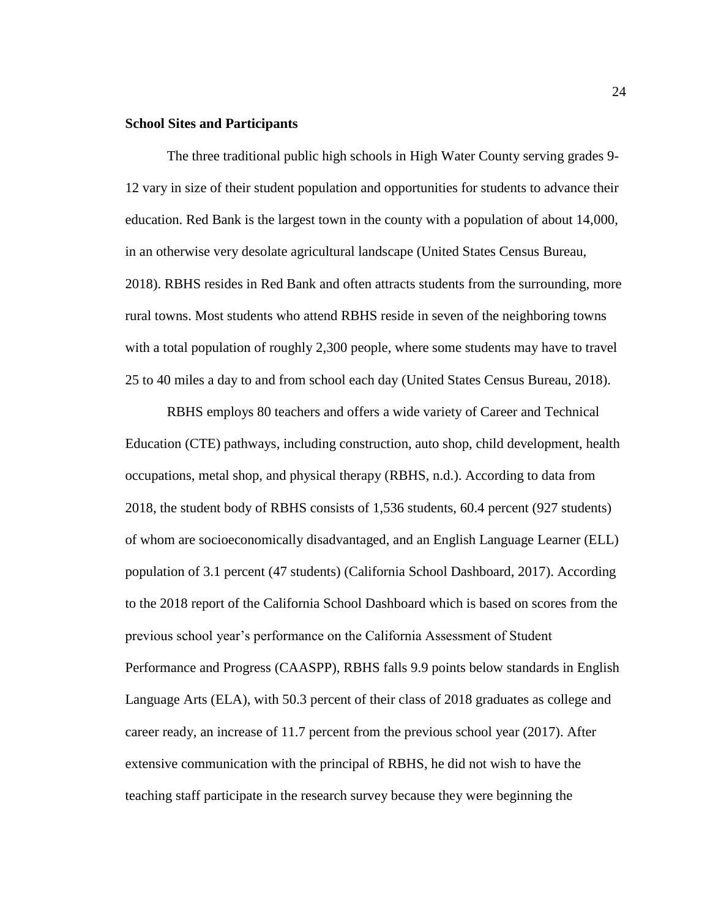# <span id="page-30-0"></span>**School Sites and Participants**

The three traditional public high schools in High Water County serving grades 9- 12 vary in size of their student population and opportunities for students to advance their education. Red Bank is the largest town in the county with a population of about 14,000, in an otherwise very desolate agricultural landscape (United States Census Bureau, 2018). RBHS resides in Red Bank and often attracts students from the surrounding, more rural towns. Most students who attend RBHS reside in seven of the neighboring towns with a total population of roughly 2,300 people, where some students may have to travel 25 to 40 miles a day to and from school each day (United States Census Bureau, 2018).

RBHS employs 80 teachers and offers a wide variety of Career and Technical Education (CTE) pathways, including construction, auto shop, child development, health occupations, metal shop, and physical therapy (RBHS, n.d.). According to data from 2018, the student body of RBHS consists of 1,536 students, 60.4 percent (927 students) of whom are socioeconomically disadvantaged, and an English Language Learner (ELL) population of 3.1 percent (47 students) (California School Dashboard, 2017). According to the 2018 report of the California School Dashboard which is based on scores from the previous school year's performance on the California Assessment of Student Performance and Progress (CAASPP), RBHS falls 9.9 points below standards in English Language Arts (ELA), with 50.3 percent of their class of 2018 graduates as college and career ready, an increase of 11.7 percent from the previous school year (2017). After extensive communication with the principal of RBHS, he did not wish to have the teaching staff participate in the research survey because they were beginning the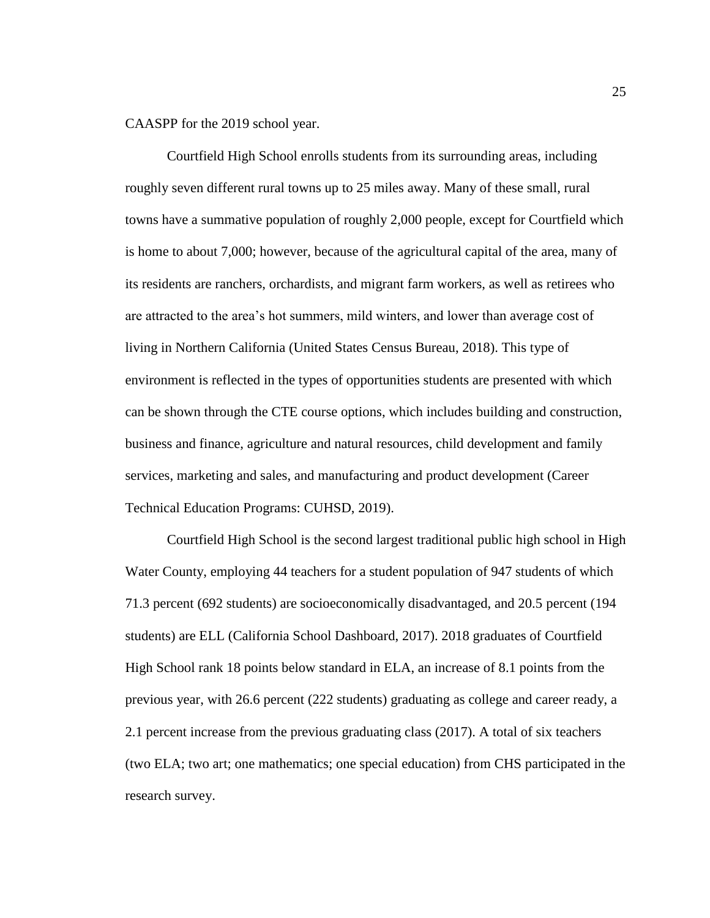CAASPP for the 2019 school year.

Courtfield High School enrolls students from its surrounding areas, including roughly seven different rural towns up to 25 miles away. Many of these small, rural towns have a summative population of roughly 2,000 people, except for Courtfield which is home to about 7,000; however, because of the agricultural capital of the area, many of its residents are ranchers, orchardists, and migrant farm workers, as well as retirees who are attracted to the area's hot summers, mild winters, and lower than average cost of living in Northern California (United States Census Bureau, 2018). This type of environment is reflected in the types of opportunities students are presented with which can be shown through the CTE course options, which includes building and construction, business and finance, agriculture and natural resources, child development and family services, marketing and sales, and manufacturing and product development (Career Technical Education Programs: CUHSD, 2019).

Courtfield High School is the second largest traditional public high school in High Water County, employing 44 teachers for a student population of 947 students of which 71.3 percent (692 students) are socioeconomically disadvantaged, and 20.5 percent (194 students) are ELL (California School Dashboard, 2017). 2018 graduates of Courtfield High School rank 18 points below standard in ELA, an increase of 8.1 points from the previous year, with 26.6 percent (222 students) graduating as college and career ready, a 2.1 percent increase from the previous graduating class (2017). A total of six teachers (two ELA; two art; one mathematics; one special education) from CHS participated in the research survey.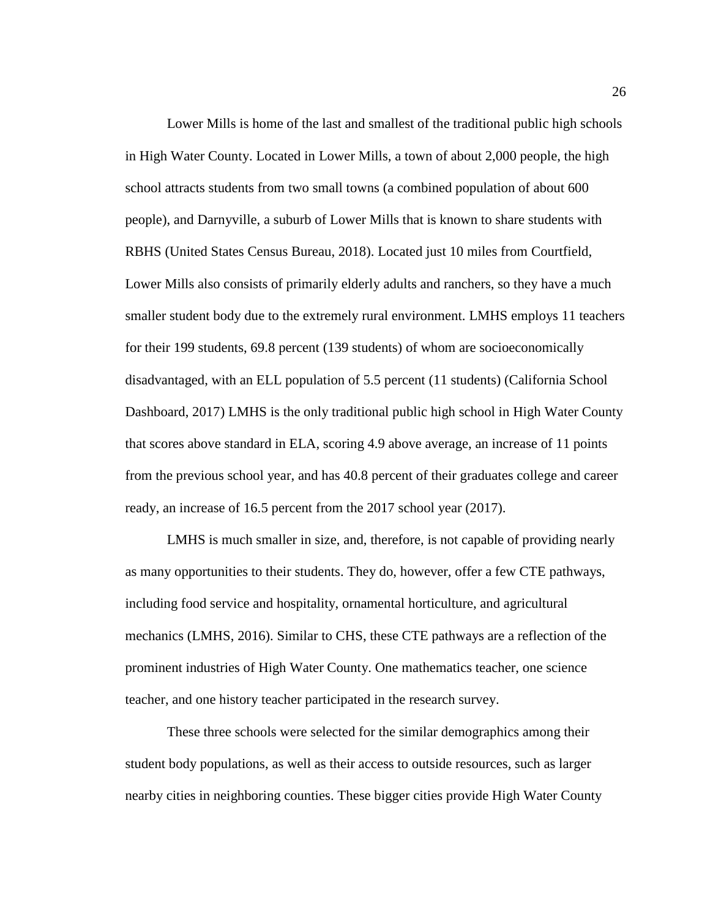Lower Mills is home of the last and smallest of the traditional public high schools in High Water County. Located in Lower Mills, a town of about 2,000 people, the high school attracts students from two small towns (a combined population of about 600 people), and Darnyville, a suburb of Lower Mills that is known to share students with RBHS (United States Census Bureau, 2018). Located just 10 miles from Courtfield, Lower Mills also consists of primarily elderly adults and ranchers, so they have a much smaller student body due to the extremely rural environment. LMHS employs 11 teachers for their 199 students, 69.8 percent (139 students) of whom are socioeconomically disadvantaged, with an ELL population of 5.5 percent (11 students) (California School Dashboard, 2017) LMHS is the only traditional public high school in High Water County that scores above standard in ELA, scoring 4.9 above average, an increase of 11 points from the previous school year, and has 40.8 percent of their graduates college and career ready, an increase of 16.5 percent from the 2017 school year (2017).

LMHS is much smaller in size, and, therefore, is not capable of providing nearly as many opportunities to their students. They do, however, offer a few CTE pathways, including food service and hospitality, ornamental horticulture, and agricultural mechanics (LMHS, 2016). Similar to CHS, these CTE pathways are a reflection of the prominent industries of High Water County. One mathematics teacher, one science teacher, and one history teacher participated in the research survey.

These three schools were selected for the similar demographics among their student body populations, as well as their access to outside resources, such as larger nearby cities in neighboring counties. These bigger cities provide High Water County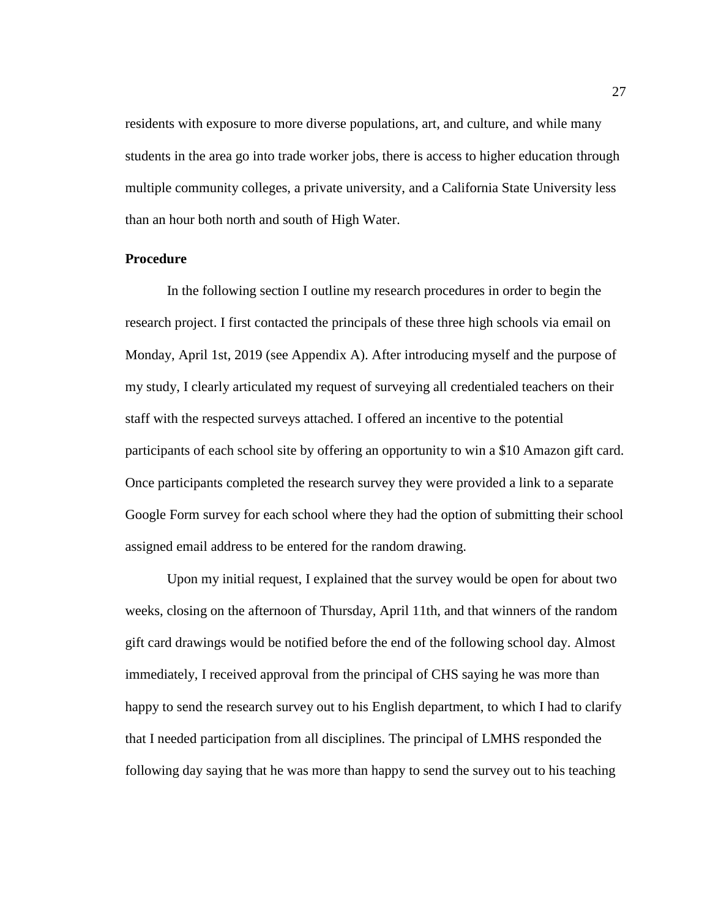residents with exposure to more diverse populations, art, and culture, and while many students in the area go into trade worker jobs, there is access to higher education through multiple community colleges, a private university, and a California State University less than an hour both north and south of High Water.

#### <span id="page-33-0"></span>**Procedure**

In the following section I outline my research procedures in order to begin the research project. I first contacted the principals of these three high schools via email on Monday, April 1st, 2019 (see Appendix A). After introducing myself and the purpose of my study, I clearly articulated my request of surveying all credentialed teachers on their staff with the respected surveys attached. I offered an incentive to the potential participants of each school site by offering an opportunity to win a \$10 Amazon gift card. Once participants completed the research survey they were provided a link to a separate Google Form survey for each school where they had the option of submitting their school assigned email address to be entered for the random drawing.

Upon my initial request, I explained that the survey would be open for about two weeks, closing on the afternoon of Thursday, April 11th, and that winners of the random gift card drawings would be notified before the end of the following school day. Almost immediately, I received approval from the principal of CHS saying he was more than happy to send the research survey out to his English department, to which I had to clarify that I needed participation from all disciplines. The principal of LMHS responded the following day saying that he was more than happy to send the survey out to his teaching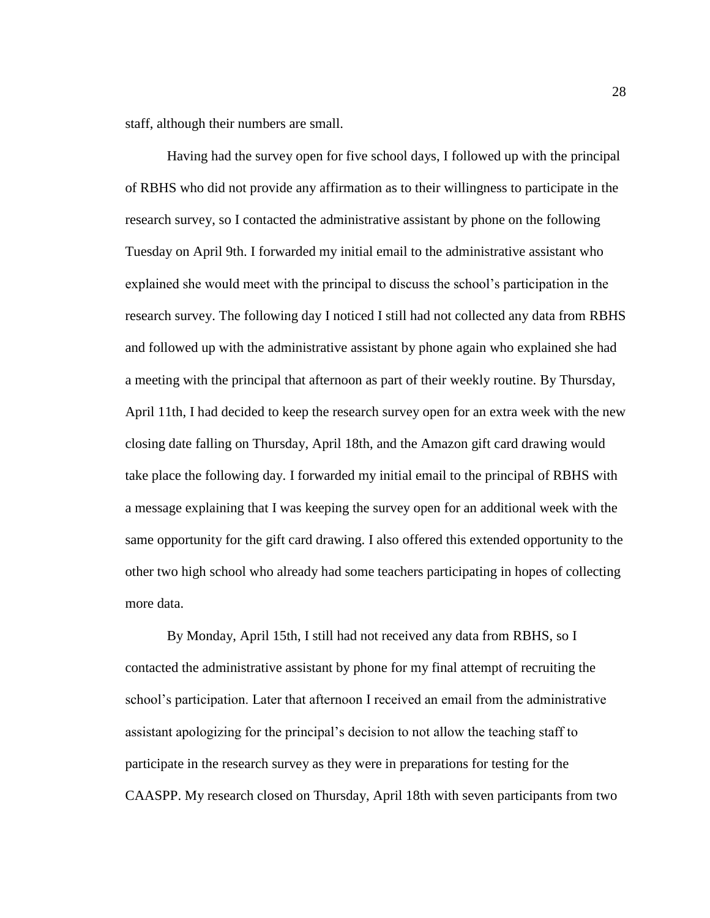staff, although their numbers are small.

Having had the survey open for five school days, I followed up with the principal of RBHS who did not provide any affirmation as to their willingness to participate in the research survey, so I contacted the administrative assistant by phone on the following Tuesday on April 9th. I forwarded my initial email to the administrative assistant who explained she would meet with the principal to discuss the school's participation in the research survey. The following day I noticed I still had not collected any data from RBHS and followed up with the administrative assistant by phone again who explained she had a meeting with the principal that afternoon as part of their weekly routine. By Thursday, April 11th, I had decided to keep the research survey open for an extra week with the new closing date falling on Thursday, April 18th, and the Amazon gift card drawing would take place the following day. I forwarded my initial email to the principal of RBHS with a message explaining that I was keeping the survey open for an additional week with the same opportunity for the gift card drawing. I also offered this extended opportunity to the other two high school who already had some teachers participating in hopes of collecting more data.

By Monday, April 15th, I still had not received any data from RBHS, so I contacted the administrative assistant by phone for my final attempt of recruiting the school's participation. Later that afternoon I received an email from the administrative assistant apologizing for the principal's decision to not allow the teaching staff to participate in the research survey as they were in preparations for testing for the CAASPP. My research closed on Thursday, April 18th with seven participants from two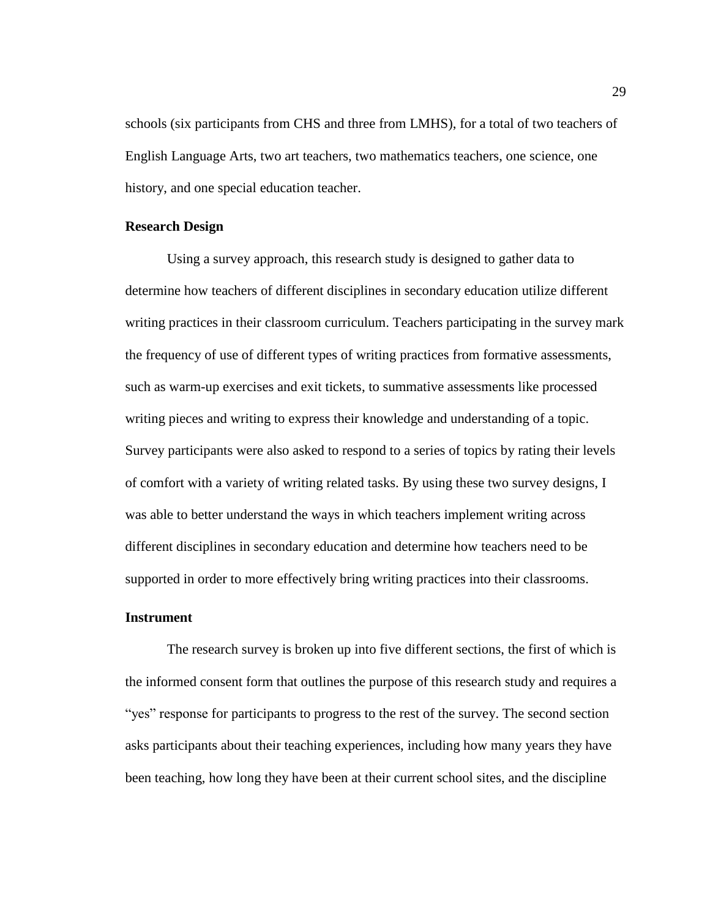schools (six participants from CHS and three from LMHS), for a total of two teachers of English Language Arts, two art teachers, two mathematics teachers, one science, one history, and one special education teacher.

# <span id="page-35-0"></span>**Research Design**

Using a survey approach, this research study is designed to gather data to determine how teachers of different disciplines in secondary education utilize different writing practices in their classroom curriculum. Teachers participating in the survey mark the frequency of use of different types of writing practices from formative assessments, such as warm-up exercises and exit tickets, to summative assessments like processed writing pieces and writing to express their knowledge and understanding of a topic. Survey participants were also asked to respond to a series of topics by rating their levels of comfort with a variety of writing related tasks. By using these two survey designs, I was able to better understand the ways in which teachers implement writing across different disciplines in secondary education and determine how teachers need to be supported in order to more effectively bring writing practices into their classrooms.

#### <span id="page-35-1"></span>**Instrument**

The research survey is broken up into five different sections, the first of which is the informed consent form that outlines the purpose of this research study and requires a "yes" response for participants to progress to the rest of the survey. The second section asks participants about their teaching experiences, including how many years they have been teaching, how long they have been at their current school sites, and the discipline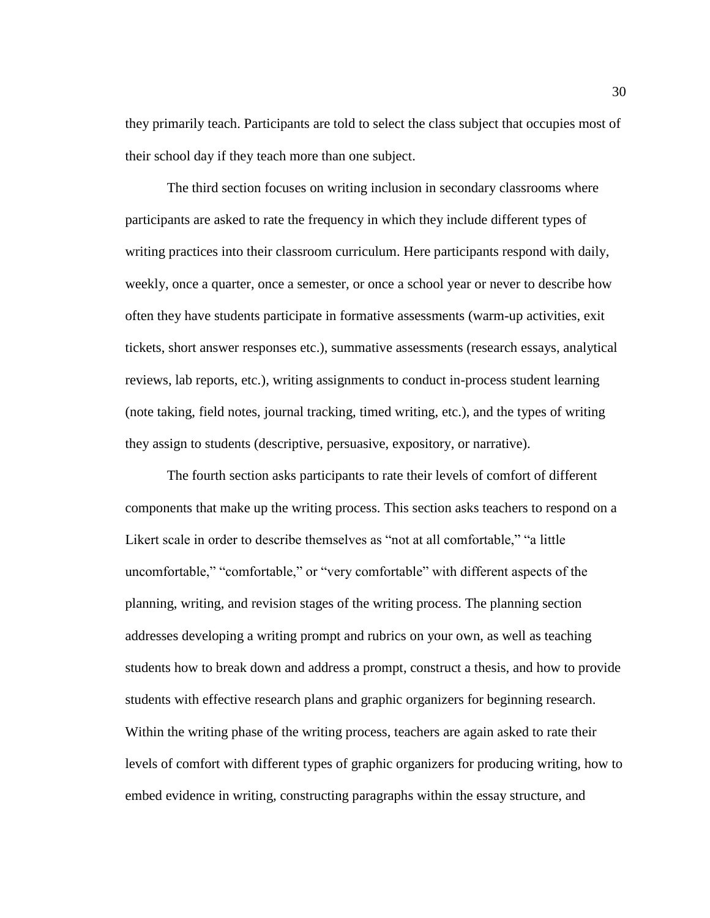they primarily teach. Participants are told to select the class subject that occupies most of their school day if they teach more than one subject.

The third section focuses on writing inclusion in secondary classrooms where participants are asked to rate the frequency in which they include different types of writing practices into their classroom curriculum. Here participants respond with daily, weekly, once a quarter, once a semester, or once a school year or never to describe how often they have students participate in formative assessments (warm-up activities, exit tickets, short answer responses etc.), summative assessments (research essays, analytical reviews, lab reports, etc.), writing assignments to conduct in-process student learning (note taking, field notes, journal tracking, timed writing, etc.), and the types of writing they assign to students (descriptive, persuasive, expository, or narrative).

The fourth section asks participants to rate their levels of comfort of different components that make up the writing process. This section asks teachers to respond on a Likert scale in order to describe themselves as "not at all comfortable," "a little uncomfortable," "comfortable," or "very comfortable" with different aspects of the planning, writing, and revision stages of the writing process. The planning section addresses developing a writing prompt and rubrics on your own, as well as teaching students how to break down and address a prompt, construct a thesis, and how to provide students with effective research plans and graphic organizers for beginning research. Within the writing phase of the writing process, teachers are again asked to rate their levels of comfort with different types of graphic organizers for producing writing, how to embed evidence in writing, constructing paragraphs within the essay structure, and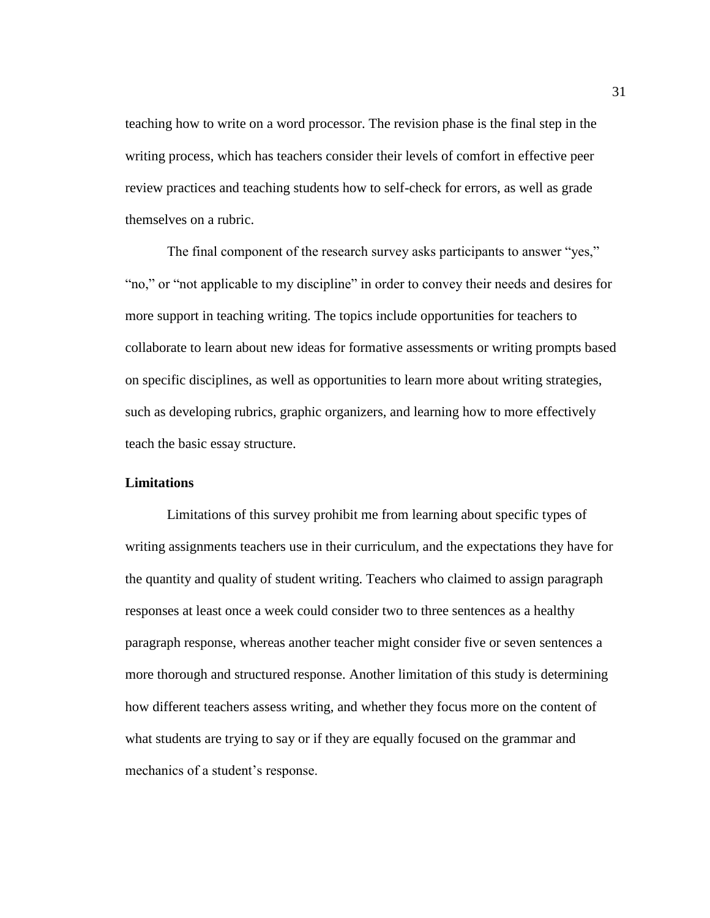teaching how to write on a word processor. The revision phase is the final step in the writing process, which has teachers consider their levels of comfort in effective peer review practices and teaching students how to self-check for errors, as well as grade themselves on a rubric.

The final component of the research survey asks participants to answer "yes," "no," or "not applicable to my discipline" in order to convey their needs and desires for more support in teaching writing. The topics include opportunities for teachers to collaborate to learn about new ideas for formative assessments or writing prompts based on specific disciplines, as well as opportunities to learn more about writing strategies, such as developing rubrics, graphic organizers, and learning how to more effectively teach the basic essay structure.

#### **Limitations**

Limitations of this survey prohibit me from learning about specific types of writing assignments teachers use in their curriculum, and the expectations they have for the quantity and quality of student writing. Teachers who claimed to assign paragraph responses at least once a week could consider two to three sentences as a healthy paragraph response, whereas another teacher might consider five or seven sentences a more thorough and structured response. Another limitation of this study is determining how different teachers assess writing, and whether they focus more on the content of what students are trying to say or if they are equally focused on the grammar and mechanics of a student's response.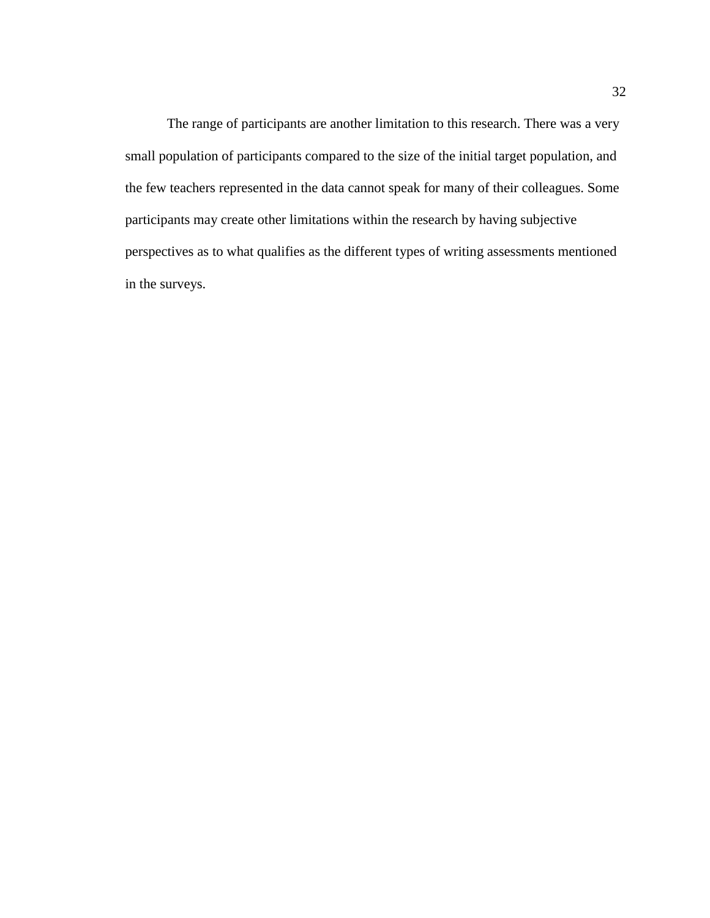The range of participants are another limitation to this research. There was a very small population of participants compared to the size of the initial target population, and the few teachers represented in the data cannot speak for many of their colleagues. Some participants may create other limitations within the research by having subjective perspectives as to what qualifies as the different types of writing assessments mentioned in the surveys.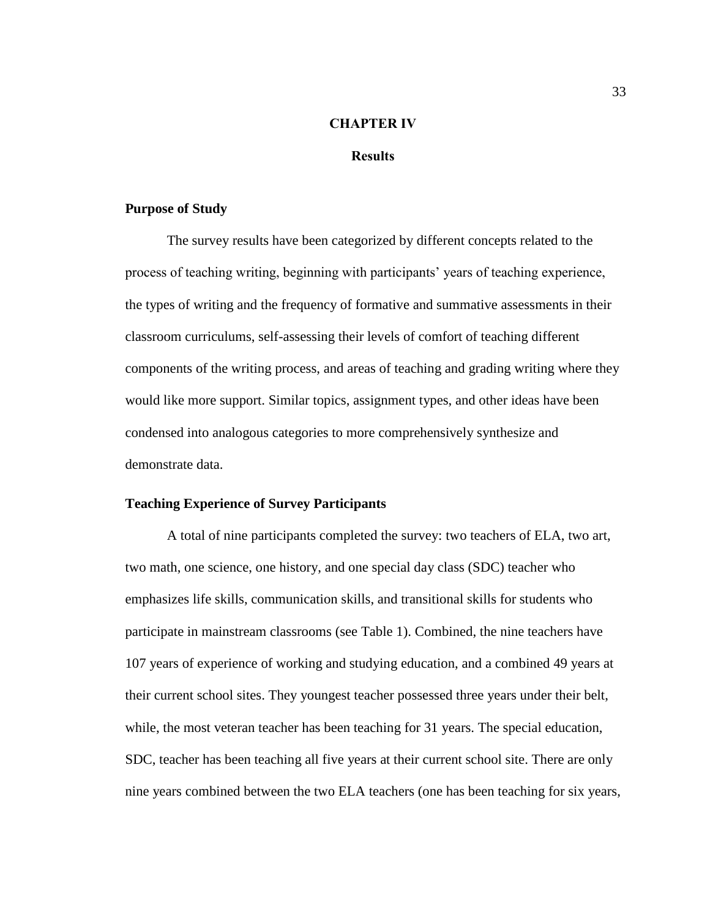## **CHAPTER IV**

## **Results**

## **Purpose of Study**

The survey results have been categorized by different concepts related to the process of teaching writing, beginning with participants' years of teaching experience, the types of writing and the frequency of formative and summative assessments in their classroom curriculums, self-assessing their levels of comfort of teaching different components of the writing process, and areas of teaching and grading writing where they would like more support. Similar topics, assignment types, and other ideas have been condensed into analogous categories to more comprehensively synthesize and demonstrate data.

#### **Teaching Experience of Survey Participants**

A total of nine participants completed the survey: two teachers of ELA, two art, two math, one science, one history, and one special day class (SDC) teacher who emphasizes life skills, communication skills, and transitional skills for students who participate in mainstream classrooms (see Table 1). Combined, the nine teachers have 107 years of experience of working and studying education, and a combined 49 years at their current school sites. They youngest teacher possessed three years under their belt, while, the most veteran teacher has been teaching for 31 years. The special education, SDC, teacher has been teaching all five years at their current school site. There are only nine years combined between the two ELA teachers (one has been teaching for six years,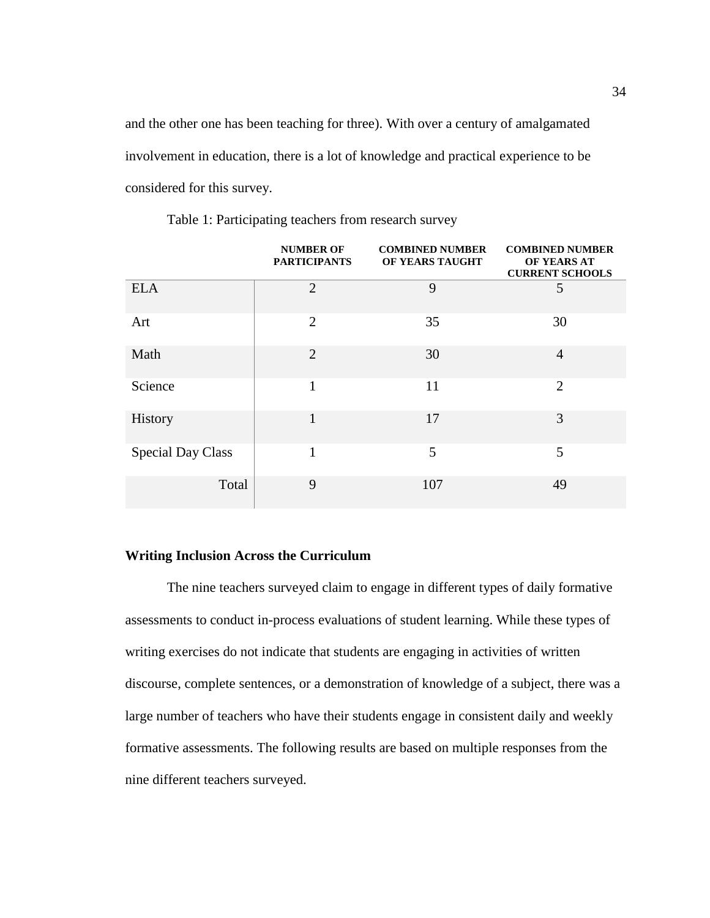and the other one has been teaching for three). With over a century of amalgamated involvement in education, there is a lot of knowledge and practical experience to be considered for this survey.

|                          | <b>NUMBER OF</b><br><b>PARTICIPANTS</b> | <b>COMBINED NUMBER</b><br>OF YEARS TAUGHT | <b>COMBINED NUMBER</b><br>OF YEARS AT<br><b>CURRENT SCHOOLS</b> |
|--------------------------|-----------------------------------------|-------------------------------------------|-----------------------------------------------------------------|
| <b>ELA</b>               | $\overline{2}$                          | 9                                         | 5                                                               |
| Art                      | $\overline{2}$                          | 35                                        | 30                                                              |
| Math                     | $\overline{2}$                          | 30                                        | $\overline{4}$                                                  |
| Science                  | 1                                       | 11                                        | $\overline{2}$                                                  |
| History                  | $\mathbf{1}$                            | 17                                        | 3                                                               |
| <b>Special Day Class</b> | 1                                       | 5                                         | 5                                                               |
| Total                    | 9                                       | 107                                       | 49                                                              |

Table 1: Participating teachers from research survey

## **Writing Inclusion Across the Curriculum**

The nine teachers surveyed claim to engage in different types of daily formative assessments to conduct in-process evaluations of student learning. While these types of writing exercises do not indicate that students are engaging in activities of written discourse, complete sentences, or a demonstration of knowledge of a subject, there was a large number of teachers who have their students engage in consistent daily and weekly formative assessments. The following results are based on multiple responses from the nine different teachers surveyed.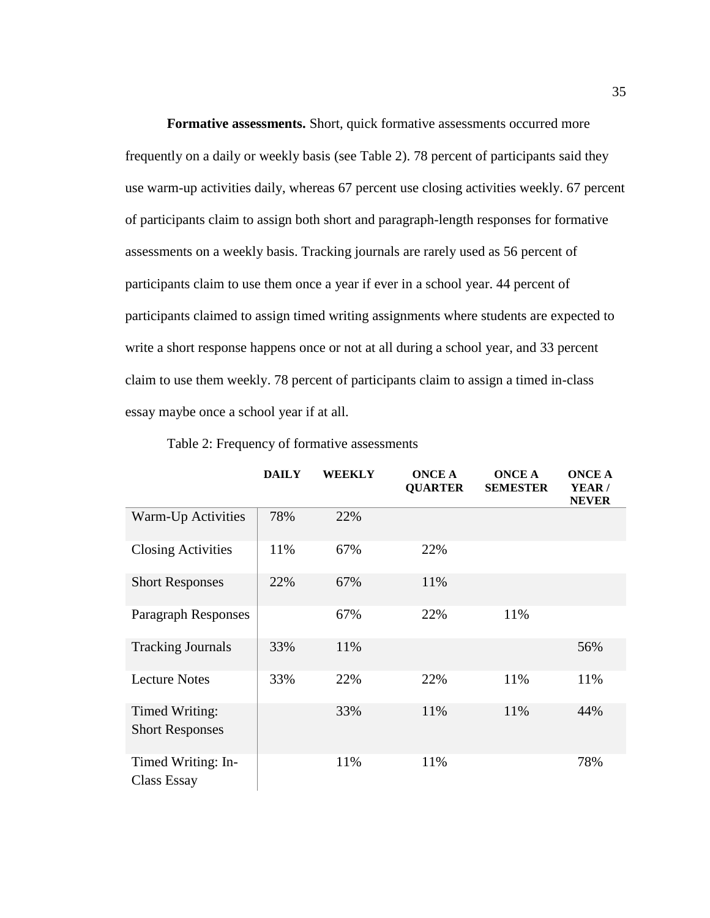**Formative assessments.** Short, quick formative assessments occurred more frequently on a daily or weekly basis (see Table 2). 78 percent of participants said they use warm-up activities daily, whereas 67 percent use closing activities weekly. 67 percent of participants claim to assign both short and paragraph-length responses for formative assessments on a weekly basis. Tracking journals are rarely used as 56 percent of participants claim to use them once a year if ever in a school year. 44 percent of participants claimed to assign timed writing assignments where students are expected to write a short response happens once or not at all during a school year, and 33 percent claim to use them weekly. 78 percent of participants claim to assign a timed in-class essay maybe once a school year if at all.

|                                          | <b>DAILY</b> | <b>WEEKLY</b> | <b>ONCE A</b><br><b>QUARTER</b> | <b>ONCE A</b><br><b>SEMESTER</b> | <b>ONCE A</b><br>YEAR/<br><b>NEVER</b> |
|------------------------------------------|--------------|---------------|---------------------------------|----------------------------------|----------------------------------------|
| Warm-Up Activities                       | 78%          | 22%           |                                 |                                  |                                        |
| <b>Closing Activities</b>                | 11%          | 67%           | 22%                             |                                  |                                        |
| <b>Short Responses</b>                   | 22%          | 67%           | 11%                             |                                  |                                        |
| Paragraph Responses                      |              | 67%           | 22%                             | 11%                              |                                        |
| <b>Tracking Journals</b>                 | 33%          | 11%           |                                 |                                  | 56%                                    |
| <b>Lecture Notes</b>                     | 33%          | 22%           | 22%                             | 11%                              | 11%                                    |
| Timed Writing:<br><b>Short Responses</b> |              | 33%           | 11%                             | 11%                              | 44%                                    |
| Timed Writing: In-<br>Class Essay        |              | 11%           | 11%                             |                                  | 78%                                    |

Table 2: Frequency of formative assessments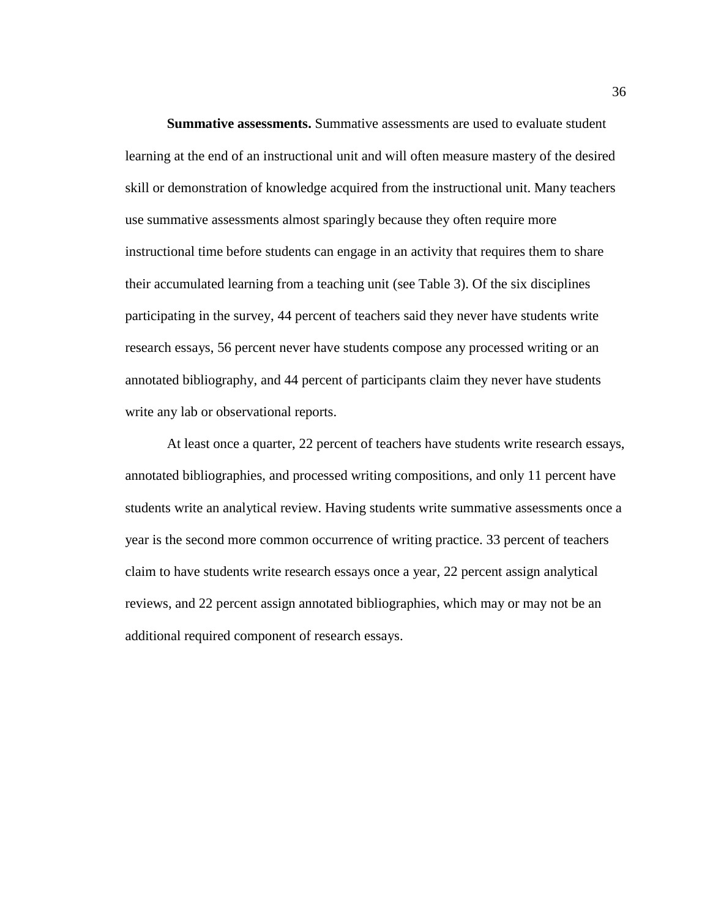**Summative assessments.** Summative assessments are used to evaluate student learning at the end of an instructional unit and will often measure mastery of the desired skill or demonstration of knowledge acquired from the instructional unit. Many teachers use summative assessments almost sparingly because they often require more instructional time before students can engage in an activity that requires them to share their accumulated learning from a teaching unit (see Table 3). Of the six disciplines participating in the survey, 44 percent of teachers said they never have students write research essays, 56 percent never have students compose any processed writing or an annotated bibliography, and 44 percent of participants claim they never have students write any lab or observational reports.

At least once a quarter, 22 percent of teachers have students write research essays, annotated bibliographies, and processed writing compositions, and only 11 percent have students write an analytical review. Having students write summative assessments once a year is the second more common occurrence of writing practice. 33 percent of teachers claim to have students write research essays once a year, 22 percent assign analytical reviews, and 22 percent assign annotated bibliographies, which may or may not be an additional required component of research essays.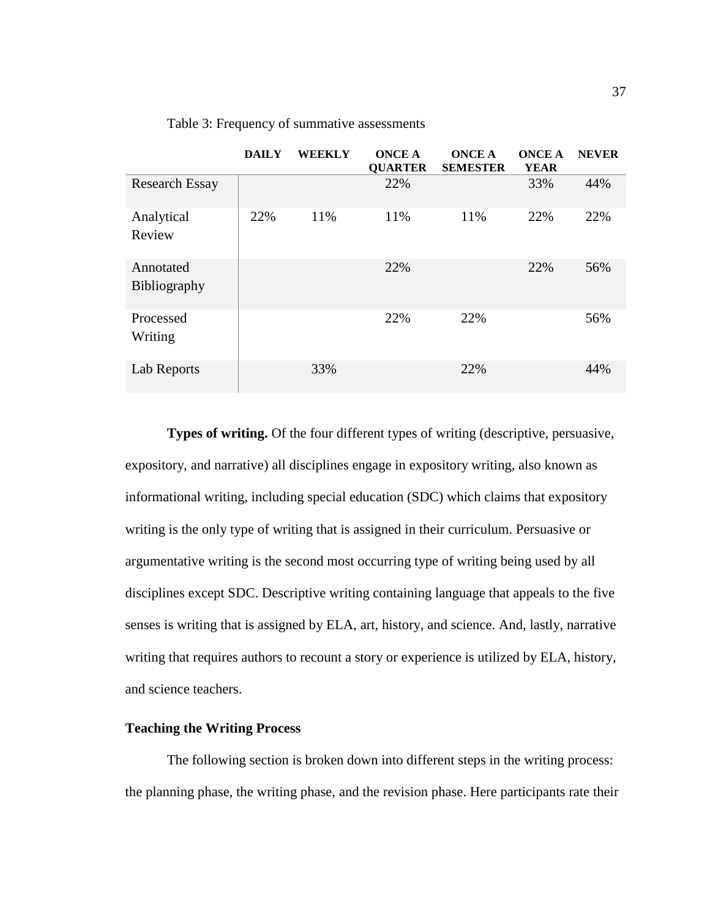|                                  | <b>DAILY</b> | <b>WEEKLY</b> | <b>ONCE A</b><br><b>QUARTER</b> | <b>ONCE A</b><br><b>SEMESTER</b> | <b>ONCE A</b><br><b>YEAR</b> | <b>NEVER</b> |
|----------------------------------|--------------|---------------|---------------------------------|----------------------------------|------------------------------|--------------|
| <b>Research Essay</b>            |              |               | 22%                             |                                  | 33%                          | 44%          |
| Analytical<br>Review             | 22%          | 11%           | 11%                             | 11%                              | 22%                          | 22%          |
| Annotated<br><b>Bibliography</b> |              |               | 22%                             |                                  | 22%                          | 56%          |
| Processed<br>Writing             |              |               | 22%                             | 22%                              |                              | 56%          |
| Lab Reports                      |              | 33%           |                                 | 22%                              |                              | 44%          |

Table 3: Frequency of summative assessments

**Types of writing.** Of the four different types of writing (descriptive, persuasive, expository, and narrative) all disciplines engage in expository writing, also known as informational writing, including special education (SDC) which claims that expository writing is the only type of writing that is assigned in their curriculum. Persuasive or argumentative writing is the second most occurring type of writing being used by all disciplines except SDC. Descriptive writing containing language that appeals to the five senses is writing that is assigned by ELA, art, history, and science. And, lastly, narrative writing that requires authors to recount a story or experience is utilized by ELA, history, and science teachers.

## **Teaching the Writing Process**

The following section is broken down into different steps in the writing process: the planning phase, the writing phase, and the revision phase. Here participants rate their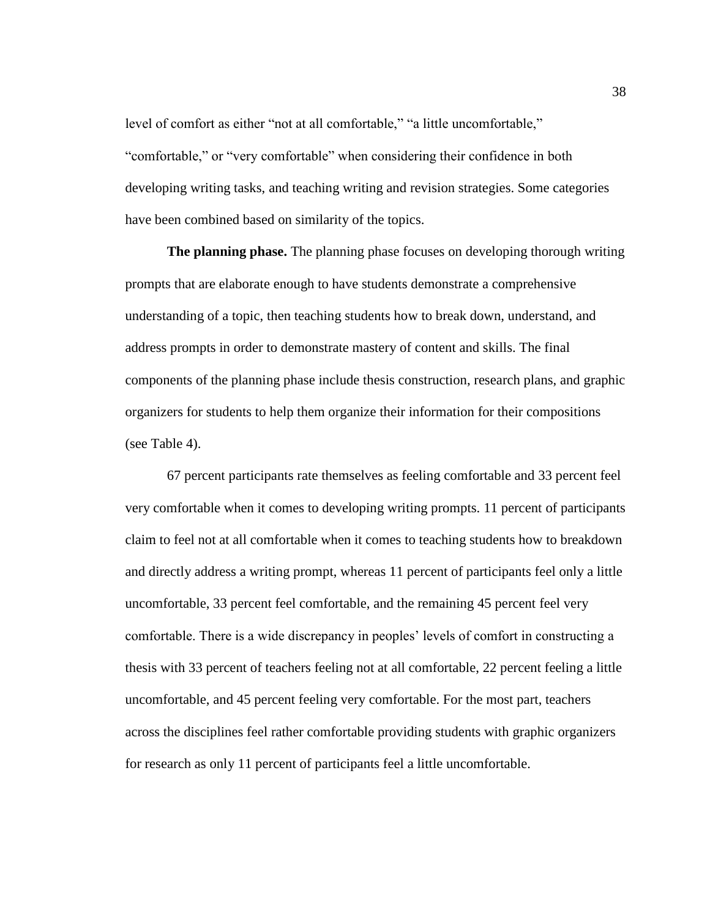level of comfort as either "not at all comfortable," "a little uncomfortable," "comfortable," or "very comfortable" when considering their confidence in both developing writing tasks, and teaching writing and revision strategies. Some categories have been combined based on similarity of the topics.

**The planning phase.** The planning phase focuses on developing thorough writing prompts that are elaborate enough to have students demonstrate a comprehensive understanding of a topic, then teaching students how to break down, understand, and address prompts in order to demonstrate mastery of content and skills. The final components of the planning phase include thesis construction, research plans, and graphic organizers for students to help them organize their information for their compositions (see Table 4).

67 percent participants rate themselves as feeling comfortable and 33 percent feel very comfortable when it comes to developing writing prompts. 11 percent of participants claim to feel not at all comfortable when it comes to teaching students how to breakdown and directly address a writing prompt, whereas 11 percent of participants feel only a little uncomfortable, 33 percent feel comfortable, and the remaining 45 percent feel very comfortable. There is a wide discrepancy in peoples' levels of comfort in constructing a thesis with 33 percent of teachers feeling not at all comfortable, 22 percent feeling a little uncomfortable, and 45 percent feeling very comfortable. For the most part, teachers across the disciplines feel rather comfortable providing students with graphic organizers for research as only 11 percent of participants feel a little uncomfortable.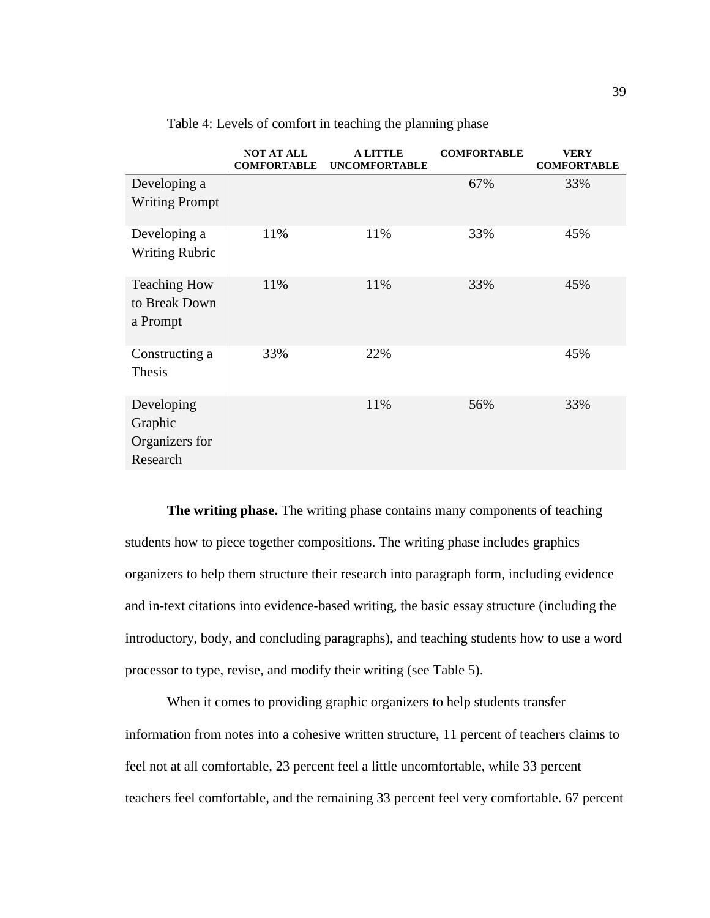|                                                     | <b>NOT AT ALL</b><br><b>COMFORTABLE</b> | A LITTLE<br><b>UNCOMFORTABLE</b> | <b>COMFORTABLE</b> | <b>VERY</b><br><b>COMFORTABLE</b> |
|-----------------------------------------------------|-----------------------------------------|----------------------------------|--------------------|-----------------------------------|
| Developing a<br><b>Writing Prompt</b>               |                                         |                                  | 67%                | 33%                               |
| Developing a<br><b>Writing Rubric</b>               | 11%                                     | 11%                              | 33%                | 45%                               |
| <b>Teaching How</b><br>to Break Down<br>a Prompt    | 11%                                     | 11%                              | 33%                | 45%                               |
| Constructing a<br>Thesis                            | 33%                                     | 22%                              |                    | 45%                               |
| Developing<br>Graphic<br>Organizers for<br>Research |                                         | 11%                              | 56%                | 33%                               |

Table 4: Levels of comfort in teaching the planning phase

**The writing phase.** The writing phase contains many components of teaching students how to piece together compositions. The writing phase includes graphics organizers to help them structure their research into paragraph form, including evidence and in-text citations into evidence-based writing, the basic essay structure (including the introductory, body, and concluding paragraphs), and teaching students how to use a word processor to type, revise, and modify their writing (see Table 5).

When it comes to providing graphic organizers to help students transfer information from notes into a cohesive written structure, 11 percent of teachers claims to feel not at all comfortable, 23 percent feel a little uncomfortable, while 33 percent teachers feel comfortable, and the remaining 33 percent feel very comfortable. 67 percent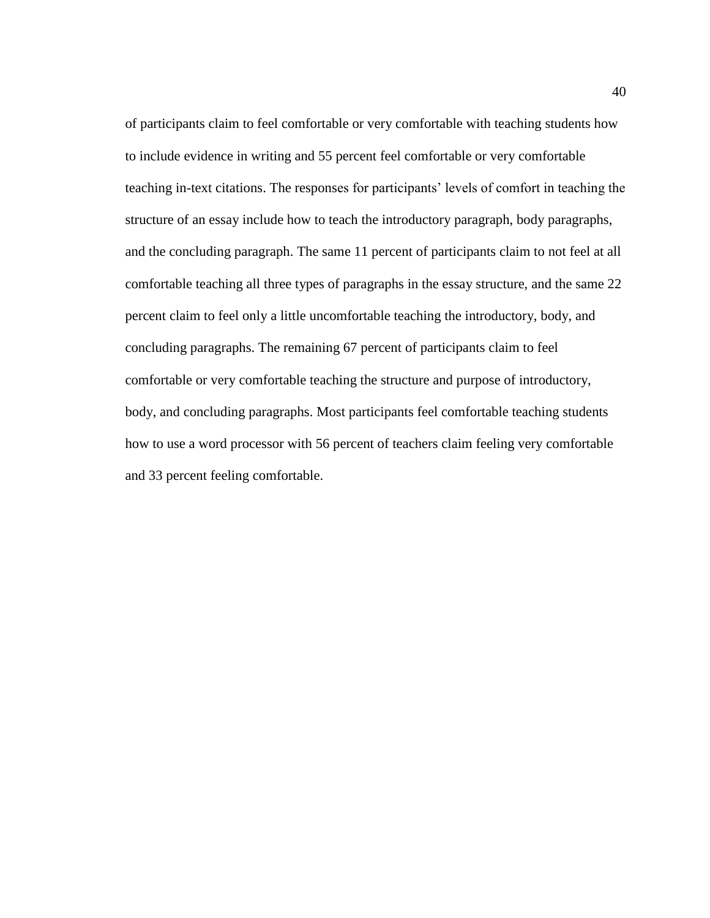of participants claim to feel comfortable or very comfortable with teaching students how to include evidence in writing and 55 percent feel comfortable or very comfortable teaching in-text citations. The responses for participants' levels of comfort in teaching the structure of an essay include how to teach the introductory paragraph, body paragraphs, and the concluding paragraph. The same 11 percent of participants claim to not feel at all comfortable teaching all three types of paragraphs in the essay structure, and the same 22 percent claim to feel only a little uncomfortable teaching the introductory, body, and concluding paragraphs. The remaining 67 percent of participants claim to feel comfortable or very comfortable teaching the structure and purpose of introductory, body, and concluding paragraphs. Most participants feel comfortable teaching students how to use a word processor with 56 percent of teachers claim feeling very comfortable and 33 percent feeling comfortable.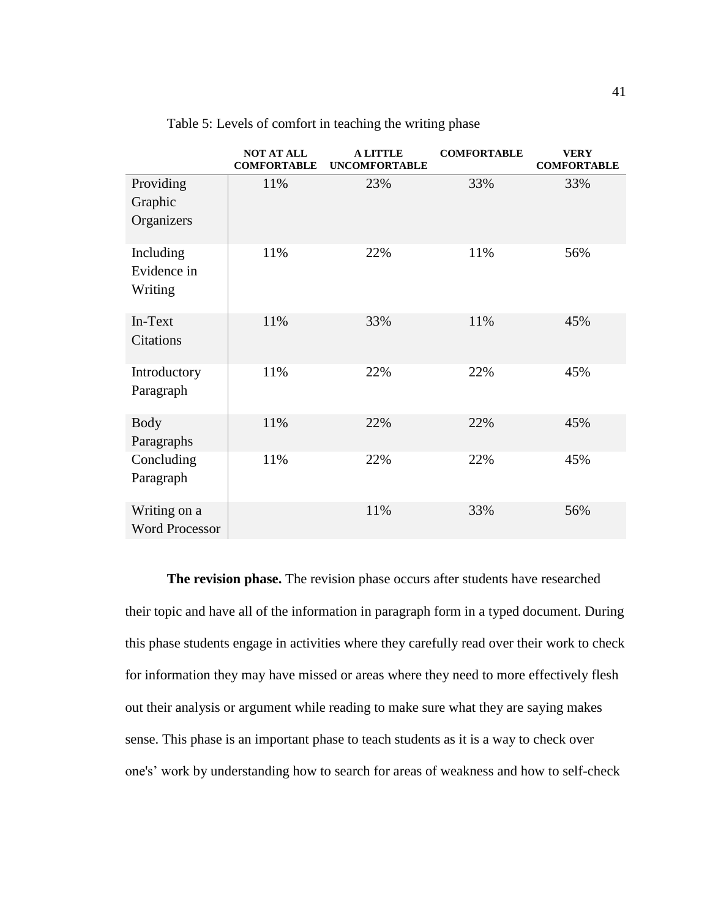|                                       | <b>NOT AT ALL</b><br><b>COMFORTABLE</b> | <b>A LITTLE</b><br><b>UNCOMFORTABLE</b> | <b>COMFORTABLE</b> | <b>VERY</b><br><b>COMFORTABLE</b> |
|---------------------------------------|-----------------------------------------|-----------------------------------------|--------------------|-----------------------------------|
| Providing<br>Graphic<br>Organizers    | 11%                                     | 23%                                     | 33%                | 33%                               |
| Including<br>Evidence in<br>Writing   | 11%                                     | 22%                                     | 11%                | 56%                               |
| In-Text<br>Citations                  | 11%                                     | 33%                                     | 11%                | 45%                               |
| Introductory<br>Paragraph             | 11%                                     | 22%                                     | 22%                | 45%                               |
| <b>Body</b><br>Paragraphs             | 11%                                     | 22%                                     | 22%                | 45%                               |
| Concluding<br>Paragraph               | 11%                                     | 22%                                     | 22%                | 45%                               |
| Writing on a<br><b>Word Processor</b> |                                         | 11%                                     | 33%                | 56%                               |

Table 5: Levels of comfort in teaching the writing phase

**The revision phase.** The revision phase occurs after students have researched their topic and have all of the information in paragraph form in a typed document. During this phase students engage in activities where they carefully read over their work to check for information they may have missed or areas where they need to more effectively flesh out their analysis or argument while reading to make sure what they are saying makes sense. This phase is an important phase to teach students as it is a way to check over one's' work by understanding how to search for areas of weakness and how to self-check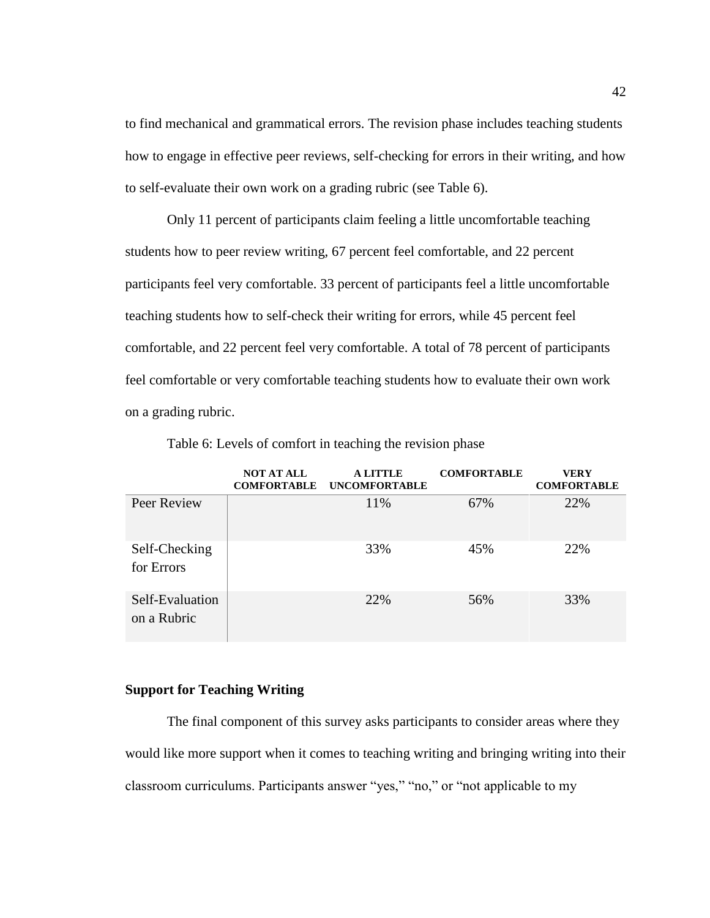to find mechanical and grammatical errors. The revision phase includes teaching students how to engage in effective peer reviews, self-checking for errors in their writing, and how to self-evaluate their own work on a grading rubric (see Table 6).

Only 11 percent of participants claim feeling a little uncomfortable teaching students how to peer review writing, 67 percent feel comfortable, and 22 percent participants feel very comfortable. 33 percent of participants feel a little uncomfortable teaching students how to self-check their writing for errors, while 45 percent feel comfortable, and 22 percent feel very comfortable. A total of 78 percent of participants feel comfortable or very comfortable teaching students how to evaluate their own work on a grading rubric.

|                                | <b>NOT AT ALL</b><br><b>COMFORTABLE</b> | A LITTLE<br><b>UNCOMFORTABLE</b> | <b>COMFORTABLE</b> | <b>VERY</b><br><b>COMFORTABLE</b> |
|--------------------------------|-----------------------------------------|----------------------------------|--------------------|-----------------------------------|
| Peer Review                    |                                         | 11%                              | 67%                | 22%                               |
| Self-Checking<br>for Errors    |                                         | 33%                              | 45%                | 22%                               |
| Self-Evaluation<br>on a Rubric |                                         | 22%                              | 56%                | 33%                               |

Table 6: Levels of comfort in teaching the revision phase

## **Support for Teaching Writing**

The final component of this survey asks participants to consider areas where they would like more support when it comes to teaching writing and bringing writing into their classroom curriculums. Participants answer "yes," "no," or "not applicable to my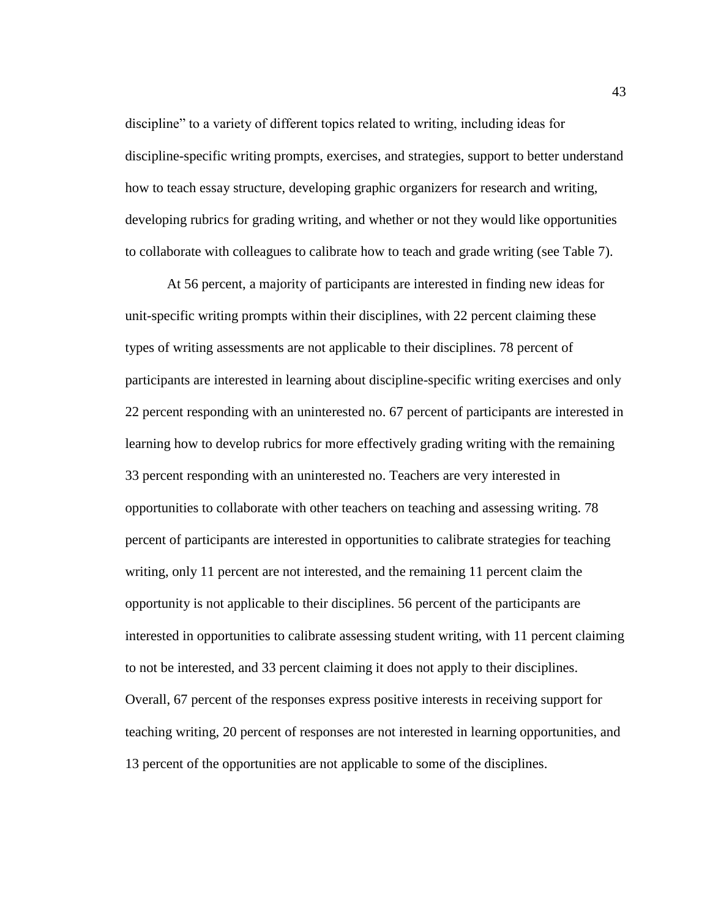discipline" to a variety of different topics related to writing, including ideas for discipline-specific writing prompts, exercises, and strategies, support to better understand how to teach essay structure, developing graphic organizers for research and writing, developing rubrics for grading writing, and whether or not they would like opportunities to collaborate with colleagues to calibrate how to teach and grade writing (see Table 7).

At 56 percent, a majority of participants are interested in finding new ideas for unit-specific writing prompts within their disciplines, with 22 percent claiming these types of writing assessments are not applicable to their disciplines. 78 percent of participants are interested in learning about discipline-specific writing exercises and only 22 percent responding with an uninterested no. 67 percent of participants are interested in learning how to develop rubrics for more effectively grading writing with the remaining 33 percent responding with an uninterested no. Teachers are very interested in opportunities to collaborate with other teachers on teaching and assessing writing. 78 percent of participants are interested in opportunities to calibrate strategies for teaching writing, only 11 percent are not interested, and the remaining 11 percent claim the opportunity is not applicable to their disciplines. 56 percent of the participants are interested in opportunities to calibrate assessing student writing, with 11 percent claiming to not be interested, and 33 percent claiming it does not apply to their disciplines. Overall, 67 percent of the responses express positive interests in receiving support for teaching writing, 20 percent of responses are not interested in learning opportunities, and 13 percent of the opportunities are not applicable to some of the disciplines.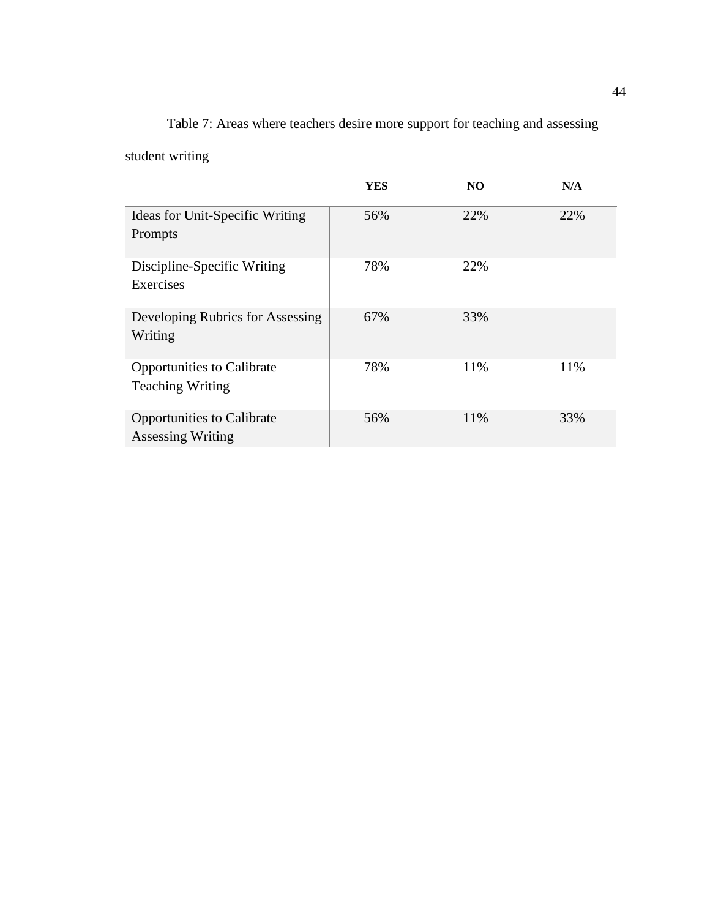# Table 7: Areas where teachers desire more support for teaching and assessing

student writing

|                                                               | YES | N <sub>O</sub> | N/A |
|---------------------------------------------------------------|-----|----------------|-----|
| Ideas for Unit-Specific Writing<br>Prompts                    | 56% | 22%            | 22% |
| Discipline-Specific Writing<br>Exercises                      | 78% | 22%            |     |
| Developing Rubrics for Assessing<br>Writing                   | 67% | 33%            |     |
| <b>Opportunities to Calibrate</b><br><b>Teaching Writing</b>  | 78% | 11%            | 11% |
| <b>Opportunities to Calibrate</b><br><b>Assessing Writing</b> | 56% | 11%            | 33% |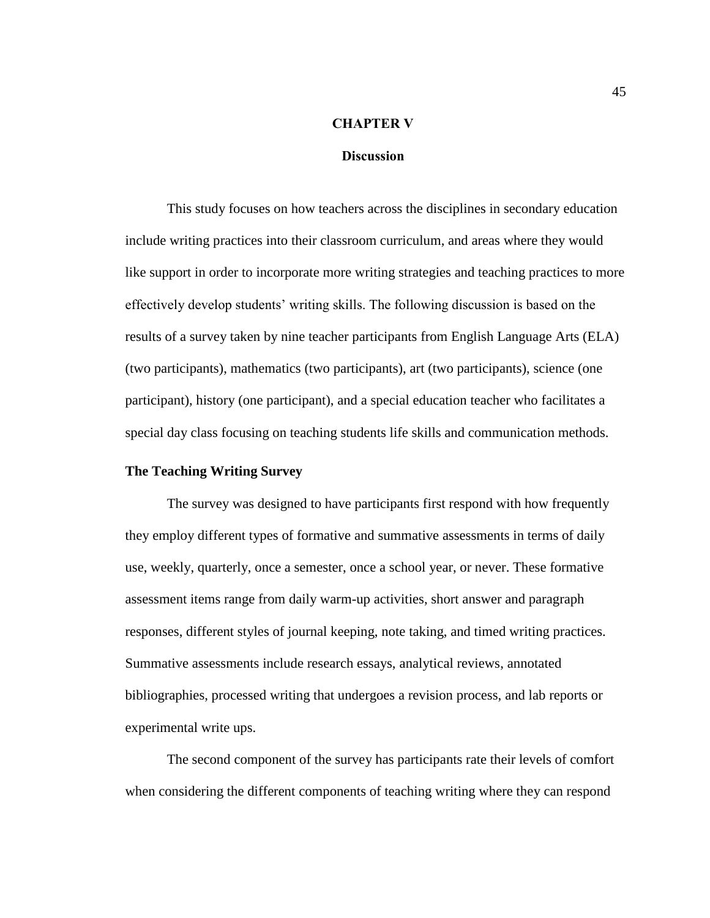#### **CHAPTER V**

## **Discussion**

This study focuses on how teachers across the disciplines in secondary education include writing practices into their classroom curriculum, and areas where they would like support in order to incorporate more writing strategies and teaching practices to more effectively develop students' writing skills. The following discussion is based on the results of a survey taken by nine teacher participants from English Language Arts (ELA) (two participants), mathematics (two participants), art (two participants), science (one participant), history (one participant), and a special education teacher who facilitates a special day class focusing on teaching students life skills and communication methods.

## **The Teaching Writing Survey**

The survey was designed to have participants first respond with how frequently they employ different types of formative and summative assessments in terms of daily use, weekly, quarterly, once a semester, once a school year, or never. These formative assessment items range from daily warm-up activities, short answer and paragraph responses, different styles of journal keeping, note taking, and timed writing practices. Summative assessments include research essays, analytical reviews, annotated bibliographies, processed writing that undergoes a revision process, and lab reports or experimental write ups.

The second component of the survey has participants rate their levels of comfort when considering the different components of teaching writing where they can respond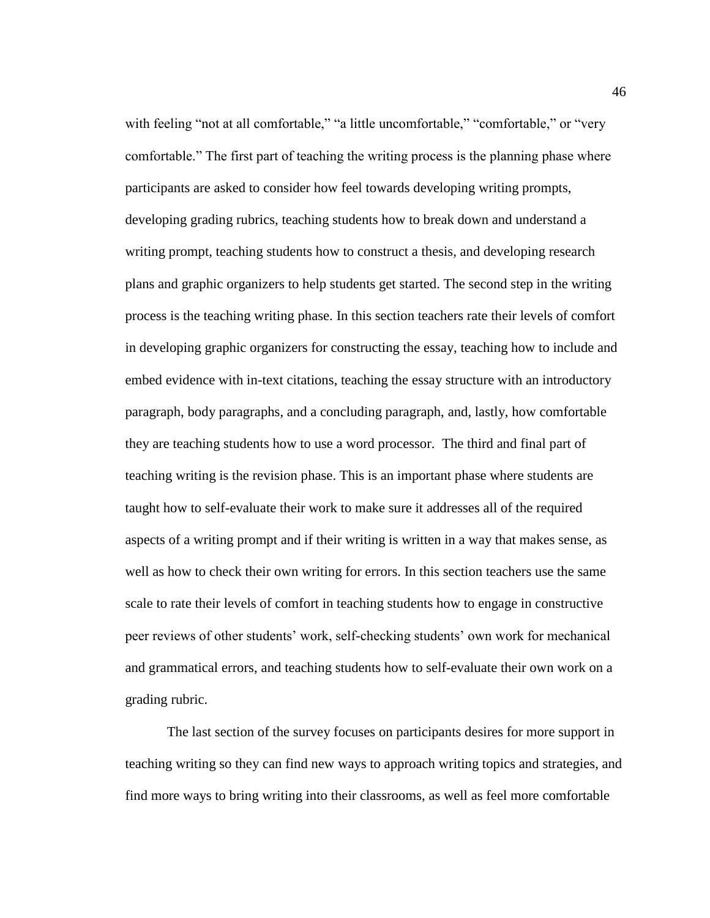with feeling "not at all comfortable," "a little uncomfortable," "comfortable," or "very comfortable." The first part of teaching the writing process is the planning phase where participants are asked to consider how feel towards developing writing prompts, developing grading rubrics, teaching students how to break down and understand a writing prompt, teaching students how to construct a thesis, and developing research plans and graphic organizers to help students get started. The second step in the writing process is the teaching writing phase. In this section teachers rate their levels of comfort in developing graphic organizers for constructing the essay, teaching how to include and embed evidence with in-text citations, teaching the essay structure with an introductory paragraph, body paragraphs, and a concluding paragraph, and, lastly, how comfortable they are teaching students how to use a word processor. The third and final part of teaching writing is the revision phase. This is an important phase where students are taught how to self-evaluate their work to make sure it addresses all of the required aspects of a writing prompt and if their writing is written in a way that makes sense, as well as how to check their own writing for errors. In this section teachers use the same scale to rate their levels of comfort in teaching students how to engage in constructive peer reviews of other students' work, self-checking students' own work for mechanical and grammatical errors, and teaching students how to self-evaluate their own work on a grading rubric.

The last section of the survey focuses on participants desires for more support in teaching writing so they can find new ways to approach writing topics and strategies, and find more ways to bring writing into their classrooms, as well as feel more comfortable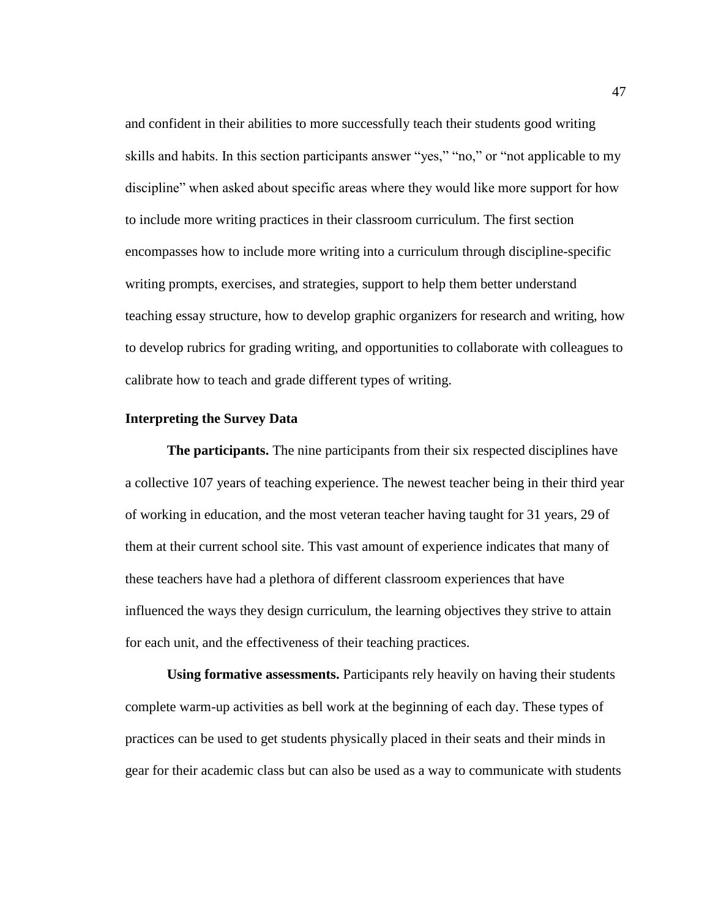and confident in their abilities to more successfully teach their students good writing skills and habits. In this section participants answer "yes," "no," or "not applicable to my discipline" when asked about specific areas where they would like more support for how to include more writing practices in their classroom curriculum. The first section encompasses how to include more writing into a curriculum through discipline-specific writing prompts, exercises, and strategies, support to help them better understand teaching essay structure, how to develop graphic organizers for research and writing, how to develop rubrics for grading writing, and opportunities to collaborate with colleagues to calibrate how to teach and grade different types of writing.

## **Interpreting the Survey Data**

**The participants.** The nine participants from their six respected disciplines have a collective 107 years of teaching experience. The newest teacher being in their third year of working in education, and the most veteran teacher having taught for 31 years, 29 of them at their current school site. This vast amount of experience indicates that many of these teachers have had a plethora of different classroom experiences that have influenced the ways they design curriculum, the learning objectives they strive to attain for each unit, and the effectiveness of their teaching practices.

**Using formative assessments.** Participants rely heavily on having their students complete warm-up activities as bell work at the beginning of each day. These types of practices can be used to get students physically placed in their seats and their minds in gear for their academic class but can also be used as a way to communicate with students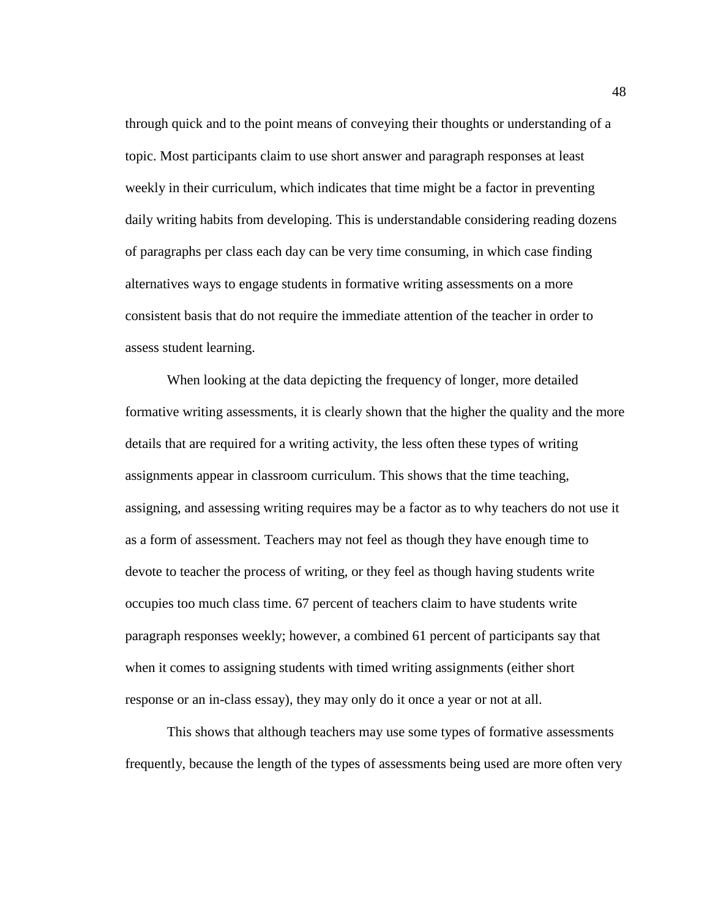through quick and to the point means of conveying their thoughts or understanding of a topic. Most participants claim to use short answer and paragraph responses at least weekly in their curriculum, which indicates that time might be a factor in preventing daily writing habits from developing. This is understandable considering reading dozens of paragraphs per class each day can be very time consuming, in which case finding alternatives ways to engage students in formative writing assessments on a more consistent basis that do not require the immediate attention of the teacher in order to assess student learning.

When looking at the data depicting the frequency of longer, more detailed formative writing assessments, it is clearly shown that the higher the quality and the more details that are required for a writing activity, the less often these types of writing assignments appear in classroom curriculum. This shows that the time teaching, assigning, and assessing writing requires may be a factor as to why teachers do not use it as a form of assessment. Teachers may not feel as though they have enough time to devote to teacher the process of writing, or they feel as though having students write occupies too much class time. 67 percent of teachers claim to have students write paragraph responses weekly; however, a combined 61 percent of participants say that when it comes to assigning students with timed writing assignments (either short response or an in-class essay), they may only do it once a year or not at all.

This shows that although teachers may use some types of formative assessments frequently, because the length of the types of assessments being used are more often very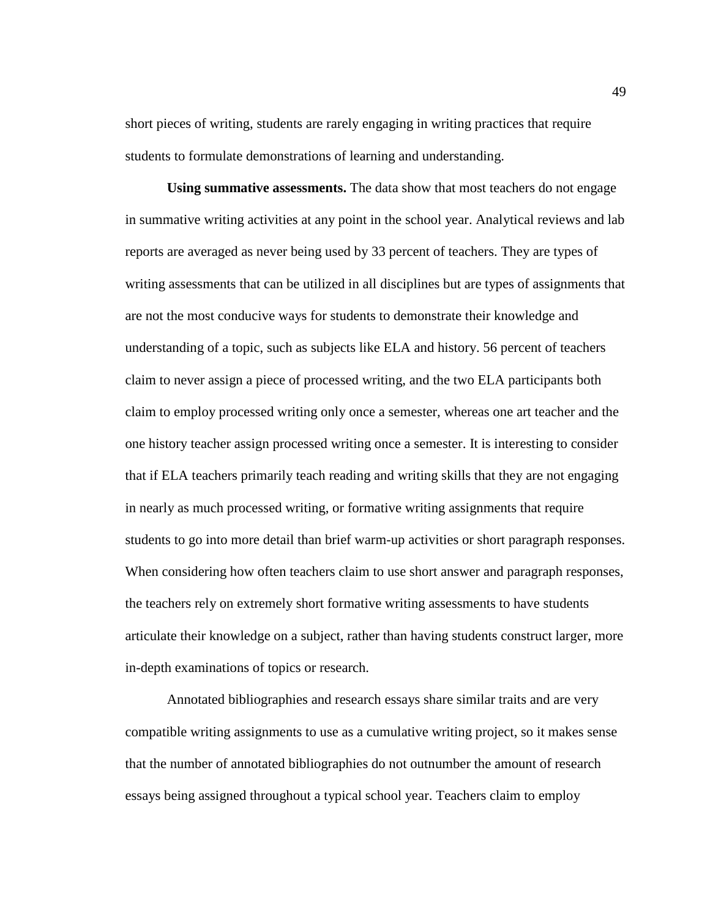short pieces of writing, students are rarely engaging in writing practices that require students to formulate demonstrations of learning and understanding.

**Using summative assessments.** The data show that most teachers do not engage in summative writing activities at any point in the school year. Analytical reviews and lab reports are averaged as never being used by 33 percent of teachers. They are types of writing assessments that can be utilized in all disciplines but are types of assignments that are not the most conducive ways for students to demonstrate their knowledge and understanding of a topic, such as subjects like ELA and history. 56 percent of teachers claim to never assign a piece of processed writing, and the two ELA participants both claim to employ processed writing only once a semester, whereas one art teacher and the one history teacher assign processed writing once a semester. It is interesting to consider that if ELA teachers primarily teach reading and writing skills that they are not engaging in nearly as much processed writing, or formative writing assignments that require students to go into more detail than brief warm-up activities or short paragraph responses. When considering how often teachers claim to use short answer and paragraph responses, the teachers rely on extremely short formative writing assessments to have students articulate their knowledge on a subject, rather than having students construct larger, more in-depth examinations of topics or research.

Annotated bibliographies and research essays share similar traits and are very compatible writing assignments to use as a cumulative writing project, so it makes sense that the number of annotated bibliographies do not outnumber the amount of research essays being assigned throughout a typical school year. Teachers claim to employ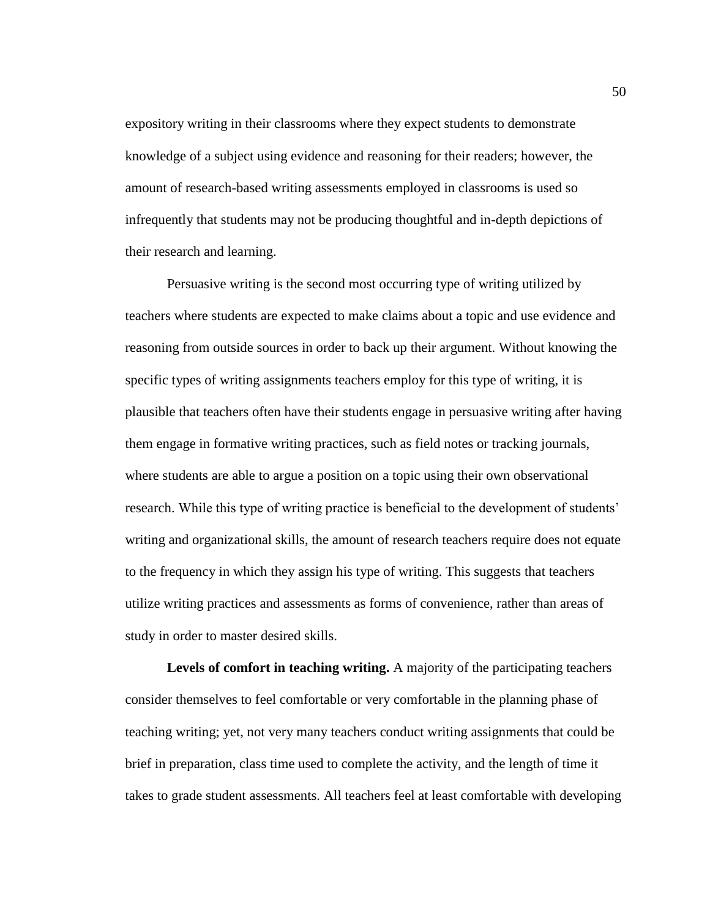expository writing in their classrooms where they expect students to demonstrate knowledge of a subject using evidence and reasoning for their readers; however, the amount of research-based writing assessments employed in classrooms is used so infrequently that students may not be producing thoughtful and in-depth depictions of their research and learning.

Persuasive writing is the second most occurring type of writing utilized by teachers where students are expected to make claims about a topic and use evidence and reasoning from outside sources in order to back up their argument. Without knowing the specific types of writing assignments teachers employ for this type of writing, it is plausible that teachers often have their students engage in persuasive writing after having them engage in formative writing practices, such as field notes or tracking journals, where students are able to argue a position on a topic using their own observational research. While this type of writing practice is beneficial to the development of students' writing and organizational skills, the amount of research teachers require does not equate to the frequency in which they assign his type of writing. This suggests that teachers utilize writing practices and assessments as forms of convenience, rather than areas of study in order to master desired skills.

**Levels of comfort in teaching writing.** A majority of the participating teachers consider themselves to feel comfortable or very comfortable in the planning phase of teaching writing; yet, not very many teachers conduct writing assignments that could be brief in preparation, class time used to complete the activity, and the length of time it takes to grade student assessments. All teachers feel at least comfortable with developing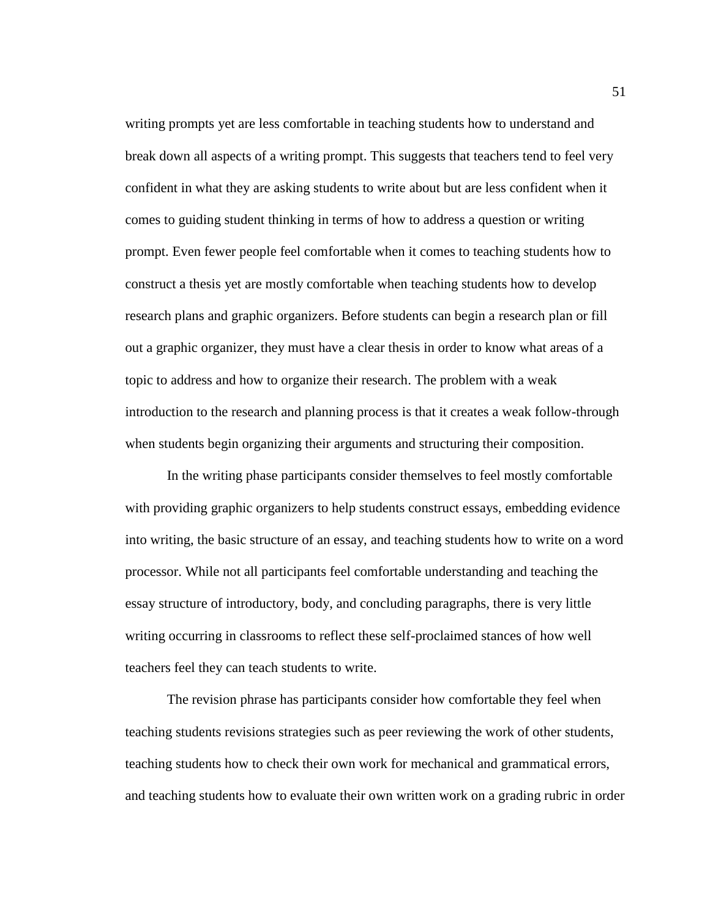writing prompts yet are less comfortable in teaching students how to understand and break down all aspects of a writing prompt. This suggests that teachers tend to feel very confident in what they are asking students to write about but are less confident when it comes to guiding student thinking in terms of how to address a question or writing prompt. Even fewer people feel comfortable when it comes to teaching students how to construct a thesis yet are mostly comfortable when teaching students how to develop research plans and graphic organizers. Before students can begin a research plan or fill out a graphic organizer, they must have a clear thesis in order to know what areas of a topic to address and how to organize their research. The problem with a weak introduction to the research and planning process is that it creates a weak follow-through when students begin organizing their arguments and structuring their composition.

In the writing phase participants consider themselves to feel mostly comfortable with providing graphic organizers to help students construct essays, embedding evidence into writing, the basic structure of an essay, and teaching students how to write on a word processor. While not all participants feel comfortable understanding and teaching the essay structure of introductory, body, and concluding paragraphs, there is very little writing occurring in classrooms to reflect these self-proclaimed stances of how well teachers feel they can teach students to write.

The revision phrase has participants consider how comfortable they feel when teaching students revisions strategies such as peer reviewing the work of other students, teaching students how to check their own work for mechanical and grammatical errors, and teaching students how to evaluate their own written work on a grading rubric in order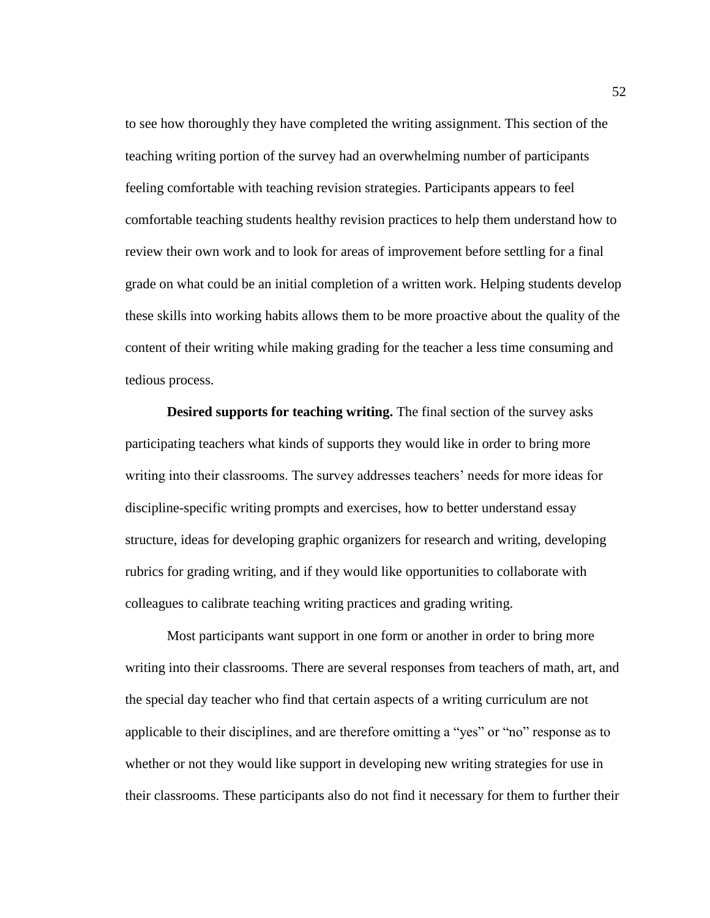to see how thoroughly they have completed the writing assignment. This section of the teaching writing portion of the survey had an overwhelming number of participants feeling comfortable with teaching revision strategies. Participants appears to feel comfortable teaching students healthy revision practices to help them understand how to review their own work and to look for areas of improvement before settling for a final grade on what could be an initial completion of a written work. Helping students develop these skills into working habits allows them to be more proactive about the quality of the content of their writing while making grading for the teacher a less time consuming and tedious process.

**Desired supports for teaching writing.** The final section of the survey asks participating teachers what kinds of supports they would like in order to bring more writing into their classrooms. The survey addresses teachers' needs for more ideas for discipline-specific writing prompts and exercises, how to better understand essay structure, ideas for developing graphic organizers for research and writing, developing rubrics for grading writing, and if they would like opportunities to collaborate with colleagues to calibrate teaching writing practices and grading writing.

Most participants want support in one form or another in order to bring more writing into their classrooms. There are several responses from teachers of math, art, and the special day teacher who find that certain aspects of a writing curriculum are not applicable to their disciplines, and are therefore omitting a "yes" or "no" response as to whether or not they would like support in developing new writing strategies for use in their classrooms. These participants also do not find it necessary for them to further their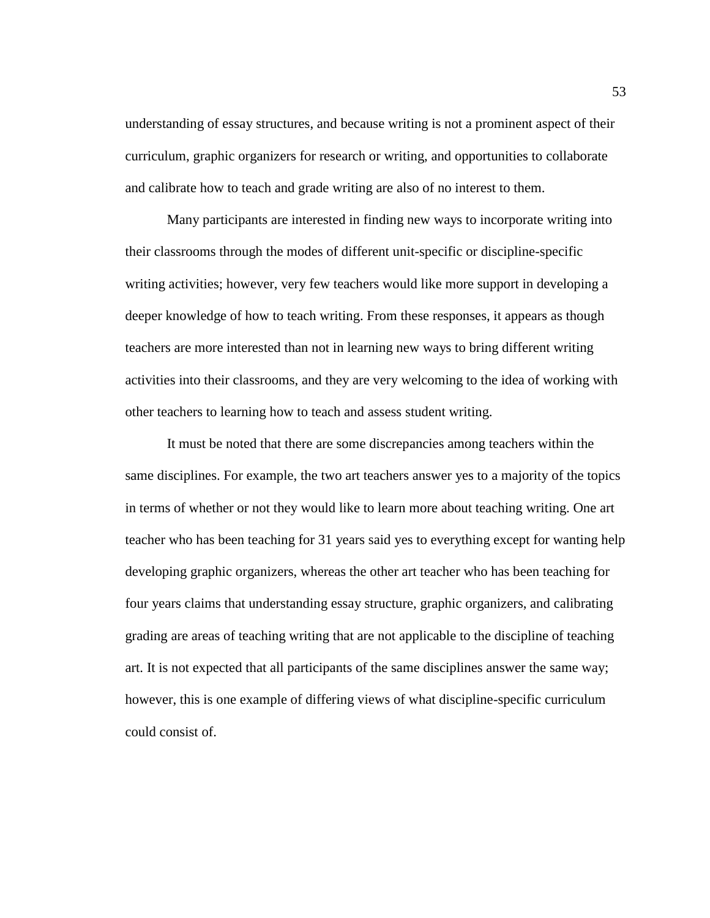understanding of essay structures, and because writing is not a prominent aspect of their curriculum, graphic organizers for research or writing, and opportunities to collaborate and calibrate how to teach and grade writing are also of no interest to them.

Many participants are interested in finding new ways to incorporate writing into their classrooms through the modes of different unit-specific or discipline-specific writing activities; however, very few teachers would like more support in developing a deeper knowledge of how to teach writing. From these responses, it appears as though teachers are more interested than not in learning new ways to bring different writing activities into their classrooms, and they are very welcoming to the idea of working with other teachers to learning how to teach and assess student writing.

It must be noted that there are some discrepancies among teachers within the same disciplines. For example, the two art teachers answer yes to a majority of the topics in terms of whether or not they would like to learn more about teaching writing. One art teacher who has been teaching for 31 years said yes to everything except for wanting help developing graphic organizers, whereas the other art teacher who has been teaching for four years claims that understanding essay structure, graphic organizers, and calibrating grading are areas of teaching writing that are not applicable to the discipline of teaching art. It is not expected that all participants of the same disciplines answer the same way; however, this is one example of differing views of what discipline-specific curriculum could consist of.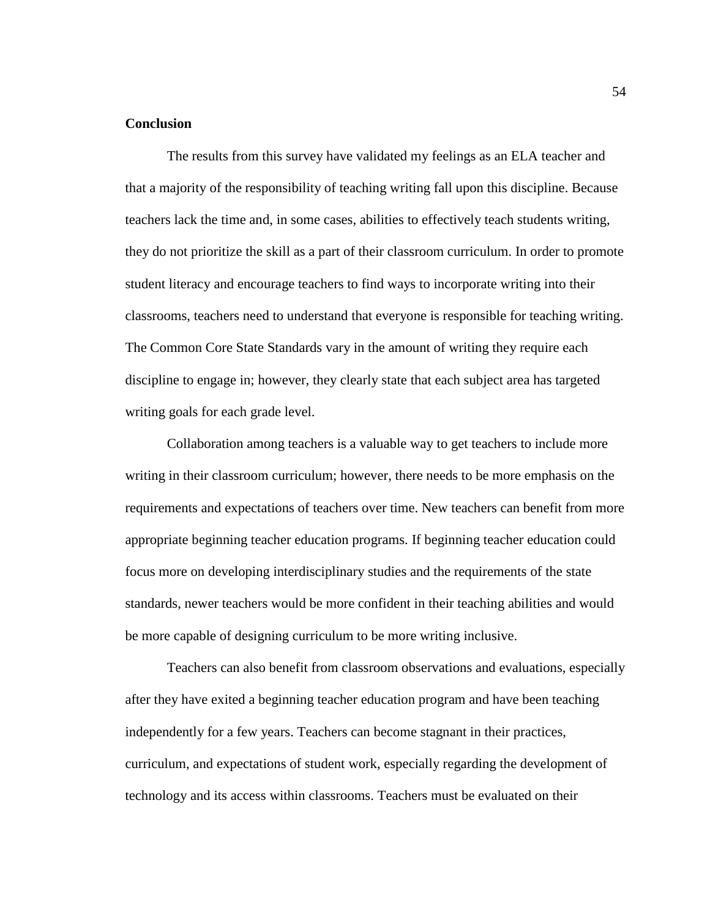## **Conclusion**

The results from this survey have validated my feelings as an ELA teacher and that a majority of the responsibility of teaching writing fall upon this discipline. Because teachers lack the time and, in some cases, abilities to effectively teach students writing, they do not prioritize the skill as a part of their classroom curriculum. In order to promote student literacy and encourage teachers to find ways to incorporate writing into their classrooms, teachers need to understand that everyone is responsible for teaching writing. The Common Core State Standards vary in the amount of writing they require each discipline to engage in; however, they clearly state that each subject area has targeted writing goals for each grade level.

Collaboration among teachers is a valuable way to get teachers to include more writing in their classroom curriculum; however, there needs to be more emphasis on the requirements and expectations of teachers over time. New teachers can benefit from more appropriate beginning teacher education programs. If beginning teacher education could focus more on developing interdisciplinary studies and the requirements of the state standards, newer teachers would be more confident in their teaching abilities and would be more capable of designing curriculum to be more writing inclusive.

Teachers can also benefit from classroom observations and evaluations, especially after they have exited a beginning teacher education program and have been teaching independently for a few years. Teachers can become stagnant in their practices, curriculum, and expectations of student work, especially regarding the development of technology and its access within classrooms. Teachers must be evaluated on their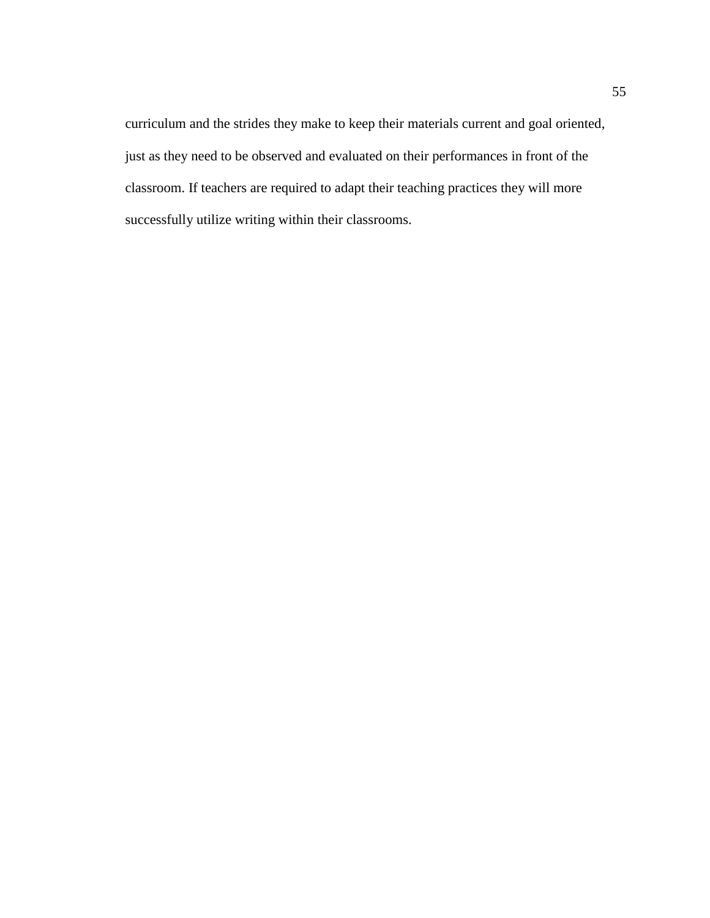curriculum and the strides they make to keep their materials current and goal oriented, just as they need to be observed and evaluated on their performances in front of the classroom. If teachers are required to adapt their teaching practices they will more successfully utilize writing within their classrooms.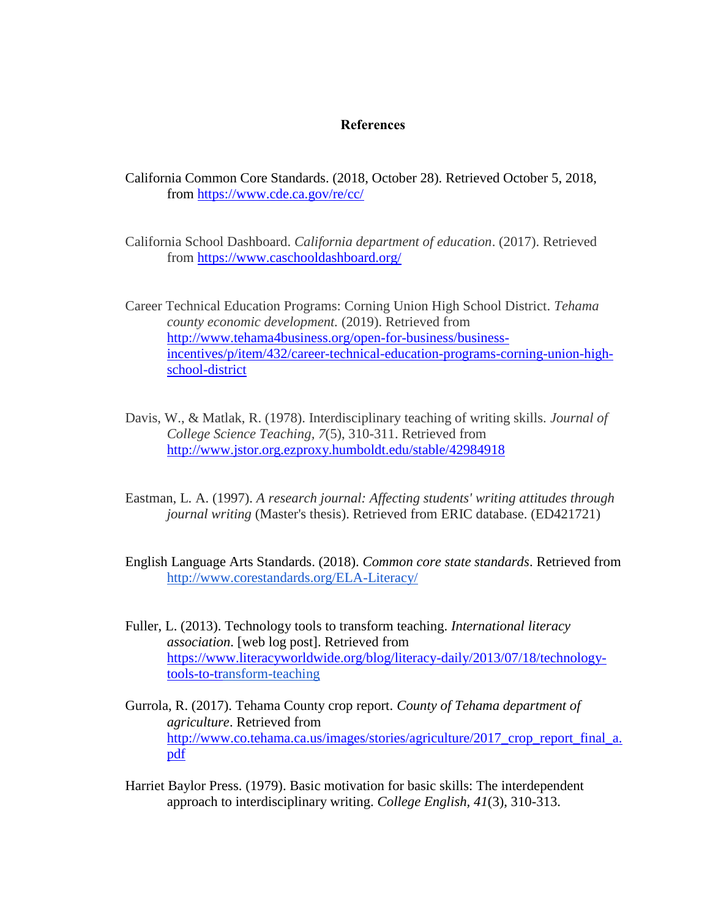## **References**

California Common Core Standards. (2018, October 28). Retrieved October 5, 2018, from<https://www.cde.ca.gov/re/cc/>

California School Dashboard. *California department of education*. (2017). Retrieved from<https://www.caschooldashboard.org/>

Career Technical Education Programs: Corning Union High School District. *Tehama county economic development.* (2019). Retrieved from [http://www.tehama4business.org/open-for-business/business](http://www.tehama4business.org/open-for-business/business-incentives/p/item/432/career-technical-education-programs-corning-union-high-school-district)[incentives/p/item/432/career-technical-education-programs-corning-union-high](http://www.tehama4business.org/open-for-business/business-incentives/p/item/432/career-technical-education-programs-corning-union-high-school-district)[school-district](http://www.tehama4business.org/open-for-business/business-incentives/p/item/432/career-technical-education-programs-corning-union-high-school-district)

- Davis, W., & Matlak, R. (1978). Interdisciplinary teaching of writing skills. *Journal of College Science Teaching, 7*(5), 310-311. Retrieved from <http://www.jstor.org.ezproxy.humboldt.edu/stable/42984918>
- Eastman, L. A. (1997). *A research journal: Affecting students' writing attitudes through journal writing* (Master's thesis). Retrieved from ERIC database. (ED421721)
- English Language Arts Standards. (2018). *Common core state standards*. Retrieved from <http://www.corestandards.org/ELA-Literacy/>
- Fuller, L. (2013). Technology tools to transform teaching. *International literacy association*. [web log post]. Retrieved from [https://www.literacyworldwide.org/blog/literacy-daily/2013/07/18/technology](https://www.literacyworldwide.org/blog/literacy-daily/2013/07/18/technology-tools-to-tr)[tools-to-tr](https://www.literacyworldwide.org/blog/literacy-daily/2013/07/18/technology-tools-to-tr)[ansform-teaching](https://www.literacyworldwide.org/blog/literacy-daily/2013/07/18/technology-tools-to-transform-teaching)
- Gurrola, R. (2017). Tehama County crop report. *County of Tehama department of agriculture*. Retrieved from [http://www.co.tehama.ca.us/images/stories/agriculture/2017\\_crop\\_report\\_final\\_a.](http://www.co.tehama.ca.us/images/stories/agriculture/2017_crop_report_final_a.pdf) [pdf](http://www.co.tehama.ca.us/images/stories/agriculture/2017_crop_report_final_a.pdf)
- Harriet Baylor Press. (1979). Basic motivation for basic skills: The interdependent approach to interdisciplinary writing. *College English, 41*(3), 310-313.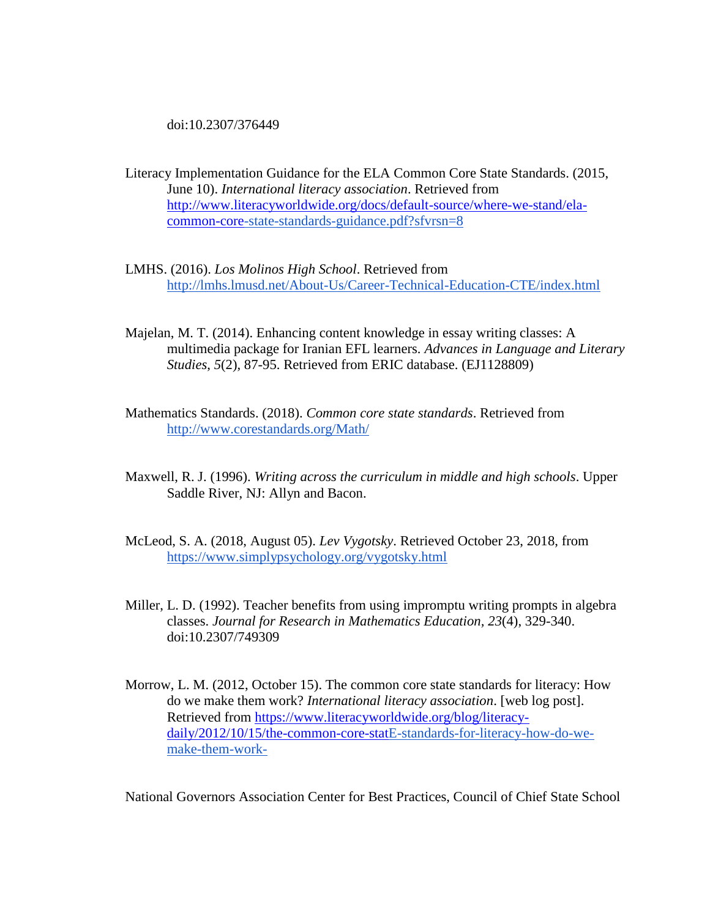doi:10.2307/376449

Literacy Implementation Guidance for the ELA Common Core State Standards. (2015, June 10). *International literacy association*. Retrieved from [http://www.literacyworldwide.org/docs/default-source/where-we-stand/ela](http://www.literacyworldwide.org/docs/default-source/where-we-stand/ela-common-core)[common-core](http://www.literacyworldwide.org/docs/default-source/where-we-stand/ela-common-core)[-state-standards-guidance.pdf?sfvrsn=8](http://www.literacyworldwide.org/docs/default-source/where-we-stand/ela-common-core-state-standards-guidance.pdf?sfvrsn=8)

- LMHS. (2016). *Los Molinos High School*. Retrieved from <http://lmhs.lmusd.net/About-Us/Career-Technical-Education-CTE/index.html>
- Majelan, M. T. (2014). Enhancing content knowledge in essay writing classes: A multimedia package for Iranian EFL learners. *Advances in Language and Literary Studies*, *5*(2), 87-95. Retrieved from ERIC database. (EJ1128809)
- Mathematics Standards. (2018). *Common core state standards*. Retrieved from <http://www.corestandards.org/Math/>
- Maxwell, R. J. (1996). *Writing across the curriculum in middle and high schools*. Upper Saddle River, NJ: Allyn and Bacon.
- McLeod, S. A. (2018, August 05). *Lev Vygotsky*. Retrieved October 23, 2018, from <https://www.simplypsychology.org/vygotsky.html>
- Miller, L. D. (1992). Teacher benefits from using impromptu writing prompts in algebra classes. *Journal for Research in Mathematics Education, 23*(4), 329-340. doi:10.2307/749309
- Morrow, L. M. (2012, October 15). The common core state standards for literacy: How do we make them work? *International literacy association*. [web log post]. Retrieved from [https://www.literacyworldwide.org/blog/literacy](https://www.literacyworldwide.org/blog/literacy-daily/2012/10/15/the-common-core-stat)[daily/2012/10/15/the-common-core-stat](https://www.literacyworldwide.org/blog/literacy-daily/2012/10/15/the-common-core-stat)[E-standards-for-literacy-how-do-we](https://www.literacyworldwide.org/blog/literacy-daily/2012/10/15/the-common-core-state-standards-for-literacy-how-do-we-make-them-work-)[make-them-work-](https://www.literacyworldwide.org/blog/literacy-daily/2012/10/15/the-common-core-state-standards-for-literacy-how-do-we-make-them-work-)

National Governors Association Center for Best Practices, Council of Chief State School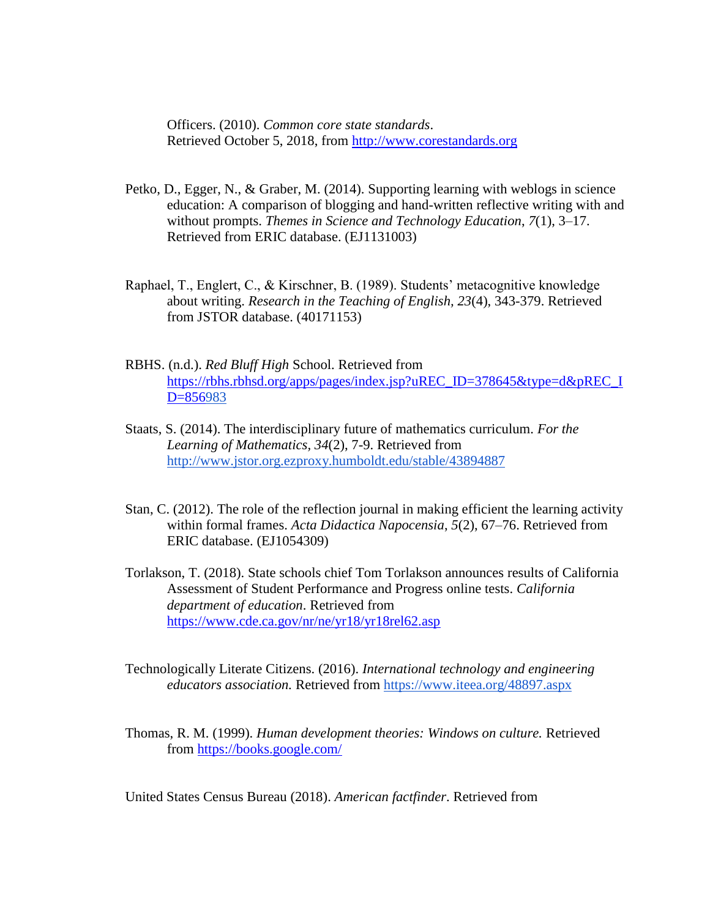Officers. (2010). *Common core state standards*. Retrieved October 5, 2018, from [http://www.corestandards.org](http://www.corestandards.org/ELA-Literacy/RH/introduction/)

- Petko, D., Egger, N., & Graber, M. (2014). Supporting learning with weblogs in science education: A comparison of blogging and hand-written reflective writing with and without prompts. *Themes in Science and Technology Education*, *7*(1), 3–17. Retrieved from ERIC database. (EJ1131003)
- Raphael, T., Englert, C., & Kirschner, B. (1989). Students' metacognitive knowledge about writing. *Research in the Teaching of English, 23*(4), 343-379. Retrieved from JSTOR database. (40171153)
- RBHS. (n.d.). *Red Bluff High* School. Retrieved from [https://rbhs.rbhsd.org/apps/pages/index.jsp?uREC\\_ID=378645&type=d&pREC\\_I](https://rbhs.rbhsd.org/apps/pages/index.jsp?uREC_ID=378645&type=d&pREC_ID=856) [D=856](https://rbhs.rbhsd.org/apps/pages/index.jsp?uREC_ID=378645&type=d&pREC_ID=856)[983](https://rbhs.rbhsd.org/apps/pages/index.jsp?uREC_ID=378645&type=d&pREC_ID=856983)
- Staats, S. (2014). The interdisciplinary future of mathematics curriculum. *For the Learning of Mathematics, 34*(2), 7-9. Retrieved from <http://www.jstor.org.ezproxy.humboldt.edu/stable/43894887>
- Stan, C. (2012). The role of the reflection journal in making efficient the learning activity within formal frames. *Acta Didactica Napocensia*, *5*(2), 67–76. Retrieved from ERIC database. (EJ1054309)
- Torlakson, T. (2018). State schools chief Tom Torlakson announces results of California Assessment of Student Performance and Progress online tests. *California department of education*. Retrieved from <https://www.cde.ca.gov/nr/ne/yr18/yr18rel62.asp>
- Technologically Literate Citizens. (2016). *International technology and engineering educators association.* Retrieved from<https://www.iteea.org/48897.aspx>
- Thomas, R. M. (1999). *Human development theories: Windows on culture.* Retrieved from<https://books.google.com/>

United States Census Bureau (2018). *American factfinder*. Retrieved from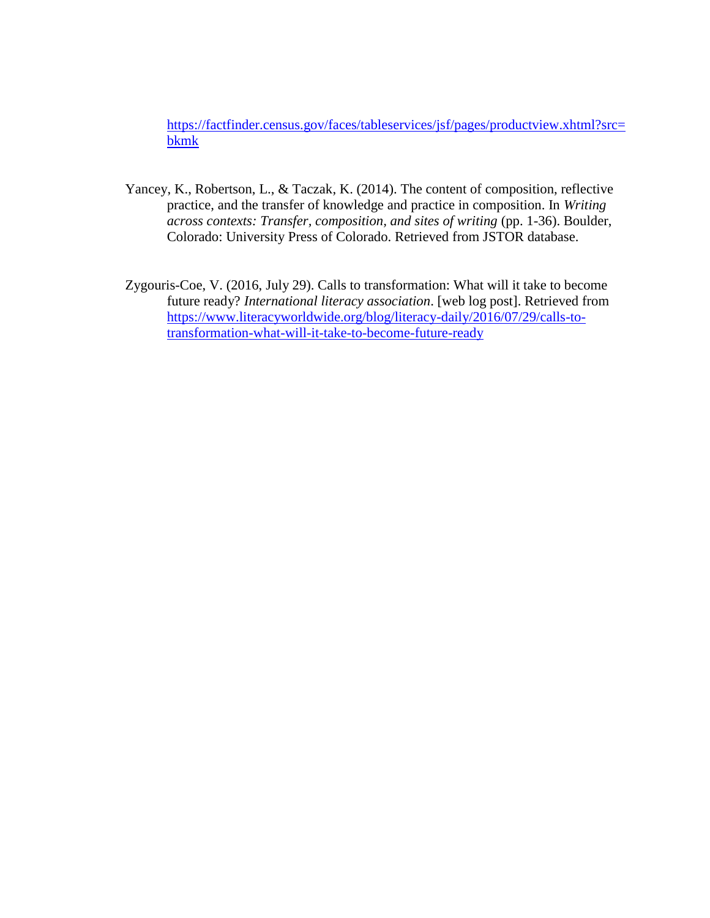[https://factfinder.census.gov/faces/tableservices/jsf/pages/productview.xhtml?src=](https://factfinder.census.gov/faces/tableservices/jsf/pages/productview.xhtml?src=bkmk) [bkmk](https://factfinder.census.gov/faces/tableservices/jsf/pages/productview.xhtml?src=bkmk)

- Yancey, K., Robertson, L., & Taczak, K. (2014). The content of composition, reflective practice, and the transfer of knowledge and practice in composition. In *Writing across contexts: Transfer, composition, and sites of writing* (pp. 1-36). Boulder, Colorado: University Press of Colorado. Retrieved from JSTOR database.
- Zygouris-Coe, V. (2016, July 29). Calls to transformation: What will it take to become future ready? *International literacy association*. [web log post]. Retrieved from [https://www.literacyworldwide.org/blog/literacy-daily/2016/07/29/calls-to](https://www.literacyworldwide.org/blog/literacy-daily/2016/07/29/calls-to-transformation-what-will-it-take-to-become-future-ready)[transformation-what-will-it-take-to-become-future-ready](https://www.literacyworldwide.org/blog/literacy-daily/2016/07/29/calls-to-transformation-what-will-it-take-to-become-future-ready)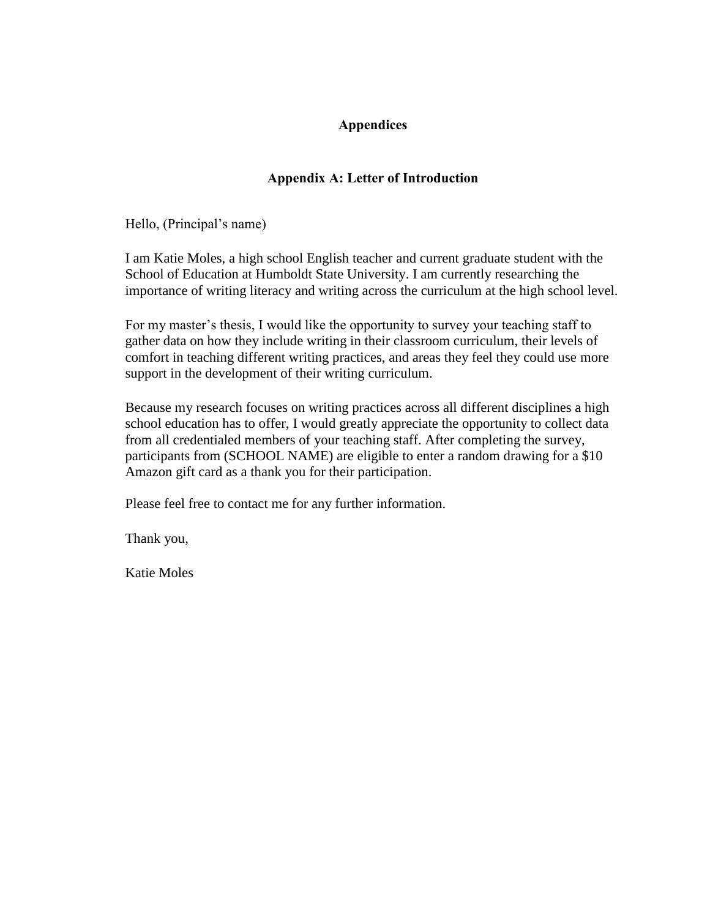## **Appendices**

# **Appendix A: Letter of Introduction**

Hello, (Principal's name)

I am Katie Moles, a high school English teacher and current graduate student with the School of Education at Humboldt State University. I am currently researching the importance of writing literacy and writing across the curriculum at the high school level.

For my master's thesis, I would like the opportunity to survey your teaching staff to gather data on how they include writing in their classroom curriculum, their levels of comfort in teaching different writing practices, and areas they feel they could use more support in the development of their writing curriculum.

Because my research focuses on writing practices across all different disciplines a high school education has to offer, I would greatly appreciate the opportunity to collect data from all credentialed members of your teaching staff. After completing the survey, participants from (SCHOOL NAME) are eligible to enter a random drawing for a \$10 Amazon gift card as a thank you for their participation.

Please feel free to contact me for any further information.

Thank you,

Katie Moles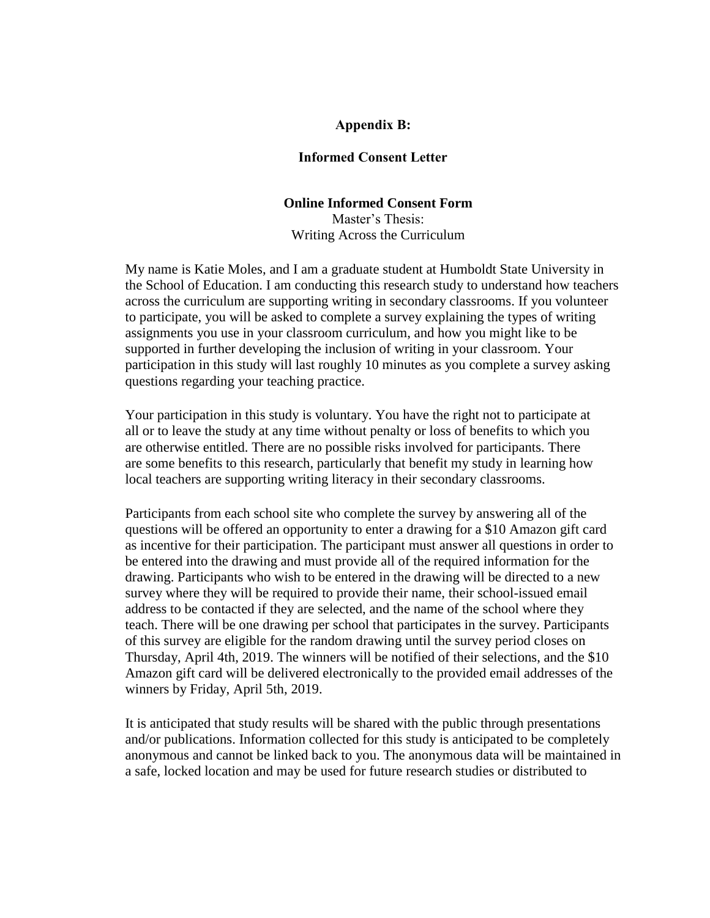## **Appendix B:**

## **Informed Consent Letter**

#### **Online Informed Consent Form**

Master's Thesis: Writing Across the Curriculum

My name is Katie Moles, and I am a graduate student at Humboldt State University in the School of Education. I am conducting this research study to understand how teachers across the curriculum are supporting writing in secondary classrooms. If you volunteer to participate, you will be asked to complete a survey explaining the types of writing assignments you use in your classroom curriculum, and how you might like to be supported in further developing the inclusion of writing in your classroom. Your participation in this study will last roughly 10 minutes as you complete a survey asking questions regarding your teaching practice.

Your participation in this study is voluntary. You have the right not to participate at all or to leave the study at any time without penalty or loss of benefits to which you are otherwise entitled. There are no possible risks involved for participants. There are some benefits to this research, particularly that benefit my study in learning how local teachers are supporting writing literacy in their secondary classrooms.

Participants from each school site who complete the survey by answering all of the questions will be offered an opportunity to enter a drawing for a \$10 Amazon gift card as incentive for their participation. The participant must answer all questions in order to be entered into the drawing and must provide all of the required information for the drawing. Participants who wish to be entered in the drawing will be directed to a new survey where they will be required to provide their name, their school-issued email address to be contacted if they are selected, and the name of the school where they teach. There will be one drawing per school that participates in the survey. Participants of this survey are eligible for the random drawing until the survey period closes on Thursday, April 4th, 2019. The winners will be notified of their selections, and the \$10 Amazon gift card will be delivered electronically to the provided email addresses of the winners by Friday, April 5th, 2019.

It is anticipated that study results will be shared with the public through presentations and/or publications. Information collected for this study is anticipated to be completely anonymous and cannot be linked back to you. The anonymous data will be maintained in a safe, locked location and may be used for future research studies or distributed to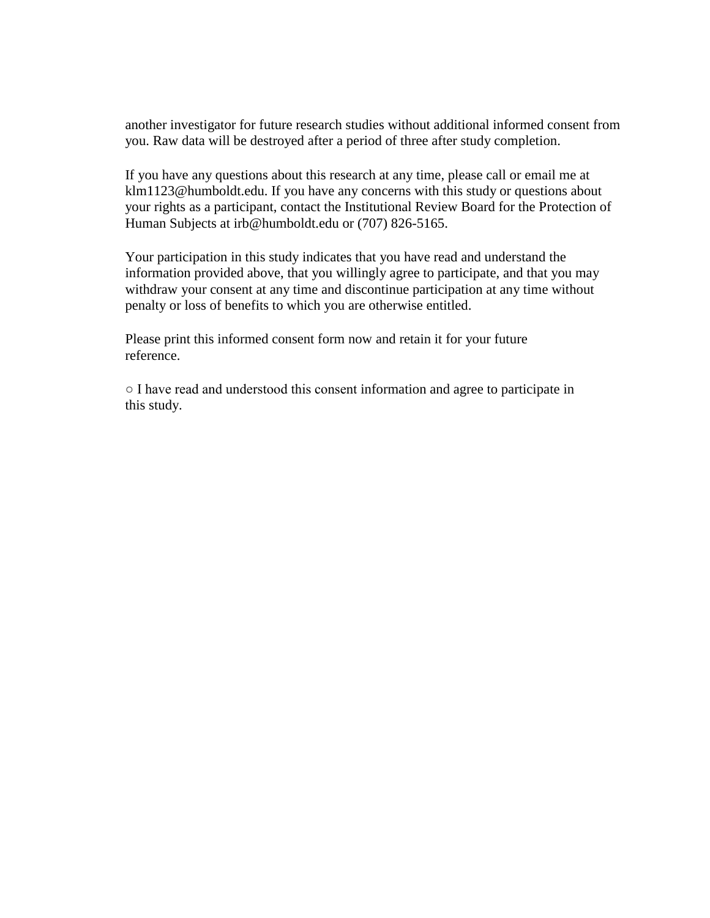another investigator for future research studies without additional informed consent from you. Raw data will be destroyed after a period of three after study completion.

If you have any questions about this research at any time, please call or email me at klm1123@humboldt.edu. If you have any concerns with this study or questions about your rights as a participant, contact the Institutional Review Board for the Protection of Human Subjects at irb@humboldt.edu or (707) 826-5165.

Your participation in this study indicates that you have read and understand the information provided above, that you willingly agree to participate, and that you may withdraw your consent at any time and discontinue participation at any time without penalty or loss of benefits to which you are otherwise entitled.

Please print this informed consent form now and retain it for your future reference.

○ I have read and understood this consent information and agree to participate in this study.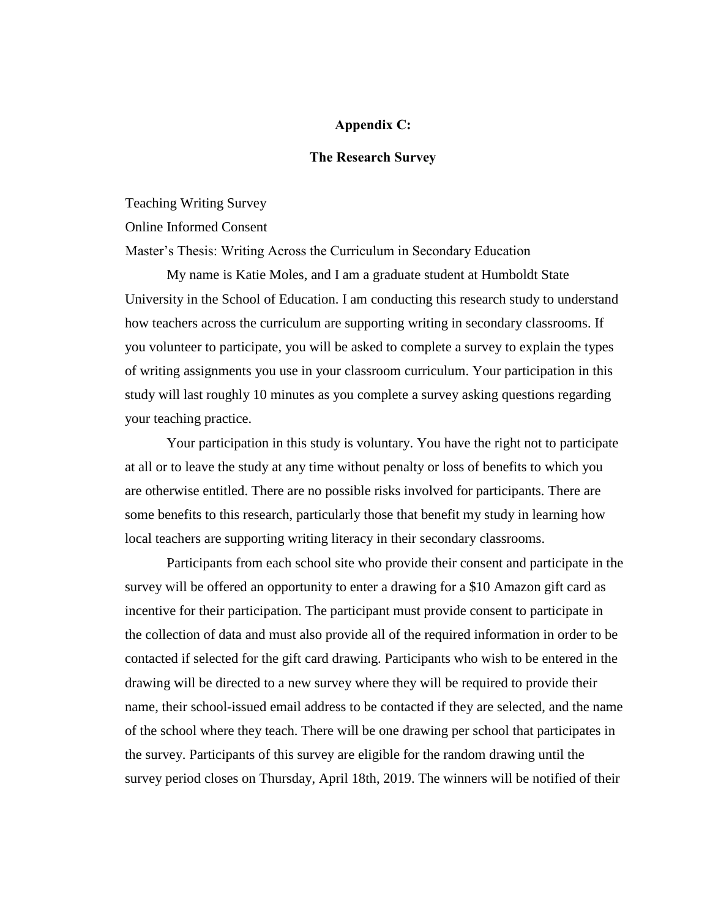## **Appendix C:**

## **The Research Survey**

Teaching Writing Survey

Online Informed Consent

Master's Thesis: Writing Across the Curriculum in Secondary Education

My name is Katie Moles, and I am a graduate student at Humboldt State University in the School of Education. I am conducting this research study to understand how teachers across the curriculum are supporting writing in secondary classrooms. If you volunteer to participate, you will be asked to complete a survey to explain the types of writing assignments you use in your classroom curriculum. Your participation in this study will last roughly 10 minutes as you complete a survey asking questions regarding your teaching practice.

Your participation in this study is voluntary. You have the right not to participate at all or to leave the study at any time without penalty or loss of benefits to which you are otherwise entitled. There are no possible risks involved for participants. There are some benefits to this research, particularly those that benefit my study in learning how local teachers are supporting writing literacy in their secondary classrooms.

Participants from each school site who provide their consent and participate in the survey will be offered an opportunity to enter a drawing for a \$10 Amazon gift card as incentive for their participation. The participant must provide consent to participate in the collection of data and must also provide all of the required information in order to be contacted if selected for the gift card drawing. Participants who wish to be entered in the drawing will be directed to a new survey where they will be required to provide their name, their school-issued email address to be contacted if they are selected, and the name of the school where they teach. There will be one drawing per school that participates in the survey. Participants of this survey are eligible for the random drawing until the survey period closes on Thursday, April 18th, 2019. The winners will be notified of their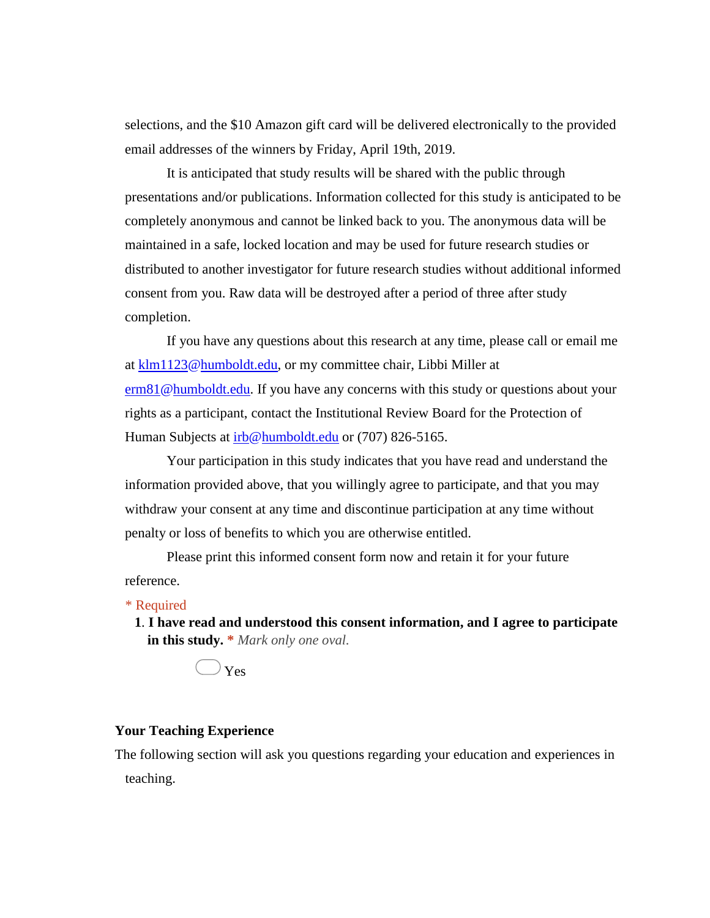selections, and the \$10 Amazon gift card will be delivered electronically to the provided email addresses of the winners by Friday, April 19th, 2019.

It is anticipated that study results will be shared with the public through presentations and/or publications. Information collected for this study is anticipated to be completely anonymous and cannot be linked back to you. The anonymous data will be maintained in a safe, locked location and may be used for future research studies or distributed to another investigator for future research studies without additional informed consent from you. Raw data will be destroyed after a period of three after study completion.

If you have any questions about this research at any time, please call or email me at klm1123@humboldt.edu, or my committee chair, Libbi Miller at erm81@humboldt.edu. If you have any concerns with this study or questions about your rights as a participant, contact the Institutional Review Board for the Protection of Human Subjects at  $irb@humboldt.edu$  or (707) 826-5165.</u>

Your participation in this study indicates that you have read and understand the information provided above, that you willingly agree to participate, and that you may withdraw your consent at any time and discontinue participation at any time without penalty or loss of benefits to which you are otherwise entitled.

Please print this informed consent form now and retain it for your future reference.

\* Required

**1**. **I have read and understood this consent information, and I agree to participate in this study. \*** *Mark only one oval.*



## **Your Teaching Experience**

The following section will ask you questions regarding your education and experiences in teaching.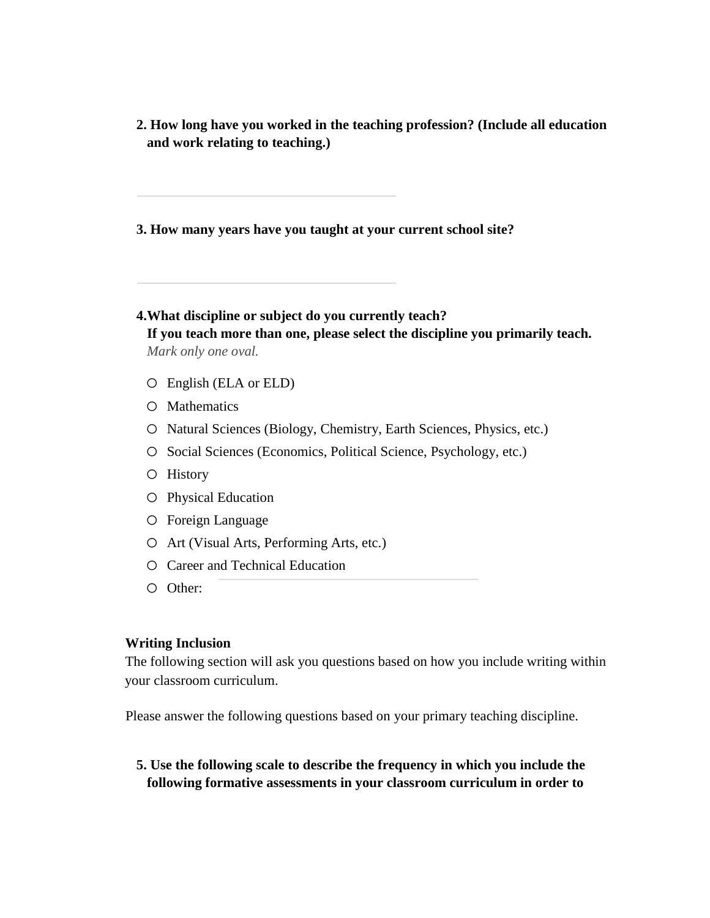**2. How long have you worked in the teaching profession? (Include all education and work relating to teaching.)** 

**3. How many years have you taught at your current school site?** 

- **4.What discipline or subject do you currently teach? If you teach more than one, please select the discipline you primarily teach.**  *Mark only one oval.*
	- o English (ELA or ELD)
	- o Mathematics
	- o Natural Sciences (Biology, Chemistry, Earth Sciences, Physics, etc.)
	- o Social Sciences (Economics, Political Science, Psychology, etc.)
	- o History
	- o Physical Education
	- o Foreign Language
	- o Art (Visual Arts, Performing Arts, etc.)
	- o Career and Technical Education
	- o Other:

## **Writing Inclusion**

The following section will ask you questions based on how you include writing within your classroom curriculum.

Please answer the following questions based on your primary teaching discipline.

**5. Use the following scale to describe the frequency in which you include the following formative assessments in your classroom curriculum in order to**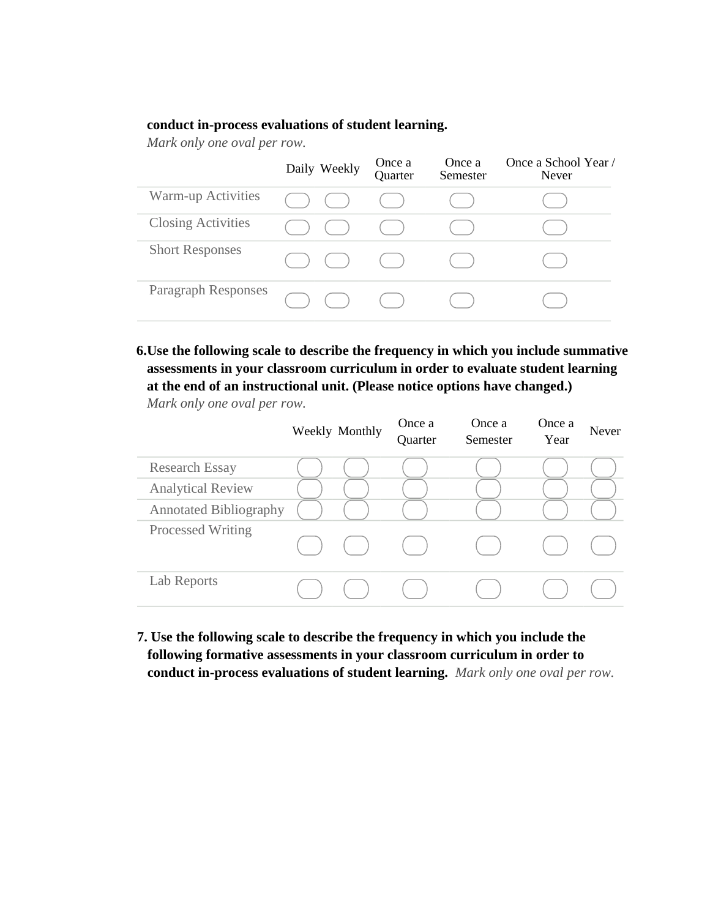#### **conduct in-process evaluations of student learning.**

*Mark only one oval per row.*

|                           | Daily Weekly | Once a<br>Quarter | Once a<br>Semester | Once a School Year /<br><b>Never</b> |
|---------------------------|--------------|-------------------|--------------------|--------------------------------------|
| Warm-up Activities        |              |                   |                    |                                      |
| <b>Closing Activities</b> |              |                   |                    |                                      |
| <b>Short Responses</b>    |              |                   |                    |                                      |
| Paragraph Responses       |              |                   |                    |                                      |

# **6.Use the following scale to describe the frequency in which you include summative assessments in your classroom curriculum in order to evaluate student learning at the end of an instructional unit. (Please notice options have changed.)**

*Mark only one oval per row.*

|                               | Weekly Monthly | Once a<br>Quarter | Once a<br>Semester | Once a<br>Year | Never |
|-------------------------------|----------------|-------------------|--------------------|----------------|-------|
| <b>Research Essay</b>         |                |                   |                    |                |       |
| <b>Analytical Review</b>      |                |                   |                    |                |       |
| <b>Annotated Bibliography</b> |                |                   |                    |                |       |
| <b>Processed Writing</b>      |                |                   |                    |                |       |
| Lab Reports                   |                |                   |                    |                |       |

**7. Use the following scale to describe the frequency in which you include the following formative assessments in your classroom curriculum in order to conduct in-process evaluations of student learning.** *Mark only one oval per row.*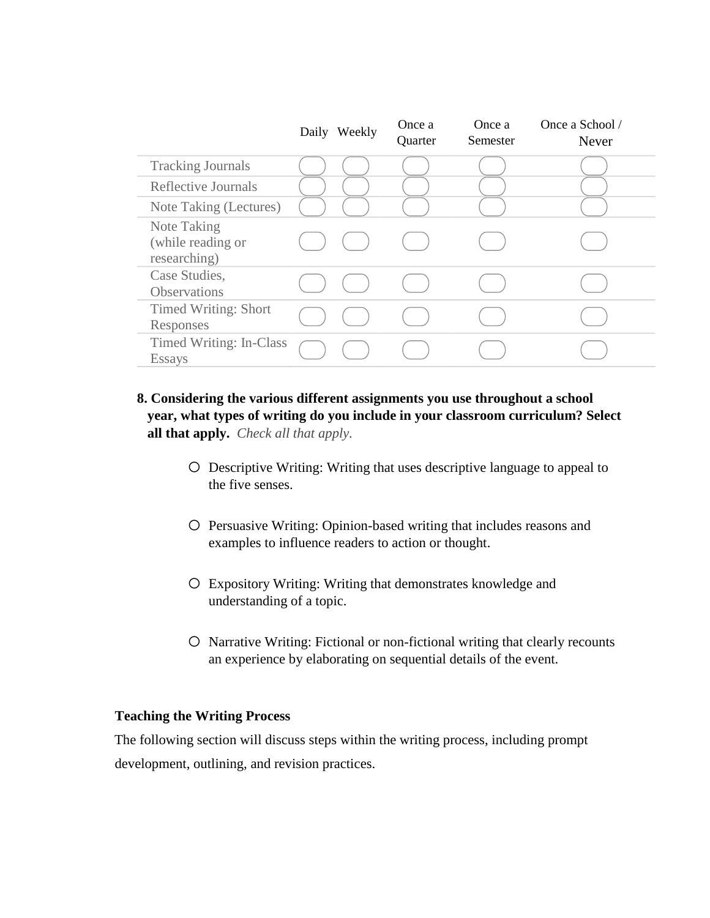|                                                  | Daily Weekly | Once a<br>Quarter | Once a<br>Semester | Once a School /<br>Never |
|--------------------------------------------------|--------------|-------------------|--------------------|--------------------------|
| <b>Tracking Journals</b>                         |              |                   |                    |                          |
| Reflective Journals                              |              |                   |                    |                          |
| Note Taking (Lectures)                           |              |                   |                    |                          |
| Note Taking<br>(while reading or<br>researching) |              |                   |                    |                          |
| Case Studies,<br>Observations                    |              |                   |                    |                          |
| <b>Timed Writing: Short</b><br>Responses         |              |                   |                    |                          |
| Timed Writing: In-Class<br><b>Essays</b>         |              |                   |                    |                          |

- **8. Considering the various different assignments you use throughout a school year, what types of writing do you include in your classroom curriculum? Select all that apply.** *Check all that apply.*
	- o Descriptive Writing: Writing that uses descriptive language to appeal to the five senses.
	- o Persuasive Writing: Opinion-based writing that includes reasons and examples to influence readers to action or thought.
	- o Expository Writing: Writing that demonstrates knowledge and understanding of a topic.
	- o Narrative Writing: Fictional or non-fictional writing that clearly recounts an experience by elaborating on sequential details of the event.

#### **Teaching the Writing Process**

The following section will discuss steps within the writing process, including prompt development, outlining, and revision practices.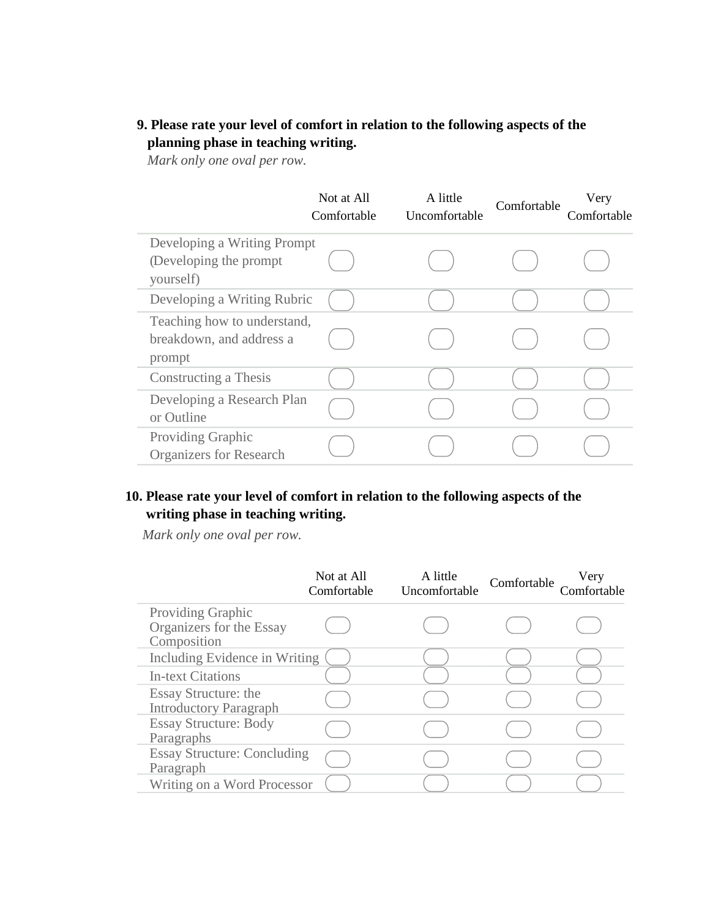## **9. Please rate your level of comfort in relation to the following aspects of the planning phase in teaching writing.**

*Mark only one oval per row.*

|                                                                     | Not at All<br>Comfortable | A little<br>Uncomfortable | Comfortable | Very<br>Comfortable |
|---------------------------------------------------------------------|---------------------------|---------------------------|-------------|---------------------|
| Developing a Writing Prompt<br>(Developing the prompt)<br>yourself) |                           |                           |             |                     |
| Developing a Writing Rubric                                         |                           |                           |             |                     |
| Teaching how to understand,<br>breakdown, and address a<br>prompt   |                           |                           |             |                     |
| Constructing a Thesis                                               |                           |                           |             |                     |
| Developing a Research Plan<br>or Outline                            |                           |                           |             |                     |
| Providing Graphic<br><b>Organizers for Research</b>                 |                           |                           |             |                     |

### **10. Please rate your level of comfort in relation to the following aspects of the writing phase in teaching writing.**

*Mark only one oval per row.*

|                                                              | Not at All<br>Comfortable | A little<br>Uncomfortable | Comfortable | Very |
|--------------------------------------------------------------|---------------------------|---------------------------|-------------|------|
| Providing Graphic<br>Organizers for the Essay<br>Composition |                           |                           |             |      |
| Including Evidence in Writing                                |                           |                           |             |      |
| <b>In-text Citations</b>                                     |                           |                           |             |      |
| Essay Structure: the<br><b>Introductory Paragraph</b>        |                           |                           |             |      |
| <b>Essay Structure: Body</b><br>Paragraphs                   |                           |                           |             |      |
| <b>Essay Structure: Concluding</b><br>Paragraph              |                           |                           |             |      |
| Writing on a Word Processor                                  |                           |                           |             |      |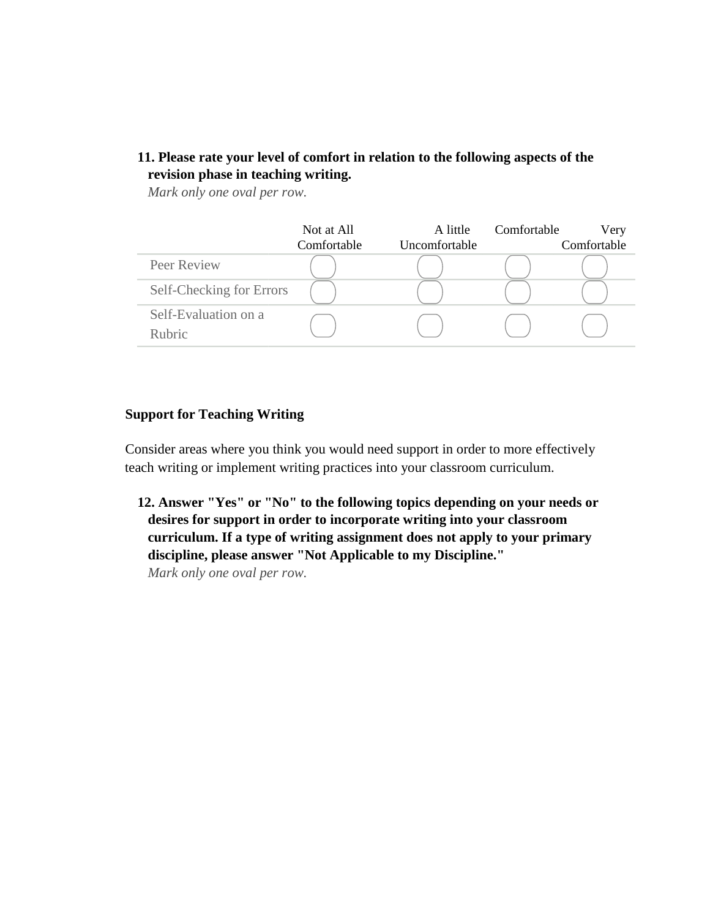### **11. Please rate your level of comfort in relation to the following aspects of the revision phase in teaching writing.**

*Mark only one oval per row.*

|                                       | Not at All<br>Comfortable | A little<br>Uncomfortable | Comfortable | Very<br>Comfortable |
|---------------------------------------|---------------------------|---------------------------|-------------|---------------------|
| Peer Review                           |                           |                           |             |                     |
| Self-Checking for Errors              |                           |                           |             |                     |
| Self-Evaluation on a<br><b>Rubric</b> |                           |                           |             |                     |

#### **Support for Teaching Writing**

Consider areas where you think you would need support in order to more effectively teach writing or implement writing practices into your classroom curriculum.

**12. Answer "Yes" or "No" to the following topics depending on your needs or desires for support in order to incorporate writing into your classroom curriculum. If a type of writing assignment does not apply to your primary discipline, please answer "Not Applicable to my Discipline."** 

*Mark only one oval per row.*